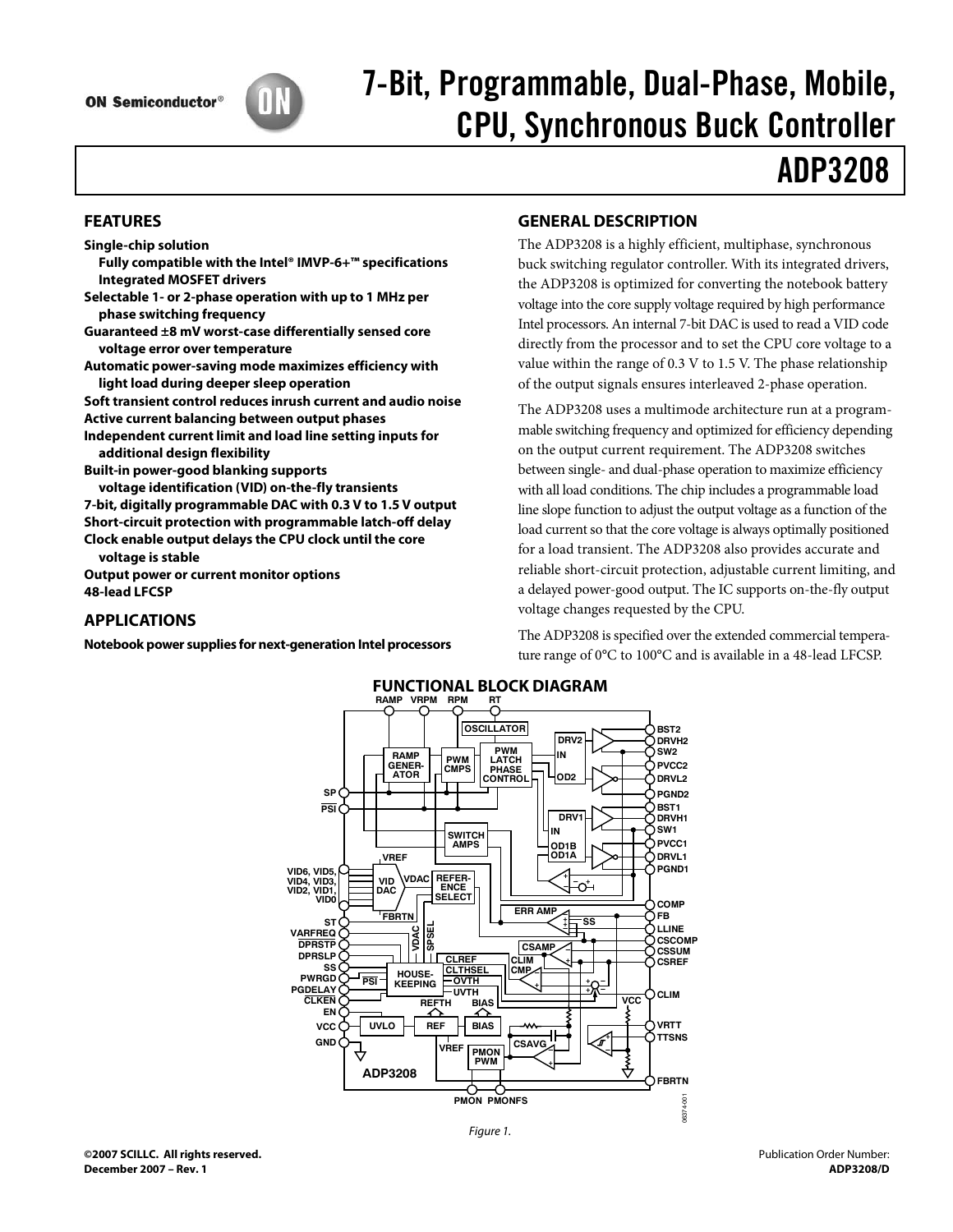

# 7-Bit, Programmable, Dual-Phase, Mobile,

## **ADP3208** <u>ADP 2002</u>

## **FEATURES**

**Single-chip solution** 

- **Fully compatible with the Intel® IMVP-6+™ specifications Integrated MOSFET drivers**
- **Selectable 1- or 2-phase operation with up to 1 MHz per phase switching frequency**

**Guaranteed ±8 mV worst-case differentially sensed core voltage error over temperature** 

**Automatic power-saving mode maximizes efficiency with light load during deeper sleep operation** 

**Soft transient control reduces inrush current and audio noise Active current balancing between output phases** 

- **Independent current limit and load line setting inputs for additional design flexibility**
- **Built-in power-good blanking supports**

**voltage identification (VID) on-the-fly transients 7-bit, digitally programmable DAC with 0.3 V to 1.5 V output Short-circuit protection with programmable latch-off delay** 

**Clock enable output delays the CPU clock until the core voltage is stable** 

**Output power or current monitor options 48-lead LFCSP** 

## **APPLICATIONS**

**Notebook power supplies for next-generation Intel processors** 

## **GENERAL DESCRIPTION**

The ADP3208 is a highly efficient, multiphase, synchronous buck switching regulator controller. With its integrated drivers, the ADP3208 is optimized for converting the notebook battery voltage into the core supply voltage required by high performance Intel processors. An internal 7-bit DAC is used to read a VID code directly from the processor and to set the CPU core voltage to a value within the range of 0.3 V to 1.5 V. The phase relationship of the output signals ensures interleaved 2-phase operation.

The ADP3208 uses a multimode architecture run at a programmable switching frequency and optimized for efficiency depending on the output current requirement. The ADP3208 switches between single- and dual-phase operation to maximize efficiency with all load conditions. The chip includes a programmable load line slope function to adjust the output voltage as a function of the load current so that the core voltage is always optimally positioned for a load transient. The ADP3208 also provides accurate and reliable short-circuit protection, adjustable current limiting, and a delayed power-good output. The IC supports on-the-fly output voltage changes requested by the CPU.

The ADP3208 is specified over the extended commercial temperature range of 0°C to 100°C and is available in a 48-lead LFCSP.



Figure 1.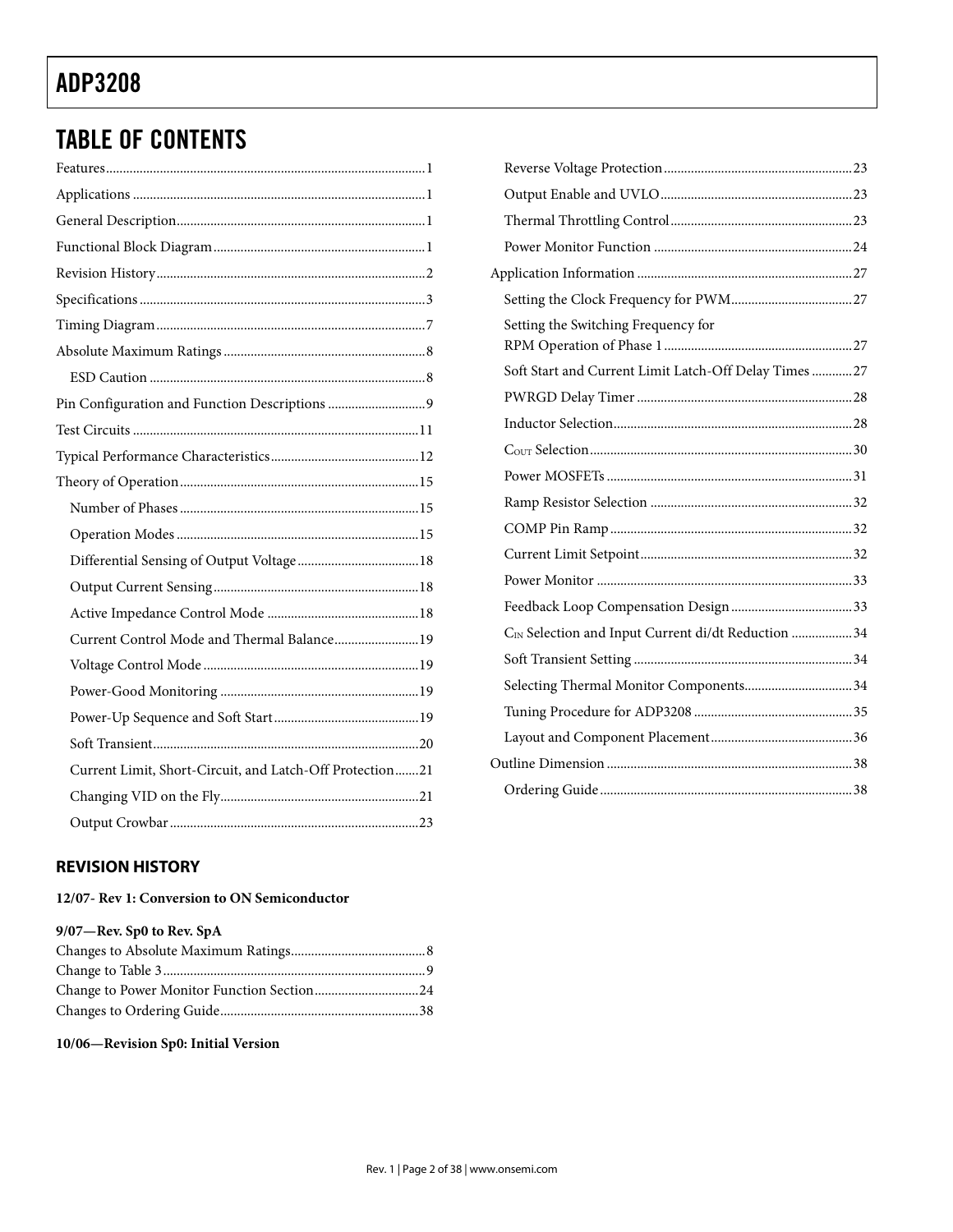## TABLE OF CONTENTS

| Current Control Mode and Thermal Balance 19              |  |
|----------------------------------------------------------|--|
|                                                          |  |
|                                                          |  |
|                                                          |  |
|                                                          |  |
| Current Limit, Short-Circuit, and Latch-Off Protection21 |  |
|                                                          |  |
|                                                          |  |

| Setting the Switching Frequency for                   |  |
|-------------------------------------------------------|--|
| Soft Start and Current Limit Latch-Off Delay Times 27 |  |
|                                                       |  |
|                                                       |  |
|                                                       |  |
|                                                       |  |
|                                                       |  |
|                                                       |  |
|                                                       |  |
|                                                       |  |
|                                                       |  |
| CIN Selection and Input Current di/dt Reduction 34    |  |
|                                                       |  |
| Selecting Thermal Monitor Components34                |  |
|                                                       |  |
|                                                       |  |
|                                                       |  |
|                                                       |  |

## **REVISION HISTORY**

## **12/07- Rev 1: Conversion to ON Semiconductor**

### **9/07—Rev. Sp0 to Rev. SpA**

**10/06—Revision Sp0: Initial Version**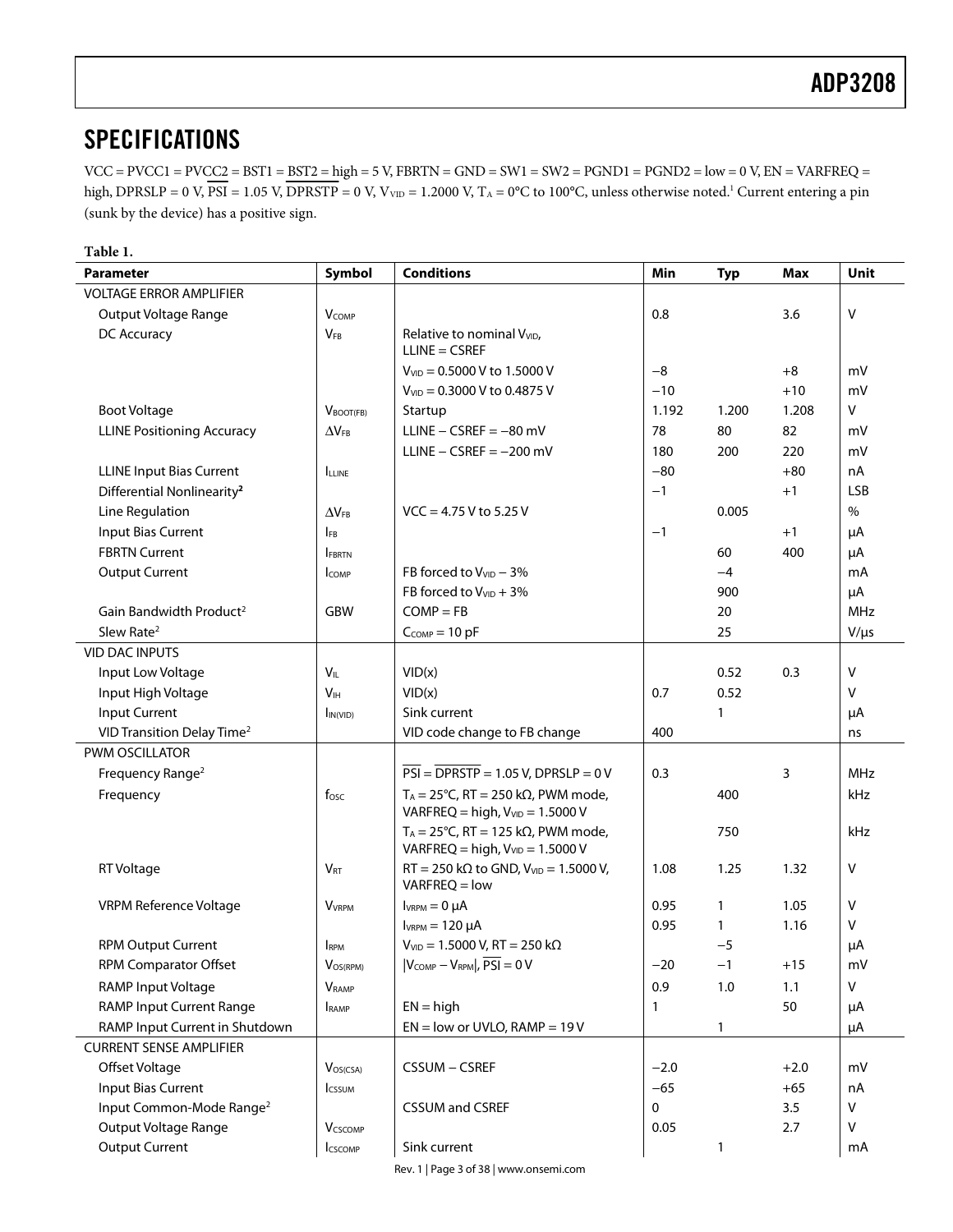VCC = PVCC1 = PVCC2 = BST1 = BST2 = high = 5 V, FBRTN = GND = SW1 = SW2 = PGND1 = PGND2 = low = 0 V, EN = VARFREQ = high,  $DPRSLP = 0$  V,  $PSI = 1.05$  V,  $DPRSTP = 0$  V,  $V_{VD} = 1.2000$  V,  $T_A = 0^{\circ}C$  to  $100^{\circ}C$ , unless otherwise noted.<sup>1</sup> Current entering a pin (sunk by the device) has a positive sign.

| <b>VOLTAGE ERROR AMPLIFIER</b><br>$\mathsf{V}$<br>0.8<br>Output Voltage Range<br><b>V</b> COMP<br>3.6<br>DC Accuracy<br><b>VFB</b><br>Relative to nominal V <sub>VID</sub> ,<br>$LLINE = CSREF$<br>$-8$<br>$V_{VID} = 0.5000 V$ to 1.5000 V<br>$+8$<br>mV<br>V <sub>VID</sub> = 0.3000 V to 0.4875 V<br>$-10$<br>$+10$<br>mV<br>v<br><b>Boot Voltage</b><br>1.192<br>1.200<br>1.208<br>Startup<br>$V_{\text{BOOT(FB)}}$<br>LLINE $-$ CSREF = $-80$ mV<br><b>LLINE Positioning Accuracy</b><br>78<br>80<br>82<br>mV<br>$\Delta V_{FB}$<br>LLINE $-$ CSREF = $-200$ mV<br>180<br>200<br>220<br>mV<br><b>LLINE Input Bias Current</b><br>$-80$<br>$+80$<br>nA<br><b>ILLINE</b><br><b>LSB</b><br>Differential Nonlinearity <sup>2</sup><br>$-1$<br>$+1$<br>Line Regulation<br>$\%$<br>$VCC = 4.75 V$ to 5.25 V<br>0.005<br>$\Delta V_{FB}$<br>Input Bias Current<br>$+1$<br>$-1$<br>μA<br><b>IFB</b><br><b>FBRTN Current</b><br>60<br>400<br>μA<br><b>FBRTN</b><br><b>Output Current</b><br>FB forced to $V_{VID}$ – 3%<br>$-4$<br>mA<br><b>ICOMP</b><br>FB forced to $V_{VID}$ + 3%<br>900<br>μA<br>Gain Bandwidth Product <sup>2</sup><br>$COMP = FB$<br><b>MHz</b><br>GBW<br>20<br>Slew Rate <sup>2</sup><br>25<br>$C_{COMP}=10$ pF<br>$V/\mu s$<br><b>VID DAC INPUTS</b><br>$\mathsf{V}$<br>Input Low Voltage<br>$V_{IL}$<br>VID(x)<br>0.52<br>0.3<br>0.52<br>Input High Voltage<br>V <sub>IH</sub><br>VID(x)<br>0.7<br>v<br>Input Current<br>Sink current<br>1<br>μA<br>In(VID)<br>VID Transition Delay Time <sup>2</sup><br>VID code change to FB change<br>400<br>ns<br>PWM OSCILLATOR<br>0.3<br>Frequency Range <sup>2</sup><br>$PSI = DPRSTP = 1.05 V$ , DPRSLP = 0 V<br>3<br><b>MHz</b><br>$T_A = 25^{\circ}$ C, RT = 250 k $\Omega$ , PWM mode,<br>400<br>Frequency<br>$f_{\rm osc}$<br>kHz<br>VARFREQ = high, $V_{VID}$ = 1.5000 V<br>$T_A = 25^{\circ}$ C, RT = 125 k $\Omega$ , PWM mode,<br>750<br>kHz<br>VARFREQ = high, $V_{VID}$ = 1.5000 V<br>$RT = 250$ k $\Omega$ to GND, $V_{VID} = 1.5000$ V,<br>$\vee$<br>RT Voltage<br>1.08<br>1.25<br>1.32<br>$V_{RT}$<br>$VARFREQ = low$<br>v<br><b>VRPM Reference Voltage</b><br>$I_{VRPM} = 0 \mu A$<br>0.95<br>1.05<br>$\mathbf{1}$<br><b>V</b> <sub>VRPM</sub><br>$I_{VRPM} = 120 \mu A$<br>0.95<br>1.16<br>V<br>1<br><b>RPM Output Current</b><br>$V_{VID} = 1.5000 V$ , RT = 250 k $\Omega$<br>$-5$<br>μA<br><b>I</b> RPM<br>RPM Comparator Offset<br>VOS(RPM)<br>$ V_{COMP}-V_{RPM} $ , $PSI = 0 V$<br>$-20$<br>$-1$<br>$+15$<br>mV<br>RAMP Input Voltage<br>0.9<br>1.0<br>v<br>1.1<br><b>V</b> RAMP | <b>Parameter</b> | Symbol | <b>Conditions</b> | Min | <b>Typ</b> | Max | Unit |
|--------------------------------------------------------------------------------------------------------------------------------------------------------------------------------------------------------------------------------------------------------------------------------------------------------------------------------------------------------------------------------------------------------------------------------------------------------------------------------------------------------------------------------------------------------------------------------------------------------------------------------------------------------------------------------------------------------------------------------------------------------------------------------------------------------------------------------------------------------------------------------------------------------------------------------------------------------------------------------------------------------------------------------------------------------------------------------------------------------------------------------------------------------------------------------------------------------------------------------------------------------------------------------------------------------------------------------------------------------------------------------------------------------------------------------------------------------------------------------------------------------------------------------------------------------------------------------------------------------------------------------------------------------------------------------------------------------------------------------------------------------------------------------------------------------------------------------------------------------------------------------------------------------------------------------------------------------------------------------------------------------------------------------------------------------------------------------------------------------------------------------------------------------------------------------------------------------------------------------------------------------------------------------------------------------------------------------------------------------------------------------------------------------------------------------------------------------------------------------------------------------------------------------------------------------------------|------------------|--------|-------------------|-----|------------|-----|------|
|                                                                                                                                                                                                                                                                                                                                                                                                                                                                                                                                                                                                                                                                                                                                                                                                                                                                                                                                                                                                                                                                                                                                                                                                                                                                                                                                                                                                                                                                                                                                                                                                                                                                                                                                                                                                                                                                                                                                                                                                                                                                                                                                                                                                                                                                                                                                                                                                                                                                                                                                                                    |                  |        |                   |     |            |     |      |
|                                                                                                                                                                                                                                                                                                                                                                                                                                                                                                                                                                                                                                                                                                                                                                                                                                                                                                                                                                                                                                                                                                                                                                                                                                                                                                                                                                                                                                                                                                                                                                                                                                                                                                                                                                                                                                                                                                                                                                                                                                                                                                                                                                                                                                                                                                                                                                                                                                                                                                                                                                    |                  |        |                   |     |            |     |      |
|                                                                                                                                                                                                                                                                                                                                                                                                                                                                                                                                                                                                                                                                                                                                                                                                                                                                                                                                                                                                                                                                                                                                                                                                                                                                                                                                                                                                                                                                                                                                                                                                                                                                                                                                                                                                                                                                                                                                                                                                                                                                                                                                                                                                                                                                                                                                                                                                                                                                                                                                                                    |                  |        |                   |     |            |     |      |
|                                                                                                                                                                                                                                                                                                                                                                                                                                                                                                                                                                                                                                                                                                                                                                                                                                                                                                                                                                                                                                                                                                                                                                                                                                                                                                                                                                                                                                                                                                                                                                                                                                                                                                                                                                                                                                                                                                                                                                                                                                                                                                                                                                                                                                                                                                                                                                                                                                                                                                                                                                    |                  |        |                   |     |            |     |      |
|                                                                                                                                                                                                                                                                                                                                                                                                                                                                                                                                                                                                                                                                                                                                                                                                                                                                                                                                                                                                                                                                                                                                                                                                                                                                                                                                                                                                                                                                                                                                                                                                                                                                                                                                                                                                                                                                                                                                                                                                                                                                                                                                                                                                                                                                                                                                                                                                                                                                                                                                                                    |                  |        |                   |     |            |     |      |
|                                                                                                                                                                                                                                                                                                                                                                                                                                                                                                                                                                                                                                                                                                                                                                                                                                                                                                                                                                                                                                                                                                                                                                                                                                                                                                                                                                                                                                                                                                                                                                                                                                                                                                                                                                                                                                                                                                                                                                                                                                                                                                                                                                                                                                                                                                                                                                                                                                                                                                                                                                    |                  |        |                   |     |            |     |      |
|                                                                                                                                                                                                                                                                                                                                                                                                                                                                                                                                                                                                                                                                                                                                                                                                                                                                                                                                                                                                                                                                                                                                                                                                                                                                                                                                                                                                                                                                                                                                                                                                                                                                                                                                                                                                                                                                                                                                                                                                                                                                                                                                                                                                                                                                                                                                                                                                                                                                                                                                                                    |                  |        |                   |     |            |     |      |
|                                                                                                                                                                                                                                                                                                                                                                                                                                                                                                                                                                                                                                                                                                                                                                                                                                                                                                                                                                                                                                                                                                                                                                                                                                                                                                                                                                                                                                                                                                                                                                                                                                                                                                                                                                                                                                                                                                                                                                                                                                                                                                                                                                                                                                                                                                                                                                                                                                                                                                                                                                    |                  |        |                   |     |            |     |      |
|                                                                                                                                                                                                                                                                                                                                                                                                                                                                                                                                                                                                                                                                                                                                                                                                                                                                                                                                                                                                                                                                                                                                                                                                                                                                                                                                                                                                                                                                                                                                                                                                                                                                                                                                                                                                                                                                                                                                                                                                                                                                                                                                                                                                                                                                                                                                                                                                                                                                                                                                                                    |                  |        |                   |     |            |     |      |
|                                                                                                                                                                                                                                                                                                                                                                                                                                                                                                                                                                                                                                                                                                                                                                                                                                                                                                                                                                                                                                                                                                                                                                                                                                                                                                                                                                                                                                                                                                                                                                                                                                                                                                                                                                                                                                                                                                                                                                                                                                                                                                                                                                                                                                                                                                                                                                                                                                                                                                                                                                    |                  |        |                   |     |            |     |      |
|                                                                                                                                                                                                                                                                                                                                                                                                                                                                                                                                                                                                                                                                                                                                                                                                                                                                                                                                                                                                                                                                                                                                                                                                                                                                                                                                                                                                                                                                                                                                                                                                                                                                                                                                                                                                                                                                                                                                                                                                                                                                                                                                                                                                                                                                                                                                                                                                                                                                                                                                                                    |                  |        |                   |     |            |     |      |
|                                                                                                                                                                                                                                                                                                                                                                                                                                                                                                                                                                                                                                                                                                                                                                                                                                                                                                                                                                                                                                                                                                                                                                                                                                                                                                                                                                                                                                                                                                                                                                                                                                                                                                                                                                                                                                                                                                                                                                                                                                                                                                                                                                                                                                                                                                                                                                                                                                                                                                                                                                    |                  |        |                   |     |            |     |      |
|                                                                                                                                                                                                                                                                                                                                                                                                                                                                                                                                                                                                                                                                                                                                                                                                                                                                                                                                                                                                                                                                                                                                                                                                                                                                                                                                                                                                                                                                                                                                                                                                                                                                                                                                                                                                                                                                                                                                                                                                                                                                                                                                                                                                                                                                                                                                                                                                                                                                                                                                                                    |                  |        |                   |     |            |     |      |
|                                                                                                                                                                                                                                                                                                                                                                                                                                                                                                                                                                                                                                                                                                                                                                                                                                                                                                                                                                                                                                                                                                                                                                                                                                                                                                                                                                                                                                                                                                                                                                                                                                                                                                                                                                                                                                                                                                                                                                                                                                                                                                                                                                                                                                                                                                                                                                                                                                                                                                                                                                    |                  |        |                   |     |            |     |      |
|                                                                                                                                                                                                                                                                                                                                                                                                                                                                                                                                                                                                                                                                                                                                                                                                                                                                                                                                                                                                                                                                                                                                                                                                                                                                                                                                                                                                                                                                                                                                                                                                                                                                                                                                                                                                                                                                                                                                                                                                                                                                                                                                                                                                                                                                                                                                                                                                                                                                                                                                                                    |                  |        |                   |     |            |     |      |
|                                                                                                                                                                                                                                                                                                                                                                                                                                                                                                                                                                                                                                                                                                                                                                                                                                                                                                                                                                                                                                                                                                                                                                                                                                                                                                                                                                                                                                                                                                                                                                                                                                                                                                                                                                                                                                                                                                                                                                                                                                                                                                                                                                                                                                                                                                                                                                                                                                                                                                                                                                    |                  |        |                   |     |            |     |      |
|                                                                                                                                                                                                                                                                                                                                                                                                                                                                                                                                                                                                                                                                                                                                                                                                                                                                                                                                                                                                                                                                                                                                                                                                                                                                                                                                                                                                                                                                                                                                                                                                                                                                                                                                                                                                                                                                                                                                                                                                                                                                                                                                                                                                                                                                                                                                                                                                                                                                                                                                                                    |                  |        |                   |     |            |     |      |
|                                                                                                                                                                                                                                                                                                                                                                                                                                                                                                                                                                                                                                                                                                                                                                                                                                                                                                                                                                                                                                                                                                                                                                                                                                                                                                                                                                                                                                                                                                                                                                                                                                                                                                                                                                                                                                                                                                                                                                                                                                                                                                                                                                                                                                                                                                                                                                                                                                                                                                                                                                    |                  |        |                   |     |            |     |      |
|                                                                                                                                                                                                                                                                                                                                                                                                                                                                                                                                                                                                                                                                                                                                                                                                                                                                                                                                                                                                                                                                                                                                                                                                                                                                                                                                                                                                                                                                                                                                                                                                                                                                                                                                                                                                                                                                                                                                                                                                                                                                                                                                                                                                                                                                                                                                                                                                                                                                                                                                                                    |                  |        |                   |     |            |     |      |
|                                                                                                                                                                                                                                                                                                                                                                                                                                                                                                                                                                                                                                                                                                                                                                                                                                                                                                                                                                                                                                                                                                                                                                                                                                                                                                                                                                                                                                                                                                                                                                                                                                                                                                                                                                                                                                                                                                                                                                                                                                                                                                                                                                                                                                                                                                                                                                                                                                                                                                                                                                    |                  |        |                   |     |            |     |      |
|                                                                                                                                                                                                                                                                                                                                                                                                                                                                                                                                                                                                                                                                                                                                                                                                                                                                                                                                                                                                                                                                                                                                                                                                                                                                                                                                                                                                                                                                                                                                                                                                                                                                                                                                                                                                                                                                                                                                                                                                                                                                                                                                                                                                                                                                                                                                                                                                                                                                                                                                                                    |                  |        |                   |     |            |     |      |
|                                                                                                                                                                                                                                                                                                                                                                                                                                                                                                                                                                                                                                                                                                                                                                                                                                                                                                                                                                                                                                                                                                                                                                                                                                                                                                                                                                                                                                                                                                                                                                                                                                                                                                                                                                                                                                                                                                                                                                                                                                                                                                                                                                                                                                                                                                                                                                                                                                                                                                                                                                    |                  |        |                   |     |            |     |      |
|                                                                                                                                                                                                                                                                                                                                                                                                                                                                                                                                                                                                                                                                                                                                                                                                                                                                                                                                                                                                                                                                                                                                                                                                                                                                                                                                                                                                                                                                                                                                                                                                                                                                                                                                                                                                                                                                                                                                                                                                                                                                                                                                                                                                                                                                                                                                                                                                                                                                                                                                                                    |                  |        |                   |     |            |     |      |
|                                                                                                                                                                                                                                                                                                                                                                                                                                                                                                                                                                                                                                                                                                                                                                                                                                                                                                                                                                                                                                                                                                                                                                                                                                                                                                                                                                                                                                                                                                                                                                                                                                                                                                                                                                                                                                                                                                                                                                                                                                                                                                                                                                                                                                                                                                                                                                                                                                                                                                                                                                    |                  |        |                   |     |            |     |      |
|                                                                                                                                                                                                                                                                                                                                                                                                                                                                                                                                                                                                                                                                                                                                                                                                                                                                                                                                                                                                                                                                                                                                                                                                                                                                                                                                                                                                                                                                                                                                                                                                                                                                                                                                                                                                                                                                                                                                                                                                                                                                                                                                                                                                                                                                                                                                                                                                                                                                                                                                                                    |                  |        |                   |     |            |     |      |
|                                                                                                                                                                                                                                                                                                                                                                                                                                                                                                                                                                                                                                                                                                                                                                                                                                                                                                                                                                                                                                                                                                                                                                                                                                                                                                                                                                                                                                                                                                                                                                                                                                                                                                                                                                                                                                                                                                                                                                                                                                                                                                                                                                                                                                                                                                                                                                                                                                                                                                                                                                    |                  |        |                   |     |            |     |      |
|                                                                                                                                                                                                                                                                                                                                                                                                                                                                                                                                                                                                                                                                                                                                                                                                                                                                                                                                                                                                                                                                                                                                                                                                                                                                                                                                                                                                                                                                                                                                                                                                                                                                                                                                                                                                                                                                                                                                                                                                                                                                                                                                                                                                                                                                                                                                                                                                                                                                                                                                                                    |                  |        |                   |     |            |     |      |
|                                                                                                                                                                                                                                                                                                                                                                                                                                                                                                                                                                                                                                                                                                                                                                                                                                                                                                                                                                                                                                                                                                                                                                                                                                                                                                                                                                                                                                                                                                                                                                                                                                                                                                                                                                                                                                                                                                                                                                                                                                                                                                                                                                                                                                                                                                                                                                                                                                                                                                                                                                    |                  |        |                   |     |            |     |      |
|                                                                                                                                                                                                                                                                                                                                                                                                                                                                                                                                                                                                                                                                                                                                                                                                                                                                                                                                                                                                                                                                                                                                                                                                                                                                                                                                                                                                                                                                                                                                                                                                                                                                                                                                                                                                                                                                                                                                                                                                                                                                                                                                                                                                                                                                                                                                                                                                                                                                                                                                                                    |                  |        |                   |     |            |     |      |
|                                                                                                                                                                                                                                                                                                                                                                                                                                                                                                                                                                                                                                                                                                                                                                                                                                                                                                                                                                                                                                                                                                                                                                                                                                                                                                                                                                                                                                                                                                                                                                                                                                                                                                                                                                                                                                                                                                                                                                                                                                                                                                                                                                                                                                                                                                                                                                                                                                                                                                                                                                    |                  |        |                   |     |            |     |      |
|                                                                                                                                                                                                                                                                                                                                                                                                                                                                                                                                                                                                                                                                                                                                                                                                                                                                                                                                                                                                                                                                                                                                                                                                                                                                                                                                                                                                                                                                                                                                                                                                                                                                                                                                                                                                                                                                                                                                                                                                                                                                                                                                                                                                                                                                                                                                                                                                                                                                                                                                                                    |                  |        |                   |     |            |     |      |
|                                                                                                                                                                                                                                                                                                                                                                                                                                                                                                                                                                                                                                                                                                                                                                                                                                                                                                                                                                                                                                                                                                                                                                                                                                                                                                                                                                                                                                                                                                                                                                                                                                                                                                                                                                                                                                                                                                                                                                                                                                                                                                                                                                                                                                                                                                                                                                                                                                                                                                                                                                    |                  |        |                   |     |            |     |      |
| <b>RAMP Input Current Range</b><br>$EN = high$<br>50<br>μA<br>1<br>RAMP                                                                                                                                                                                                                                                                                                                                                                                                                                                                                                                                                                                                                                                                                                                                                                                                                                                                                                                                                                                                                                                                                                                                                                                                                                                                                                                                                                                                                                                                                                                                                                                                                                                                                                                                                                                                                                                                                                                                                                                                                                                                                                                                                                                                                                                                                                                                                                                                                                                                                            |                  |        |                   |     |            |     |      |
| RAMP Input Current in Shutdown<br>$EN = low$ or UVLO, RAMP = 19 V<br>1<br>μA                                                                                                                                                                                                                                                                                                                                                                                                                                                                                                                                                                                                                                                                                                                                                                                                                                                                                                                                                                                                                                                                                                                                                                                                                                                                                                                                                                                                                                                                                                                                                                                                                                                                                                                                                                                                                                                                                                                                                                                                                                                                                                                                                                                                                                                                                                                                                                                                                                                                                       |                  |        |                   |     |            |     |      |
| <b>CURRENT SENSE AMPLIFIER</b>                                                                                                                                                                                                                                                                                                                                                                                                                                                                                                                                                                                                                                                                                                                                                                                                                                                                                                                                                                                                                                                                                                                                                                                                                                                                                                                                                                                                                                                                                                                                                                                                                                                                                                                                                                                                                                                                                                                                                                                                                                                                                                                                                                                                                                                                                                                                                                                                                                                                                                                                     |                  |        |                   |     |            |     |      |
| Offset Voltage<br>CSSUM - CSREF<br>$-2.0$<br>$+2.0$<br>mV<br>$V_{OS(CSA)}$                                                                                                                                                                                                                                                                                                                                                                                                                                                                                                                                                                                                                                                                                                                                                                                                                                                                                                                                                                                                                                                                                                                                                                                                                                                                                                                                                                                                                                                                                                                                                                                                                                                                                                                                                                                                                                                                                                                                                                                                                                                                                                                                                                                                                                                                                                                                                                                                                                                                                         |                  |        |                   |     |            |     |      |
| <b>Input Bias Current</b><br>$-65$<br>$+65$<br>nA<br><b>I</b> cssum                                                                                                                                                                                                                                                                                                                                                                                                                                                                                                                                                                                                                                                                                                                                                                                                                                                                                                                                                                                                                                                                                                                                                                                                                                                                                                                                                                                                                                                                                                                                                                                                                                                                                                                                                                                                                                                                                                                                                                                                                                                                                                                                                                                                                                                                                                                                                                                                                                                                                                |                  |        |                   |     |            |     |      |
| Input Common-Mode Range <sup>2</sup><br>$\mathbf 0$<br>3.5<br>V<br><b>CSSUM and CSREF</b>                                                                                                                                                                                                                                                                                                                                                                                                                                                                                                                                                                                                                                                                                                                                                                                                                                                                                                                                                                                                                                                                                                                                                                                                                                                                                                                                                                                                                                                                                                                                                                                                                                                                                                                                                                                                                                                                                                                                                                                                                                                                                                                                                                                                                                                                                                                                                                                                                                                                          |                  |        |                   |     |            |     |      |
| Output Voltage Range<br>0.05<br>2.7<br>v<br><b>V</b> cscomp                                                                                                                                                                                                                                                                                                                                                                                                                                                                                                                                                                                                                                                                                                                                                                                                                                                                                                                                                                                                                                                                                                                                                                                                                                                                                                                                                                                                                                                                                                                                                                                                                                                                                                                                                                                                                                                                                                                                                                                                                                                                                                                                                                                                                                                                                                                                                                                                                                                                                                        |                  |        |                   |     |            |     |      |
| <b>Output Current</b><br>Sink current<br>1<br><b>ICSCOMP</b><br>mA                                                                                                                                                                                                                                                                                                                                                                                                                                                                                                                                                                                                                                                                                                                                                                                                                                                                                                                                                                                                                                                                                                                                                                                                                                                                                                                                                                                                                                                                                                                                                                                                                                                                                                                                                                                                                                                                                                                                                                                                                                                                                                                                                                                                                                                                                                                                                                                                                                                                                                 |                  |        |                   |     |            |     |      |

Rev. 1 | Page 3 of 38 | www.onsemi.com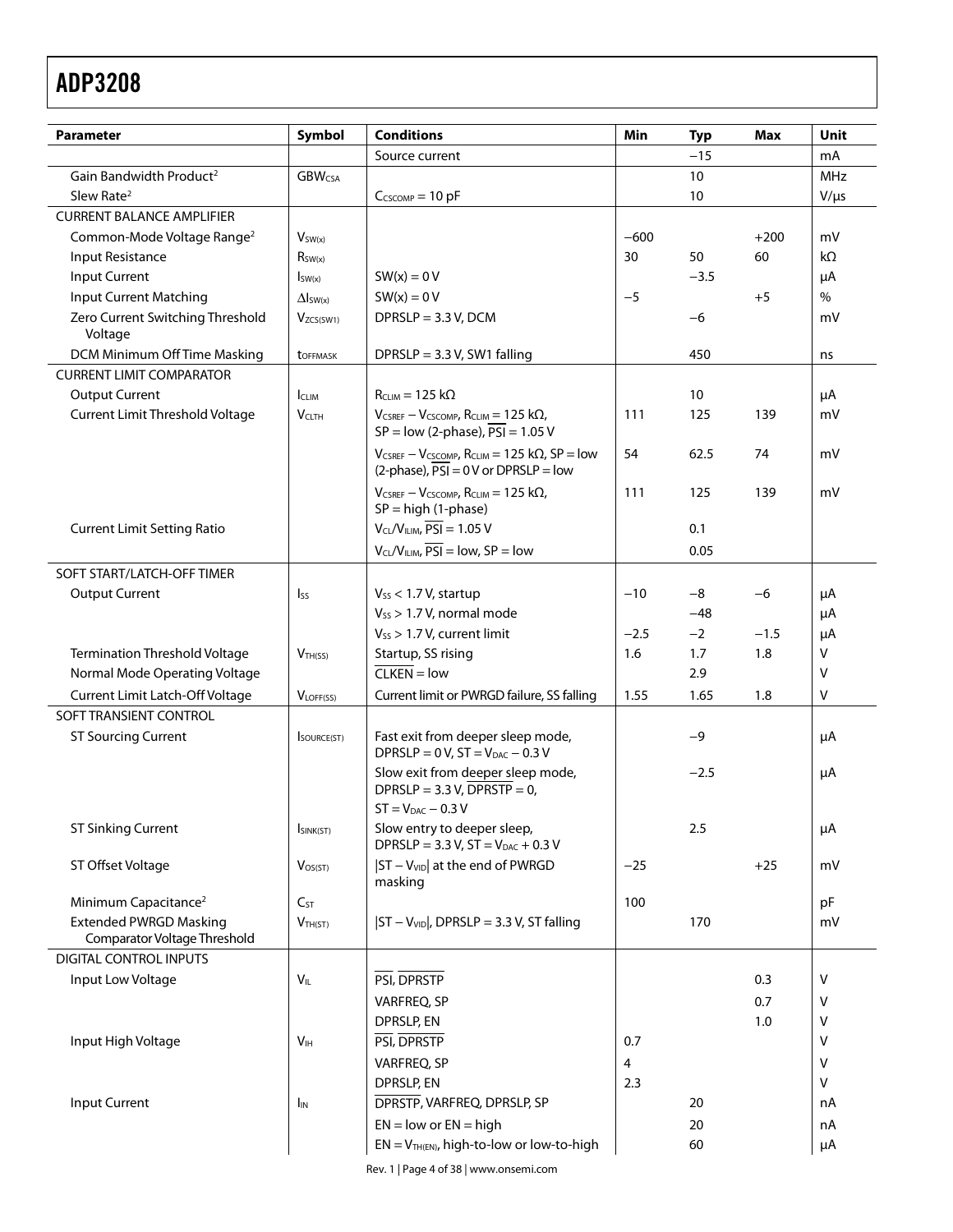| <b>Parameter</b>                                              | Symbol                   | <b>Conditions</b>                                                                                                | Min    | <b>Typ</b> | Max    | Unit       |
|---------------------------------------------------------------|--------------------------|------------------------------------------------------------------------------------------------------------------|--------|------------|--------|------------|
|                                                               |                          | Source current                                                                                                   |        | $-15$      |        | mA         |
| Gain Bandwidth Product <sup>2</sup>                           | <b>GBW<sub>CSA</sub></b> |                                                                                                                  |        | 10         |        | <b>MHz</b> |
| Slew Rate <sup>2</sup>                                        |                          | $C_{CSCOMP} = 10 pF$                                                                                             |        | 10         |        | $V/\mu s$  |
| <b>CURRENT BALANCE AMPLIFIER</b>                              |                          |                                                                                                                  |        |            |        |            |
| Common-Mode Voltage Range <sup>2</sup>                        | $V_{SW(x)}$              |                                                                                                                  | $-600$ |            | $+200$ | mV         |
| Input Resistance                                              | $R_{SW(x)}$              |                                                                                                                  | 30     | 50         | 60     | kΩ         |
| <b>Input Current</b>                                          | $I_{SW(x)}$              | $SW(x) = 0 V$                                                                                                    |        | $-3.5$     |        | μA         |
| <b>Input Current Matching</b>                                 | $\Delta I_{SW(x)}$       | $SW(x) = 0 V$                                                                                                    | $-5$   |            | $+5$   | $\%$       |
| Zero Current Switching Threshold<br>Voltage                   | V <sub>ZCS(SW1)</sub>    | $DPRSLP = 3.3 V, DCM$                                                                                            |        | $-6$       |        | mV         |
| DCM Minimum Off Time Masking                                  | <b>t</b> OFFMASK         | DPRSLP = $3.3$ V, SW1 falling                                                                                    |        | 450        |        | ns         |
| <b>CURRENT LIMIT COMPARATOR</b>                               |                          |                                                                                                                  |        |            |        |            |
| <b>Output Current</b>                                         | <b>ICLIM</b>             | $R_{CLIM} = 125 k\Omega$                                                                                         |        | 10         |        | μA         |
| Current Limit Threshold Voltage                               | $V_{CLTH}$               | $V_{CSREF}-V_{CSCOMP}$ , R <sub>CLIM</sub> = 125 k $\Omega$ ,<br>$SP = low (2-phase), \overline{PSI} = 1.05 V$   | 111    | 125        | 139    | mV         |
|                                                               |                          | $V_{CSREF} - V_{CSCOMP}$ , RCLIM = 125 k $\Omega$ , SP = low<br>$(2-\text{phase})$ , $PSI = 0 V$ or DPRSLP = low | 54     | 62.5       | 74     | mV         |
|                                                               |                          | $V_{CSREF} - V_{CSCOMP}$ , RCLIM = 125 k $\Omega$ ,<br>$SP = high (1-phase)$                                     | 111    | 125        | 139    | mV         |
| <b>Current Limit Setting Ratio</b>                            |                          | $V_{CL}/V_{ILIM}$ , $\overline{PSI} = 1.05$ V                                                                    |        | 0.1        |        |            |
|                                                               |                          | $V_{CL}/V_{ILIM}$ , $\overline{PSI} = low$ , $SP = low$                                                          |        | 0.05       |        |            |
| SOFT START/LATCH-OFF TIMER                                    |                          |                                                                                                                  |        |            |        |            |
| <b>Output Current</b>                                         | I <sub>SS</sub>          | $V_{SS}$ < 1.7 V, startup                                                                                        | $-10$  | $-8$       | $-6$   | μA         |
|                                                               |                          | $V_{SS}$ > 1.7 V, normal mode                                                                                    |        | $-48$      |        | μA         |
|                                                               |                          | $V_{SS}$ > 1.7 V, current limit                                                                                  | $-2.5$ | $-2$       | $-1.5$ | μA         |
| Termination Threshold Voltage                                 | V <sub>TH(SS)</sub>      | Startup, SS rising                                                                                               | 1.6    | 1.7        | 1.8    | $\vee$     |
| Normal Mode Operating Voltage                                 |                          | $CLKEN = low$                                                                                                    |        | 2.9        |        | $\vee$     |
| Current Limit Latch-Off Voltage                               | $V_{LOFF(SS)}$           | Current limit or PWRGD failure, SS falling                                                                       | 1.55   | 1.65       | 1.8    | $\vee$     |
| SOFT TRANSIENT CONTROL                                        |                          |                                                                                                                  |        |            |        |            |
| <b>ST Sourcing Current</b>                                    | SOURCE(ST)               | Fast exit from deeper sleep mode,<br>DPRSLP = $0 V$ , ST = $V_{DAC}$ - 0.3 V                                     |        | $-9$       |        | μA         |
|                                                               |                          | Slow exit from deeper sleep mode,<br>DPRSLP = $3.3$ V, DPRSTP = 0,<br>$ST = V_{DAC} - 0.3 V$                     |        | $-2.5$     |        | μA         |
| <b>ST Sinking Current</b>                                     | ISINK(ST)                | Slow entry to deeper sleep,<br>DPRSLP = $3.3$ V, ST = $V_{DAC}$ + 0.3 V                                          |        | 2.5        |        | $\mu$ A    |
| ST Offset Voltage                                             | $V_{OS(ST)}$             | $ ST - V_{VID} $ at the end of PWRGD<br>masking                                                                  | $-25$  |            | $+25$  | mV         |
| Minimum Capacitance <sup>2</sup>                              | $C_{ST}$                 |                                                                                                                  | 100    |            |        | pF         |
| <b>Extended PWRGD Masking</b><br>Comparator Voltage Threshold | $V_{TH(ST)}$             | $ ST - V_{VID} $ , DPRSLP = 3.3 V, ST falling                                                                    |        | 170        |        | mV         |
| DIGITAL CONTROL INPUTS                                        |                          |                                                                                                                  |        |            |        |            |
| Input Low Voltage                                             | $V_{IL}$                 | PSI, DPRSTP                                                                                                      |        |            | 0.3    | V          |
|                                                               |                          | VARFREQ, SP                                                                                                      |        |            | 0.7    | V          |
|                                                               |                          | <b>DPRSLP, EN</b>                                                                                                |        |            | 1.0    | V          |
| Input High Voltage                                            | V <sub>IH</sub>          | PSI, DPRSTP                                                                                                      | 0.7    |            |        | v          |
|                                                               |                          | VARFREQ, SP                                                                                                      | 4      |            |        | V          |
|                                                               |                          | <b>DPRSLP, EN</b>                                                                                                | 2.3    |            |        | V          |
| <b>Input Current</b>                                          | <b>I</b> <sub>IN</sub>   | DPRSTP, VARFREQ, DPRSLP, SP                                                                                      |        | 20         |        | nA         |
|                                                               |                          | $EN = low or EN = high$                                                                                          |        | 20         |        | nA         |
|                                                               |                          | $EN = V_{TH(EN)}$ , high-to-low or low-to-high                                                                   |        | 60         |        | μA         |
|                                                               |                          |                                                                                                                  |        |            |        |            |

Rev. 1 | Page 4 of 38 | www.onsemi.com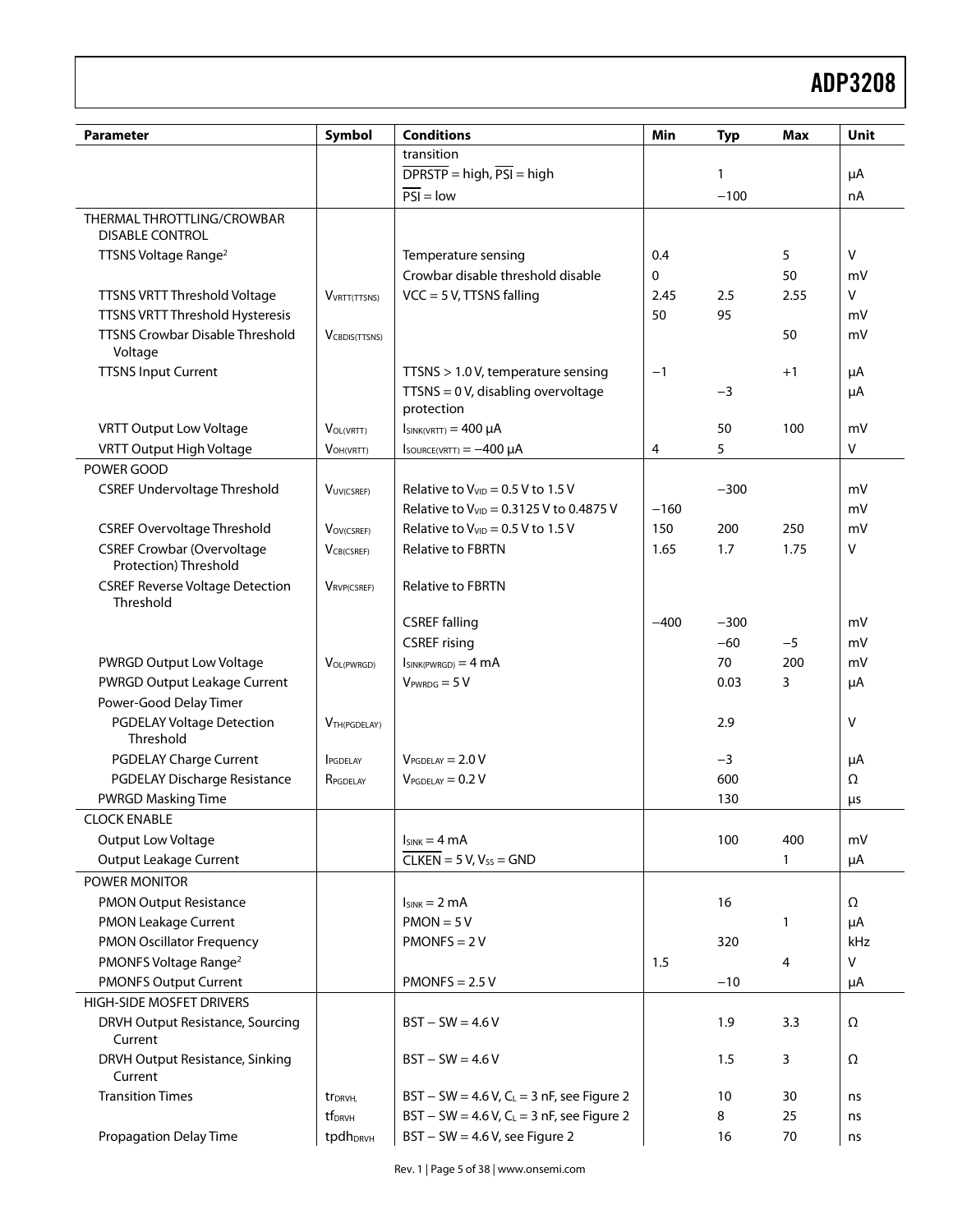## Example 2014 and 2015 and 2016 and 2016 and 2016 and 2017 and 2018 and 2018 and 2018 and 2018 and 2018 and 201

| <b>Parameter</b>                                           | Symbol                   | <b>Conditions</b>                                   | Min         | <b>Typ</b> | <b>Max</b> | Unit         |
|------------------------------------------------------------|--------------------------|-----------------------------------------------------|-------------|------------|------------|--------------|
|                                                            |                          | transition                                          |             |            |            |              |
|                                                            |                          | $\overline{DPRSTP}$ = high, $\overline{PSI}$ = high |             | 1          |            | μA           |
|                                                            |                          | $PSI = low$                                         |             | $-100$     |            | nA           |
| THERMAL THROTTLING/CROWBAR<br><b>DISABLE CONTROL</b>       |                          |                                                     |             |            |            |              |
| TTSNS Voltage Range <sup>2</sup>                           |                          | Temperature sensing                                 | 0.4         |            | 5          | $\mathsf{V}$ |
|                                                            |                          | Crowbar disable threshold disable                   | $\mathbf 0$ |            | 50         | mV           |
| TTSNS VRTT Threshold Voltage                               | VVRTT(TTSNS)             | $VCC = 5 V$ , TTSNS falling                         | 2.45        | 2.5        | 2.55       | V            |
| TTSNS VRTT Threshold Hysteresis                            |                          |                                                     | 50          | 95         |            | mV           |
| TTSNS Crowbar Disable Threshold<br>Voltage                 | <b>V</b> CBDIS(TTSNS)    |                                                     |             |            | 50         | mV           |
| <b>TTSNS Input Current</b>                                 |                          | TTSNS > 1.0 V, temperature sensing                  | $-1$        |            | $+1$       | μA           |
|                                                            |                          | $TTSNS = 0 V$ , disabling overvoltage<br>protection |             | $-3$       |            | μA           |
| <b>VRTT Output Low Voltage</b>                             | VOL(VRTT)                | $I_{SINK(VRTT)} = 400 \mu A$                        |             | 50         | 100        | mV           |
| VRTT Output High Voltage                                   | $V_{OH(VRTT)}$           | $I_{\text{SOURCE(VRTT)}} = -400 \mu A$              | 4           | 5          |            | V            |
| POWER GOOD                                                 |                          |                                                     |             |            |            |              |
| <b>CSREF Undervoltage Threshold</b>                        | VUV(CSREF)               | Relative to $V_{VID} = 0.5 V$ to 1.5 V              |             | $-300$     |            | mV           |
|                                                            |                          | Relative to $V_{VID} = 0.3125$ V to 0.4875 V        | $-160$      |            |            | mV           |
| <b>CSREF Overvoltage Threshold</b>                         | VOV(CSREF)               | Relative to $V_{VID} = 0.5 V$ to 1.5 V              | 150         | 200        | 250        | mV           |
| <b>CSREF Crowbar (Overvoltage</b><br>Protection) Threshold | VCB(CSREF)               | <b>Relative to FBRTN</b>                            | 1.65        | 1.7        | 1.75       | V            |
| <b>CSREF Reverse Voltage Detection</b><br>Threshold        | VRVP(CSREF)              | <b>Relative to FBRTN</b>                            |             |            |            |              |
|                                                            |                          | <b>CSREF falling</b>                                | $-400$      | $-300$     |            | mV           |
|                                                            |                          | <b>CSREF</b> rising                                 |             | $-60$      | $-5$       | mV           |
| PWRGD Output Low Voltage                                   | VOL(PWRGD)               | $I_{SINK(PWRGD)} = 4 mA$                            |             | 70         | 200        | mV           |
| PWRGD Output Leakage Current                               |                          | $V_{PWRDG} = 5 V$                                   |             | 0.03       | 3          | μA           |
| Power-Good Delay Timer                                     |                          |                                                     |             |            |            |              |
| <b>PGDELAY Voltage Detection</b><br>Threshold              | V <sub>TH(PGDELAY)</sub> |                                                     |             | 2.9        |            | v            |
| <b>PGDELAY Charge Current</b>                              | <b>I</b> PGDELAY         | $V_{PGDELAY} = 2.0 V$                               |             | $-3$       |            | μA           |
| PGDELAY Discharge Resistance                               | RPGDELAY                 | $V_{PGDELAY} = 0.2 V$                               |             | 600        |            | Ω            |
| <b>PWRGD Masking Time</b>                                  |                          |                                                     |             | 130        |            | μs           |
| <b>CLOCK ENABLE</b>                                        |                          |                                                     |             |            |            |              |
| Output Low Voltage                                         |                          | $I_{SINK} = 4 mA$                                   |             | 100        | 400        | mV           |
| Output Leakage Current                                     |                          | $CLKEN = 5 V, Vss = GND$                            |             |            | 1          | μA           |
| POWER MONITOR                                              |                          |                                                     |             |            |            |              |
| <b>PMON Output Resistance</b>                              |                          | $I_{SINK} = 2 mA$                                   |             | 16         |            | Ω            |
| PMON Leakage Current                                       |                          | $PMON = 5V$                                         |             |            | 1          | μA           |
| <b>PMON Oscillator Frequency</b>                           |                          | $PMONFS = 2V$                                       |             | 320        |            | kHz          |
| PMONFS Voltage Range <sup>2</sup>                          |                          |                                                     | 1.5         |            | 4          | V            |
| <b>PMONFS Output Current</b>                               |                          | $PMONFS = 2.5 V$                                    |             | $-10$      |            | μA           |
| HIGH-SIDE MOSFET DRIVERS                                   |                          |                                                     |             |            |            |              |
| DRVH Output Resistance, Sourcing<br>Current                |                          | $BST - SW = 4.6 V$                                  |             | 1.9        | 3.3        | Ω            |
| DRVH Output Resistance, Sinking<br>Current                 |                          | $BST - SW = 4.6 V$                                  |             | 1.5        | 3          | Ω            |
| <b>Transition Times</b>                                    | tr <sub>DRVH</sub>       | $BST - SW = 4.6 V, CL = 3 nF,$ see Figure 2         |             | 10         | 30         | ns           |
|                                                            | tf <sub>DRVH</sub>       | $BST - SW = 4.6 V, CL = 3 nF,$ see Figure 2         |             | 8          | 25         | ns           |
| <b>Propagation Delay Time</b>                              | tpdhDRVH                 | $BST - SW = 4.6 V$ , see Figure 2                   |             | 16         | $70\,$     | ns           |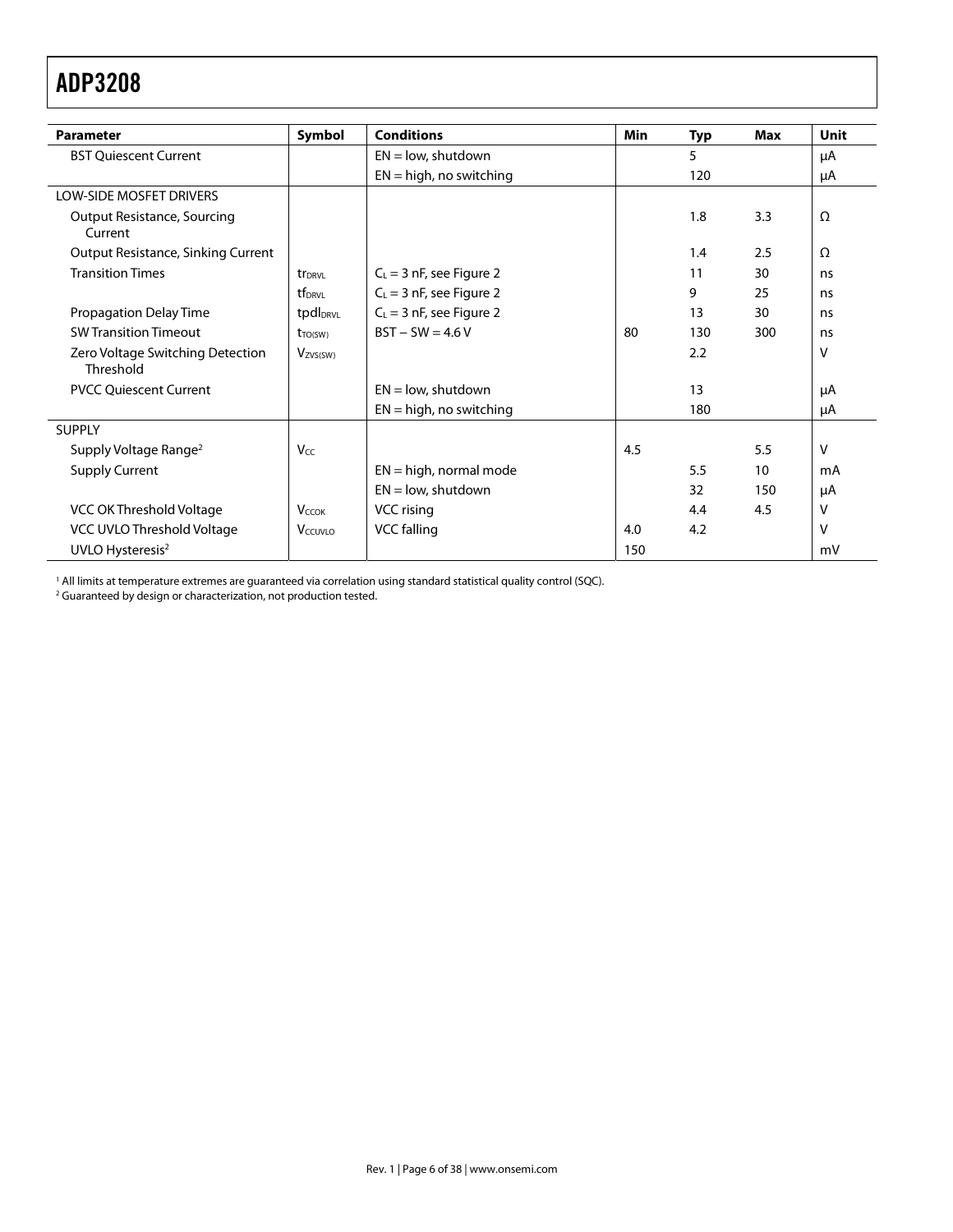| <b>Parameter</b>                              | Symbol               | <b>Conditions</b>          | Min | Typ | Max | Unit     |
|-----------------------------------------------|----------------------|----------------------------|-----|-----|-----|----------|
| <b>BST Quiescent Current</b>                  |                      | $EN = low$ , shutdown      |     | 5   |     | μA       |
|                                               |                      | $EN = high$ , no switching |     | 120 |     | μA       |
| <b>LOW-SIDE MOSFET DRIVERS</b>                |                      |                            |     |     |     |          |
| <b>Output Resistance, Sourcing</b><br>Current |                      |                            |     | 1.8 | 3.3 | Ω        |
| Output Resistance, Sinking Current            |                      |                            |     | 1.4 | 2.5 | $\Omega$ |
| <b>Transition Times</b>                       | tr <sub>DRVL</sub>   | $C_L = 3$ nF, see Figure 2 |     | 11  | 30  | ns       |
|                                               | tf <sub>DRVI</sub>   | $C_L$ = 3 nF, see Figure 2 |     | 9   | 25  | ns       |
| <b>Propagation Delay Time</b>                 | tpdl <sub>DRVL</sub> | $C_L = 3$ nF, see Figure 2 |     | 13  | 30  | ns       |
| <b>SW Transition Timeout</b>                  | $t_{TO(SW)}$         | $BST - SW = 4.6 V$         | 80  | 130 | 300 | ns       |
| Zero Voltage Switching Detection<br>Threshold | Vzvs(sw)             |                            |     | 2.2 |     | v        |
| <b>PVCC Quiescent Current</b>                 |                      | $EN = low$ , shutdown      |     | 13  |     | μA       |
|                                               |                      | $EN = high$ , no switching |     | 180 |     | μA       |
| <b>SUPPLY</b>                                 |                      |                            |     |     |     |          |
| Supply Voltage Range <sup>2</sup>             | Vcc                  |                            | 4.5 |     | 5.5 | v        |
| <b>Supply Current</b>                         |                      | $EN = high$ , normal mode  |     | 5.5 | 10  | mA       |
|                                               |                      | $EN = low$ , shutdown      |     | 32  | 150 | μA       |
| VCC OK Threshold Voltage                      | $V_{CCOK}$           | VCC rising                 |     | 4.4 | 4.5 | v        |
| VCC UVLO Threshold Voltage                    | V <sub>CCUVLO</sub>  | VCC falling                | 4.0 | 4.2 |     | v        |
| UVLO Hysteresis <sup>2</sup>                  |                      |                            | 150 |     |     | mV       |

<sup>1</sup> All limits at temperature extremes are guaranteed via correlation using standard statistical quality control (SQC).<br><sup>2</sup> Guaranteed by design or characterization, not production tested.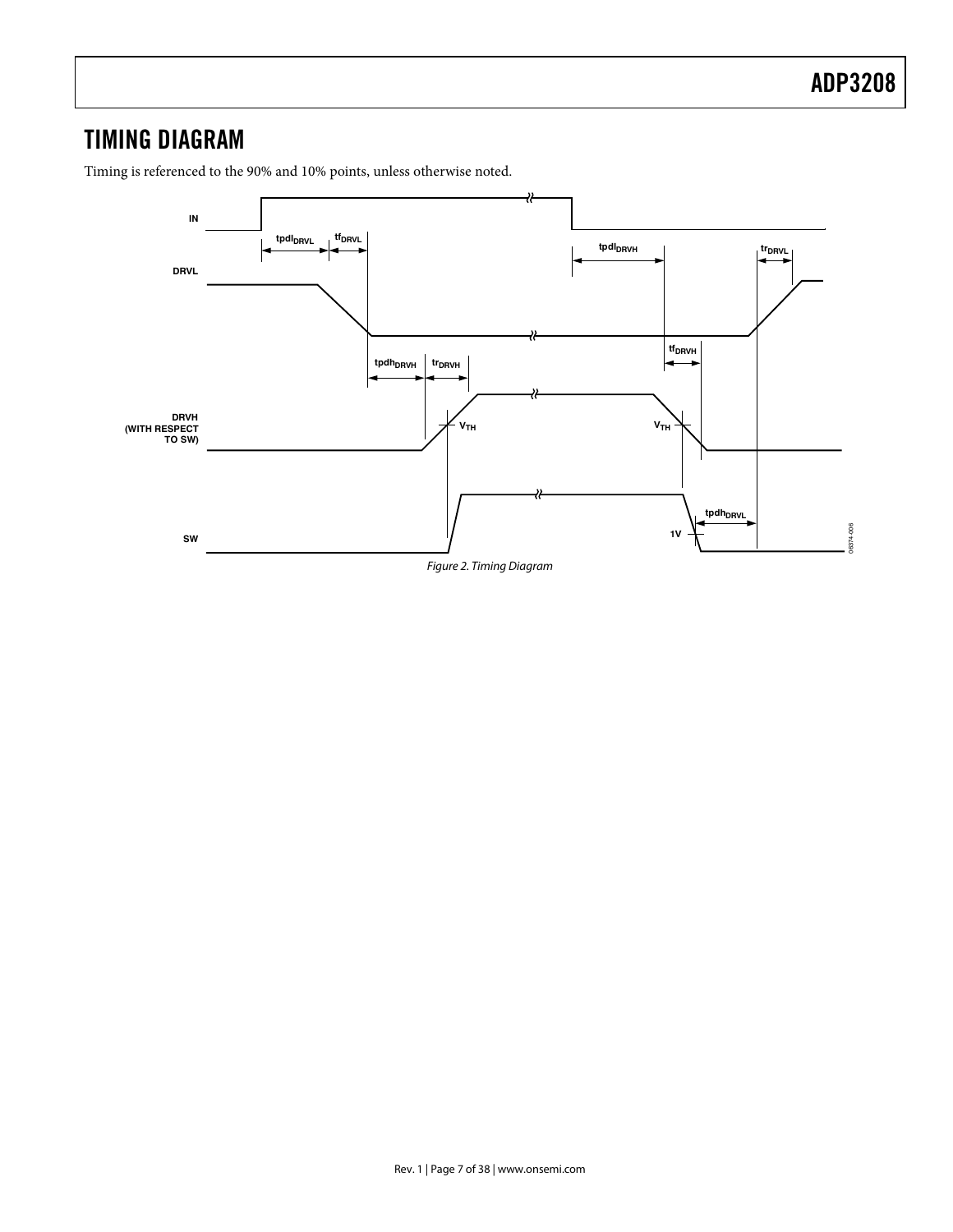Timing is referenced to the 90% and 10% points, unless otherwise noted.

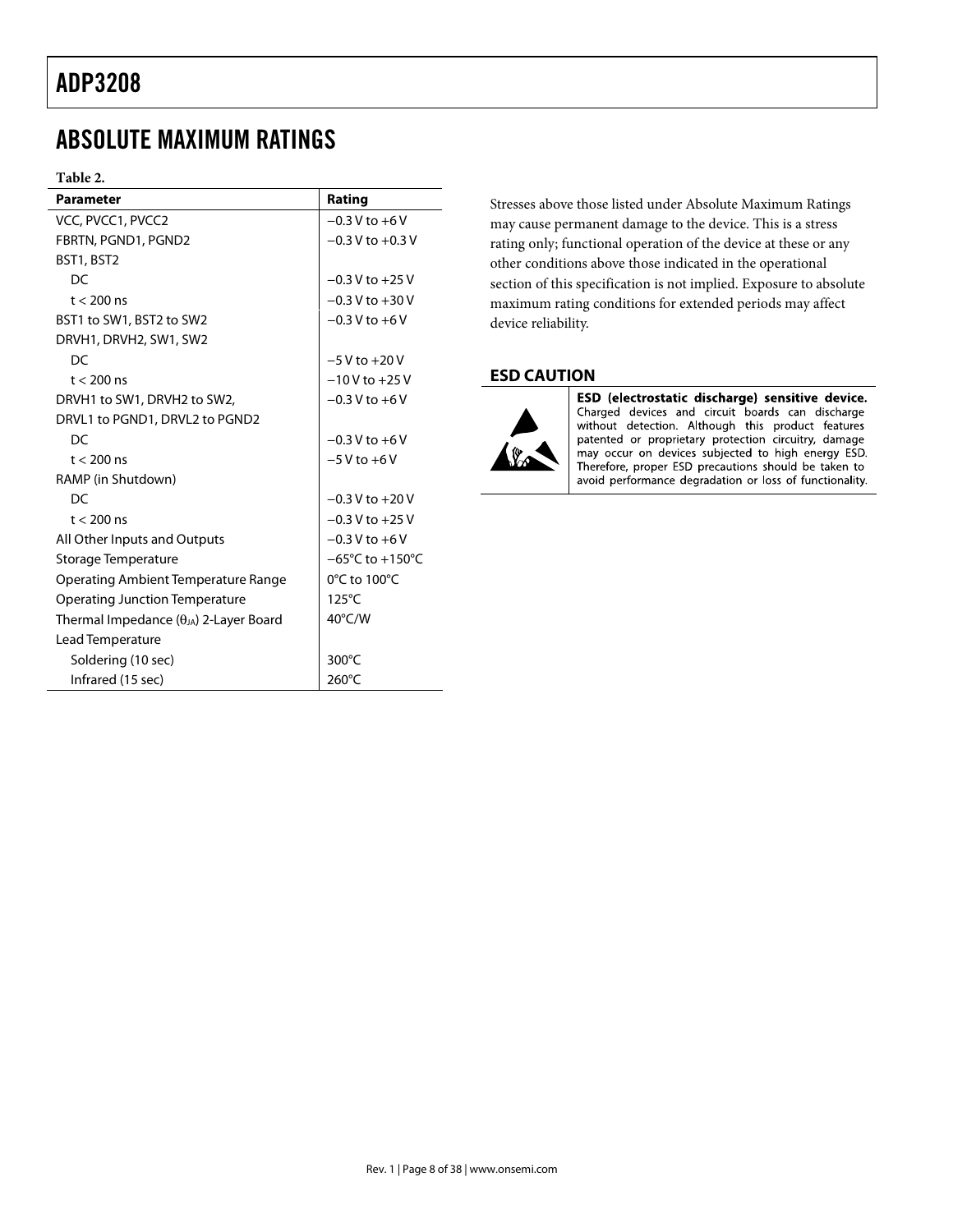## ABSOLUTE MAXIMUM RATINGS

#### **Table 2.**

| <b>Parameter</b>                                | Rating                              |
|-------------------------------------------------|-------------------------------------|
| VCC, PVCC1, PVCC2                               | $-0.3$ V to $+6$ V                  |
| FBRTN, PGND1, PGND2                             | $-0.3$ V to $+0.3$ V                |
| BST1, BST2                                      |                                     |
| DC                                              | $-0.3 V$ to $+25 V$                 |
| $t < 200$ ns                                    | $-0.3 V$ to $+30 V$                 |
| BST1 to SW1, BST2 to SW2                        | $-0.3 V$ to $+6V$                   |
| DRVH1, DRVH2, SW1, SW2                          |                                     |
| DC                                              | $-5V$ to $+20V$                     |
| $t < 200$ ns                                    | $-10V$ to $+25V$                    |
| DRVH1 to SW1, DRVH2 to SW2,                     | $-0.3 V$ to $+6 V$                  |
| DRVL1 to PGND1, DRVL2 to PGND2                  |                                     |
| DC                                              | $-0.3 V$ to $+6V$                   |
| $t < 200$ ns                                    | $-5V$ to $+6V$                      |
| RAMP (in Shutdown)                              |                                     |
| DC                                              | $-0.3 V$ to $+20 V$                 |
| $t < 200$ ns                                    | $-0.3$ V to $+25$ V                 |
| All Other Inputs and Outputs                    | $-0.3 V$ to $+6V$                   |
| Storage Temperature                             | $-65^{\circ}$ C to $+150^{\circ}$ C |
| Operating Ambient Temperature Range             | 0°C to 100°C                        |
| <b>Operating Junction Temperature</b>           | 125°C                               |
| Thermal Impedance $(\theta_{JA})$ 2-Layer Board | $40^{\circ}$ C/W                    |
| Lead Temperature                                |                                     |
| Soldering (10 sec)                              | $300^{\circ}$ C                     |
| Infrared (15 sec)                               | $260^{\circ}$ C                     |

Stresses above those listed under Absolute Maximum Ratings may cause permanent damage to the device. This is a stress rating only; functional operation of the device at these or any other conditions above those indicated in the operational section of this specification is not implied. Exposure to absolute maximum rating conditions for extended periods may affect device reliability.

## **ESD CAUTION**



ESD (electrostatic discharge) sensitive device. Charged devices and circuit boards can discharge<br>without detection. Although this product features patented or proprietary protection circuitry, damage may occur on devices subjected to high energy ESD. Therefore, proper ESD precautions should be taken to avoid performance degradation or loss of functionality.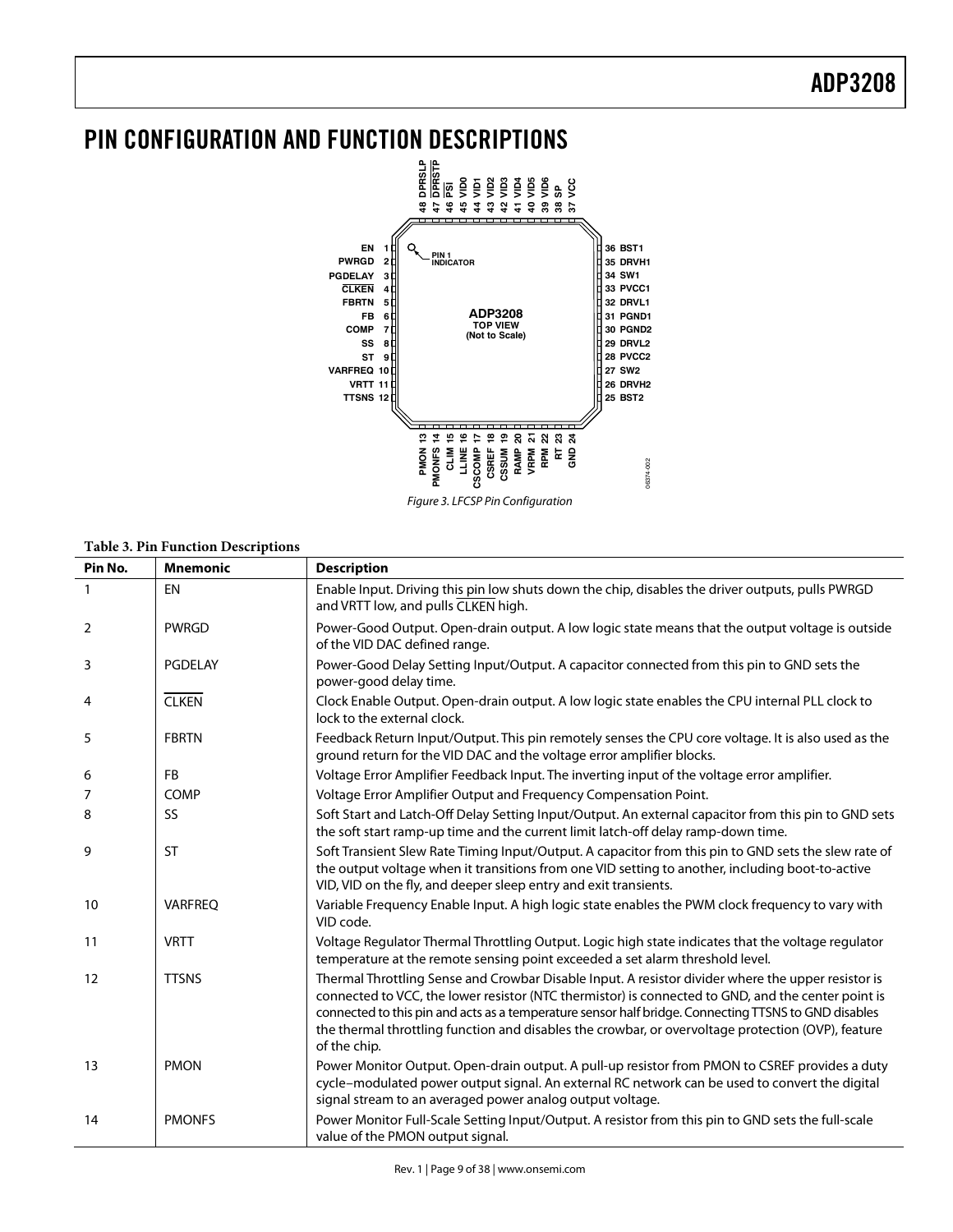

## **Table 3. Pin Function Descriptions**

| Pin No.        | <b>Mnemonic</b> | <b>Description</b>                                                                                                                                                                                                                                                                                                                                                                                                                     |
|----------------|-----------------|----------------------------------------------------------------------------------------------------------------------------------------------------------------------------------------------------------------------------------------------------------------------------------------------------------------------------------------------------------------------------------------------------------------------------------------|
| $\mathbf{1}$   | EN              | Enable Input. Driving this pin low shuts down the chip, disables the driver outputs, pulls PWRGD<br>and VRTT low, and pulls CLKEN high.                                                                                                                                                                                                                                                                                                |
| $\overline{2}$ | <b>PWRGD</b>    | Power-Good Output. Open-drain output. A low logic state means that the output voltage is outside<br>of the VID DAC defined range.                                                                                                                                                                                                                                                                                                      |
| 3              | PGDELAY         | Power-Good Delay Setting Input/Output. A capacitor connected from this pin to GND sets the<br>power-good delay time.                                                                                                                                                                                                                                                                                                                   |
| 4              | <b>CLKEN</b>    | Clock Enable Output. Open-drain output. A low logic state enables the CPU internal PLL clock to<br>lock to the external clock.                                                                                                                                                                                                                                                                                                         |
| 5              | <b>FBRTN</b>    | Feedback Return Input/Output. This pin remotely senses the CPU core voltage. It is also used as the<br>ground return for the VID DAC and the voltage error amplifier blocks.                                                                                                                                                                                                                                                           |
| 6              | <b>FB</b>       | Voltage Error Amplifier Feedback Input. The inverting input of the voltage error amplifier.                                                                                                                                                                                                                                                                                                                                            |
| 7              | <b>COMP</b>     | Voltage Error Amplifier Output and Frequency Compensation Point.                                                                                                                                                                                                                                                                                                                                                                       |
| 8              | <b>SS</b>       | Soft Start and Latch-Off Delay Setting Input/Output. An external capacitor from this pin to GND sets<br>the soft start ramp-up time and the current limit latch-off delay ramp-down time.                                                                                                                                                                                                                                              |
| 9              | <b>ST</b>       | Soft Transient Slew Rate Timing Input/Output. A capacitor from this pin to GND sets the slew rate of<br>the output voltage when it transitions from one VID setting to another, including boot-to-active<br>VID, VID on the fly, and deeper sleep entry and exit transients.                                                                                                                                                           |
| 10             | <b>VARFREQ</b>  | Variable Frequency Enable Input. A high logic state enables the PWM clock frequency to vary with<br>VID code.                                                                                                                                                                                                                                                                                                                          |
| 11             | <b>VRTT</b>     | Voltage Regulator Thermal Throttling Output. Logic high state indicates that the voltage regulator<br>temperature at the remote sensing point exceeded a set alarm threshold level.                                                                                                                                                                                                                                                    |
| 12             | <b>TTSNS</b>    | Thermal Throttling Sense and Crowbar Disable Input. A resistor divider where the upper resistor is<br>connected to VCC, the lower resistor (NTC thermistor) is connected to GND, and the center point is<br>connected to this pin and acts as a temperature sensor half bridge. Connecting TTSNS to GND disables<br>the thermal throttling function and disables the crowbar, or overvoltage protection (OVP), feature<br>of the chip. |
| 13             | <b>PMON</b>     | Power Monitor Output. Open-drain output. A pull-up resistor from PMON to CSREF provides a duty<br>cycle-modulated power output signal. An external RC network can be used to convert the digital<br>signal stream to an averaged power analog output voltage.                                                                                                                                                                          |
| 14             | <b>PMONFS</b>   | Power Monitor Full-Scale Setting Input/Output. A resistor from this pin to GND sets the full-scale<br>value of the PMON output signal.                                                                                                                                                                                                                                                                                                 |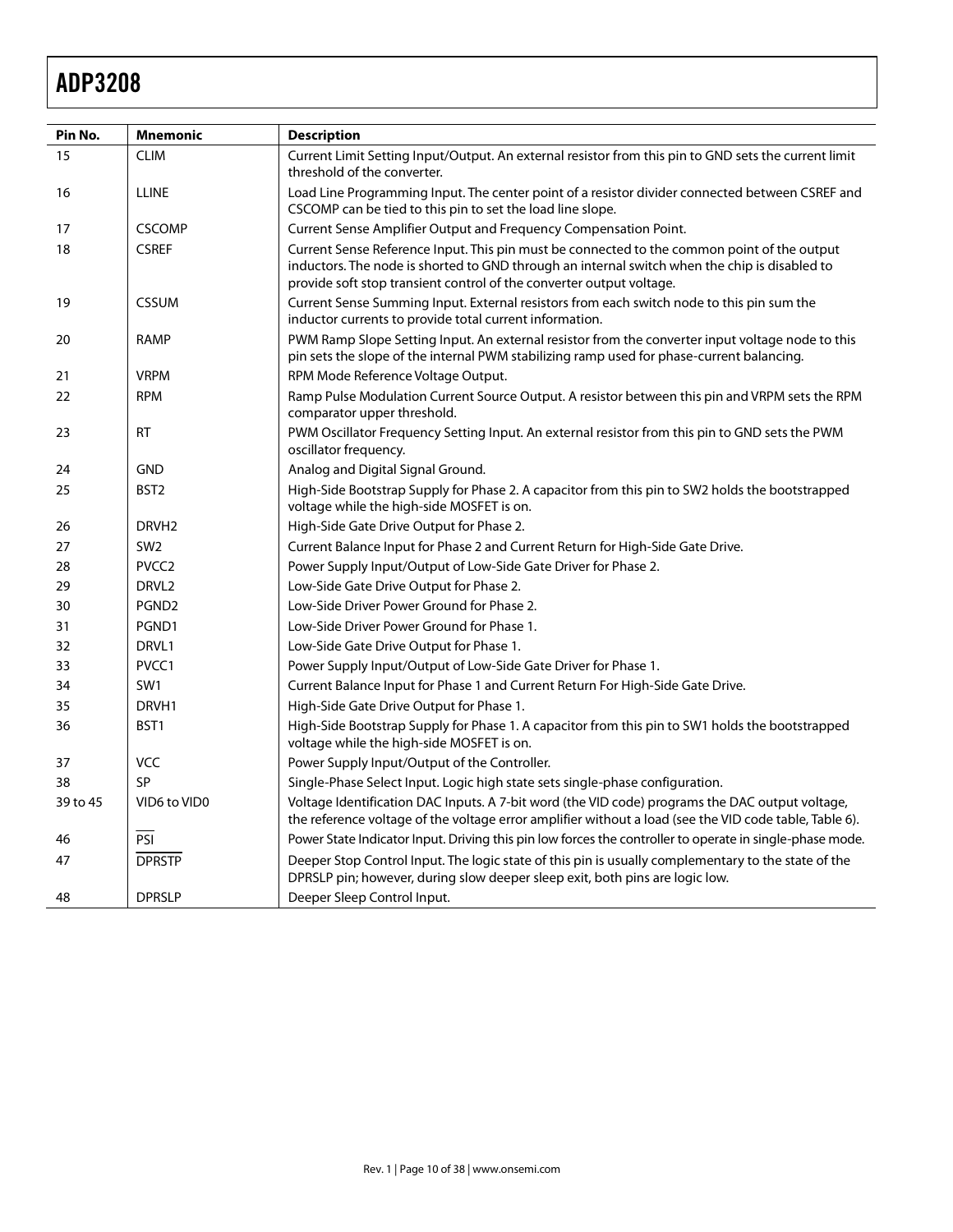| Pin No.  | <b>Mnemonic</b>   | <b>Description</b>                                                                                                                                                                                                                                                   |  |  |  |
|----------|-------------------|----------------------------------------------------------------------------------------------------------------------------------------------------------------------------------------------------------------------------------------------------------------------|--|--|--|
| 15       | <b>CLIM</b>       | Current Limit Setting Input/Output. An external resistor from this pin to GND sets the current limit<br>threshold of the converter.                                                                                                                                  |  |  |  |
| 16       | <b>LLINE</b>      | Load Line Programming Input. The center point of a resistor divider connected between CSREF and<br>CSCOMP can be tied to this pin to set the load line slope.                                                                                                        |  |  |  |
| 17       | <b>CSCOMP</b>     | Current Sense Amplifier Output and Frequency Compensation Point.                                                                                                                                                                                                     |  |  |  |
| 18       | <b>CSREF</b>      | Current Sense Reference Input. This pin must be connected to the common point of the output<br>inductors. The node is shorted to GND through an internal switch when the chip is disabled to<br>provide soft stop transient control of the converter output voltage. |  |  |  |
| 19       | <b>CSSUM</b>      | Current Sense Summing Input. External resistors from each switch node to this pin sum the<br>inductor currents to provide total current information.                                                                                                                 |  |  |  |
| 20       | <b>RAMP</b>       | PWM Ramp Slope Setting Input. An external resistor from the converter input voltage node to this<br>pin sets the slope of the internal PWM stabilizing ramp used for phase-current balancing.                                                                        |  |  |  |
| 21       | <b>VRPM</b>       | RPM Mode Reference Voltage Output.                                                                                                                                                                                                                                   |  |  |  |
| 22       | <b>RPM</b>        | Ramp Pulse Modulation Current Source Output. A resistor between this pin and VRPM sets the RPM<br>comparator upper threshold.                                                                                                                                        |  |  |  |
| 23       | <b>RT</b>         | PWM Oscillator Frequency Setting Input. An external resistor from this pin to GND sets the PWM<br>oscillator frequency.                                                                                                                                              |  |  |  |
| 24       | <b>GND</b>        | Analog and Digital Signal Ground.                                                                                                                                                                                                                                    |  |  |  |
| 25       | BST <sub>2</sub>  | High-Side Bootstrap Supply for Phase 2. A capacitor from this pin to SW2 holds the bootstrapped<br>voltage while the high-side MOSFET is on.                                                                                                                         |  |  |  |
| 26       | DRVH <sub>2</sub> | High-Side Gate Drive Output for Phase 2.                                                                                                                                                                                                                             |  |  |  |
| 27       | SW <sub>2</sub>   | Current Balance Input for Phase 2 and Current Return for High-Side Gate Drive.                                                                                                                                                                                       |  |  |  |
| 28       | PVCC <sub>2</sub> | Power Supply Input/Output of Low-Side Gate Driver for Phase 2.                                                                                                                                                                                                       |  |  |  |
| 29       | DRVL <sub>2</sub> | Low-Side Gate Drive Output for Phase 2.                                                                                                                                                                                                                              |  |  |  |
| 30       | PGND <sub>2</sub> | Low-Side Driver Power Ground for Phase 2.                                                                                                                                                                                                                            |  |  |  |
| 31       | PGND1             | Low-Side Driver Power Ground for Phase 1.                                                                                                                                                                                                                            |  |  |  |
| 32       | DRVL1             | Low-Side Gate Drive Output for Phase 1.                                                                                                                                                                                                                              |  |  |  |
| 33       | PVCC1             | Power Supply Input/Output of Low-Side Gate Driver for Phase 1.                                                                                                                                                                                                       |  |  |  |
| 34       | SW <sub>1</sub>   | Current Balance Input for Phase 1 and Current Return For High-Side Gate Drive.                                                                                                                                                                                       |  |  |  |
| 35       | DRVH1             | High-Side Gate Drive Output for Phase 1.                                                                                                                                                                                                                             |  |  |  |
| 36       | BST1              | High-Side Bootstrap Supply for Phase 1. A capacitor from this pin to SW1 holds the bootstrapped<br>voltage while the high-side MOSFET is on.                                                                                                                         |  |  |  |
| 37       | <b>VCC</b>        | Power Supply Input/Output of the Controller.                                                                                                                                                                                                                         |  |  |  |
| 38       | <b>SP</b>         | Single-Phase Select Input. Logic high state sets single-phase configuration.                                                                                                                                                                                         |  |  |  |
| 39 to 45 | VID6 to VID0      | Voltage Identification DAC Inputs. A 7-bit word (the VID code) programs the DAC output voltage,<br>the reference voltage of the voltage error amplifier without a load (see the VID code table, Table 6).                                                            |  |  |  |
| 46       | $\overline{PSI}$  | Power State Indicator Input. Driving this pin low forces the controller to operate in single-phase mode.                                                                                                                                                             |  |  |  |
| 47       | <b>DPRSTP</b>     | Deeper Stop Control Input. The logic state of this pin is usually complementary to the state of the<br>DPRSLP pin; however, during slow deeper sleep exit, both pins are logic low.                                                                                  |  |  |  |
| 48       | <b>DPRSLP</b>     | Deeper Sleep Control Input.                                                                                                                                                                                                                                          |  |  |  |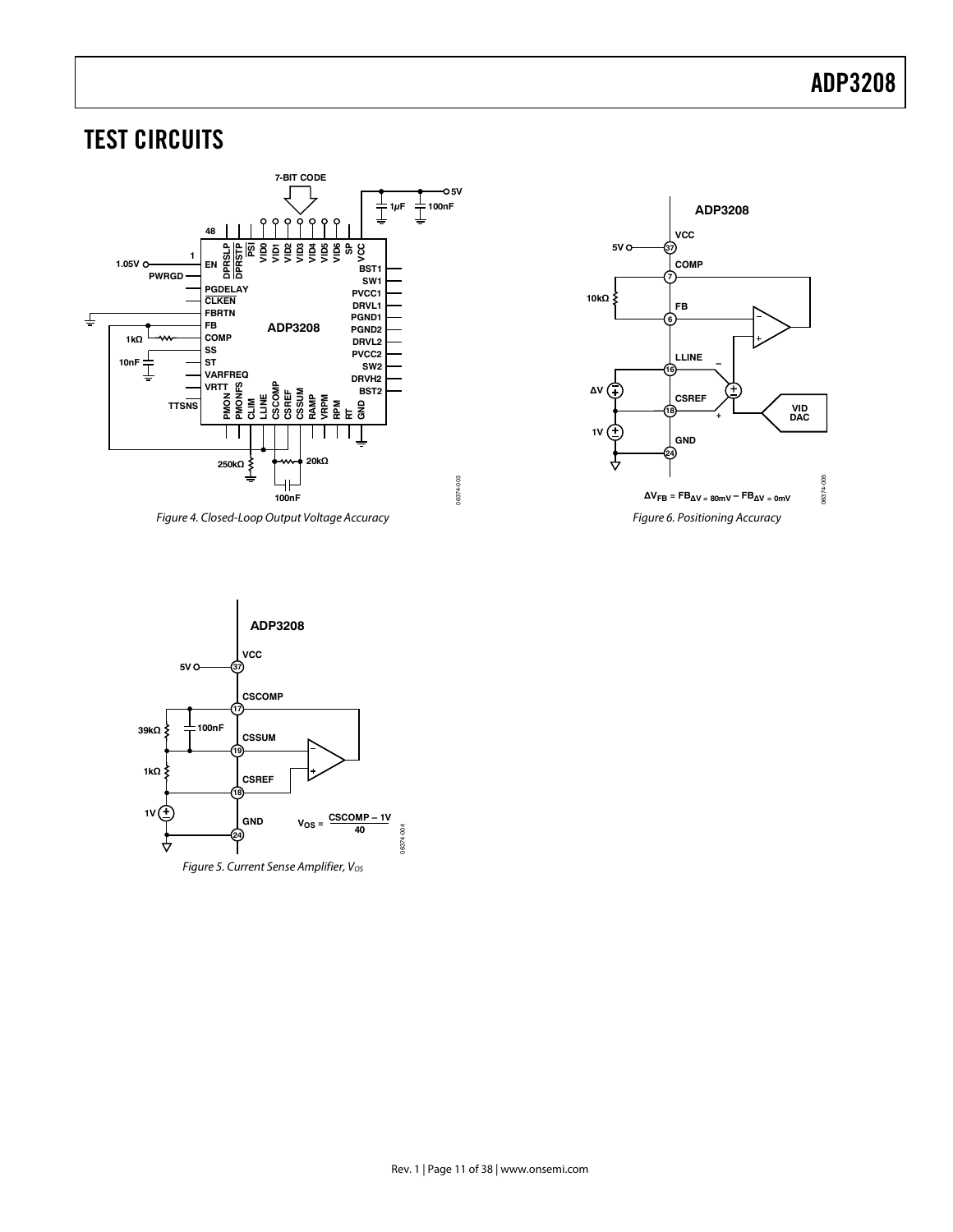## TEST CIRCUITS



Figure 4. Closed-Loop Output Voltage Accuracy



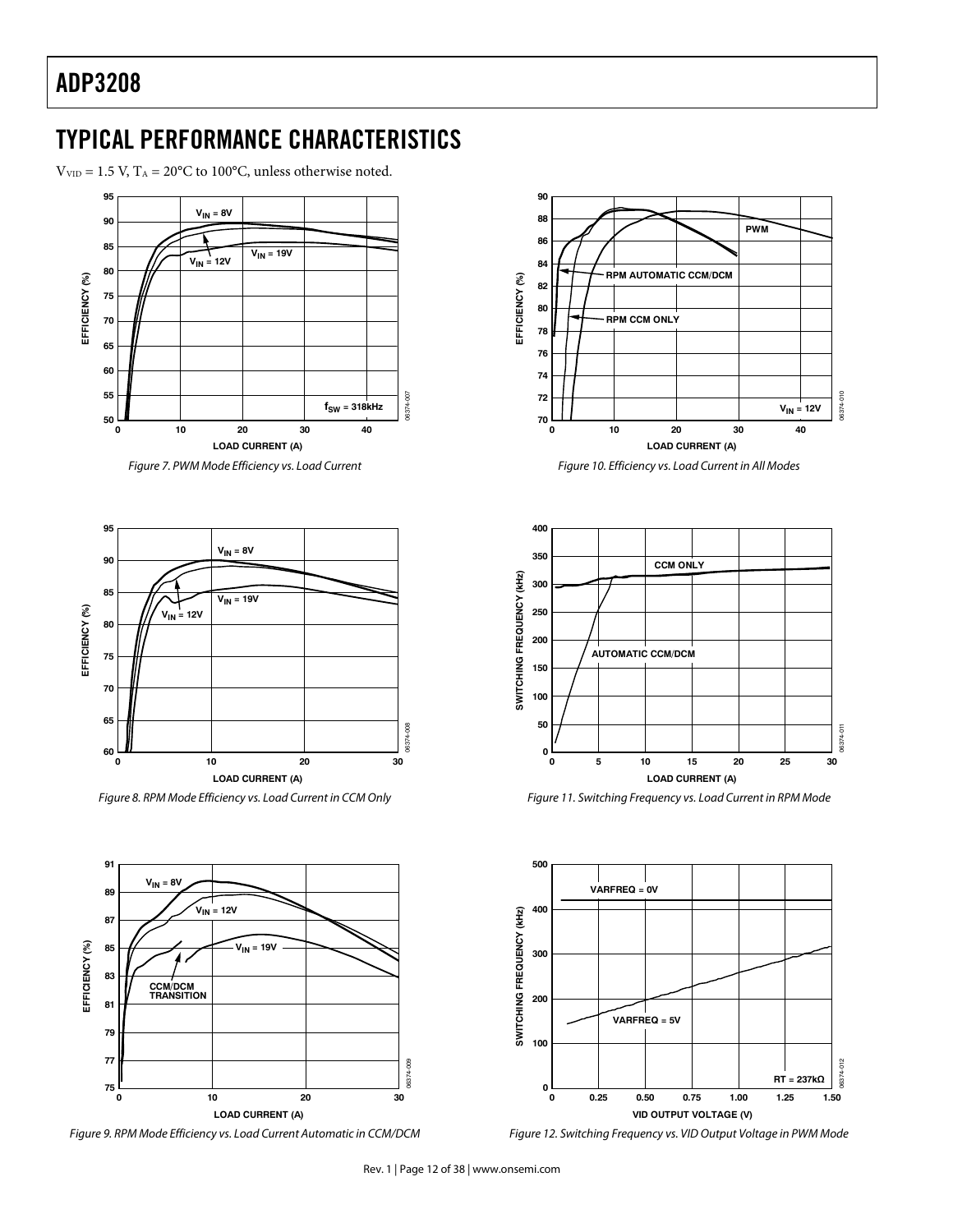$V_{\text{VID}} = 1.5$  V, T<sub>A</sub> = 20°C to 100°C, unless otherwise noted.



Figure 7. PWM Mode Efficiency vs. Load Current



Figure 8. RPM Mode Efficiency vs. Load Current in CCM Only







Figure 10. Efficiency vs. Load Current in All Modes



Figure 11. Switching Frequency vs. Load Current in RPM Mode



Figure 12. Switching Frequency vs. VID Output Voltage in PWM Mode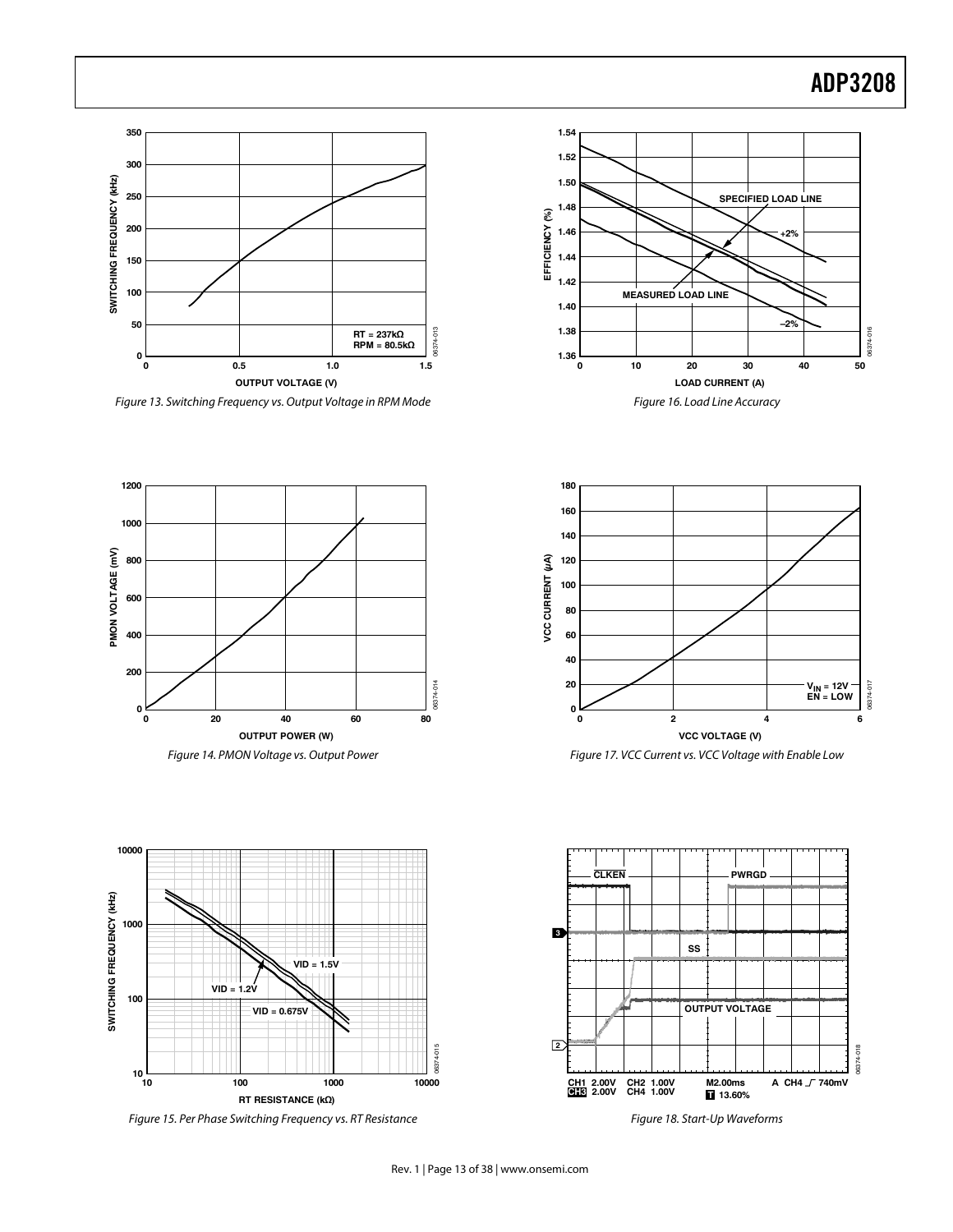## Example 2014 and 2015 and 2016 and 2016 and 2016 and 2017 and 2018 and 2018 and 2018 and 2018 and 2018 and 201



Figure 13. Switching Frequency vs. Output Voltage in RPM Mode

**1200**

**PMON VOLTAGE (mV)**<br> **2000**<br> **2000 800**

**600**

**400**

**200**

**0**







Figure 15. Per Phase Switching Frequency vs. RT Resistance





Figure 18. Start-Up Waveforms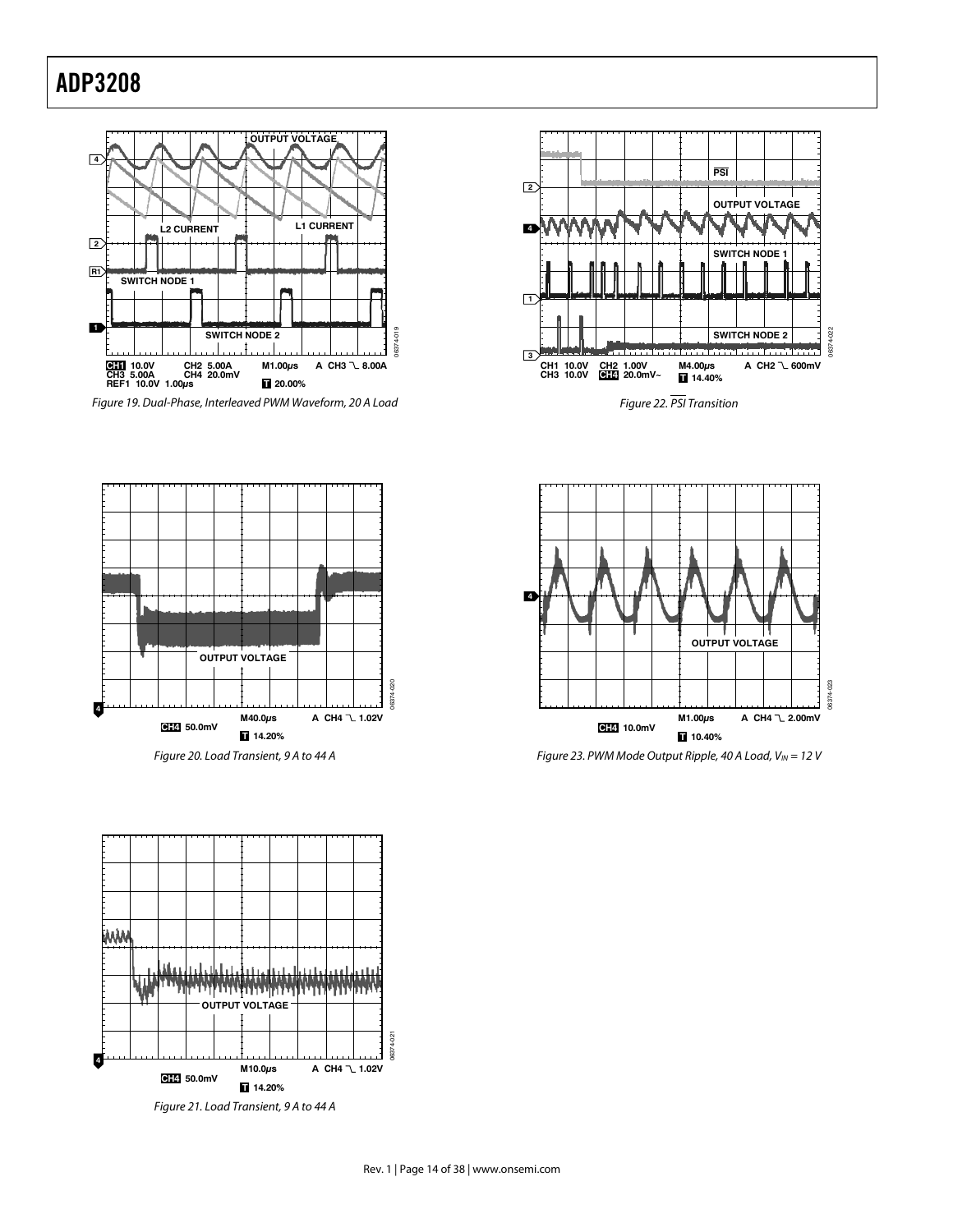



Figure 22. PSI Transition



Figure 20. Load Transient, 9 A to 44 A



Figure 23. PWM Mode Output Ripple, 40 A Load,  $V_{IN} = 12$  V



Figure 21. Load Transient, 9 A to 44 A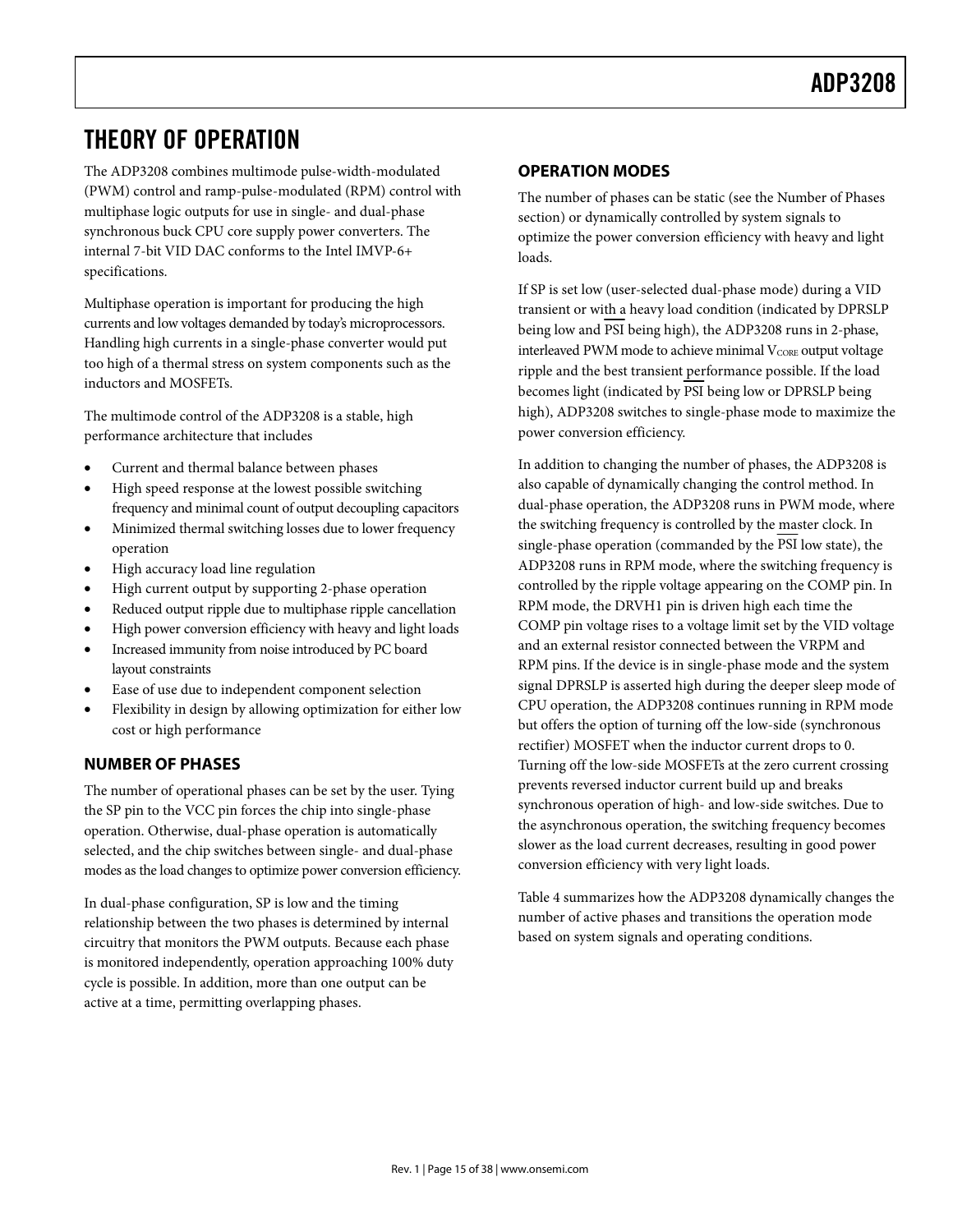## **THEORY OF OPERATION**

The ADP3208 combines multimode pulse-width-modulated (PWM) control and ramp-pulse-modulated (RPM) control with multiphase logic outputs for use in single- and dual-phase synchronous buck CPU core supply power converters. The internal 7-bit VID DAC conforms to the Intel IMVP-6+ specifications.

Multiphase operation is important for producing the high currents and low voltages demanded by today's microprocessors. Handling high currents in a single-phase converter would put too high of a thermal stress on system components such as the inductors and MOSFETs.

The multimode control of the ADP3208 is a stable, high performance architecture that includes

- Current and thermal balance between phases
- High speed response at the lowest possible switching frequency and minimal count of output decoupling capacitors
- Minimized thermal switching losses due to lower frequency operation
- High accuracy load line regulation
- High current output by supporting 2-phase operation
- Reduced output ripple due to multiphase ripple cancellation
- High power conversion efficiency with heavy and light loads
- Increased immunity from noise introduced by PC board layout constraints
- Ease of use due to independent component selection
- Flexibility in design by allowing optimization for either low cost or high performance

## **NUMBER OF PHASES**

The number of operational phases can be set by the user. Tying the SP pin to the VCC pin forces the chip into single-phase operation. Otherwise, dual-phase operation is automatically selected, and the chip switches between single- and dual-phase modes as the load changes to optimize power conversion efficiency.

In dual-phase configuration, SP is low and the timing relationship between the two phases is determined by internal circuitry that monitors the PWM outputs. Because each phase is monitored independently, operation approaching 100% duty cycle is possible. In addition, more than one output can be active at a time, permitting overlapping phases.

## **OPERATION MODES**

The number of phases can be static (see the Number of Phases section) or dynamically controlled by system signals to optimize the power conversion efficiency with heavy and light loads.

If SP is set low (user-selected dual-phase mode) during a VID transient or with a heavy load condition (indicated by DPRSLP being low and PSI being high), the ADP3208 runs in 2-phase, interleaved PWM mode to achieve minimal  $V_{\text{CORE}}$  output voltage ripple and the best transient performance possible. If the load becomes light (indicated by PSI being low or DPRSLP being high), ADP3208 switches to single-phase mode to maximize the power conversion efficiency.

In addition to changing the number of phases, the ADP3208 is also capable of dynamically changing the control method. In dual-phase operation, the ADP3208 runs in PWM mode, where the switching frequency is controlled by the master clock. In single-phase operation (commanded by the PSI low state), the ADP3208 runs in RPM mode, where the switching frequency is controlled by the ripple voltage appearing on the COMP pin. In RPM mode, the DRVH1 pin is driven high each time the COMP pin voltage rises to a voltage limit set by the VID voltage and an external resistor connected between the VRPM and RPM pins. If the device is in single-phase mode and the system signal DPRSLP is asserted high during the deeper sleep mode of CPU operation, the ADP3208 continues running in RPM mode but offers the option of turning off the low-side (synchronous rectifier) MOSFET when the inductor current drops to 0. Turning off the low-side MOSFETs at the zero current crossing prevents reversed inductor current build up and breaks synchronous operation of high- and low-side switches. Due to the asynchronous operation, the switching frequency becomes slower as the load current decreases, resulting in good power conversion efficiency with very light loads.

Table 4 summarizes how the ADP3208 dynamically changes the number of active phases and transitions the operation mode based on system signals and operating conditions.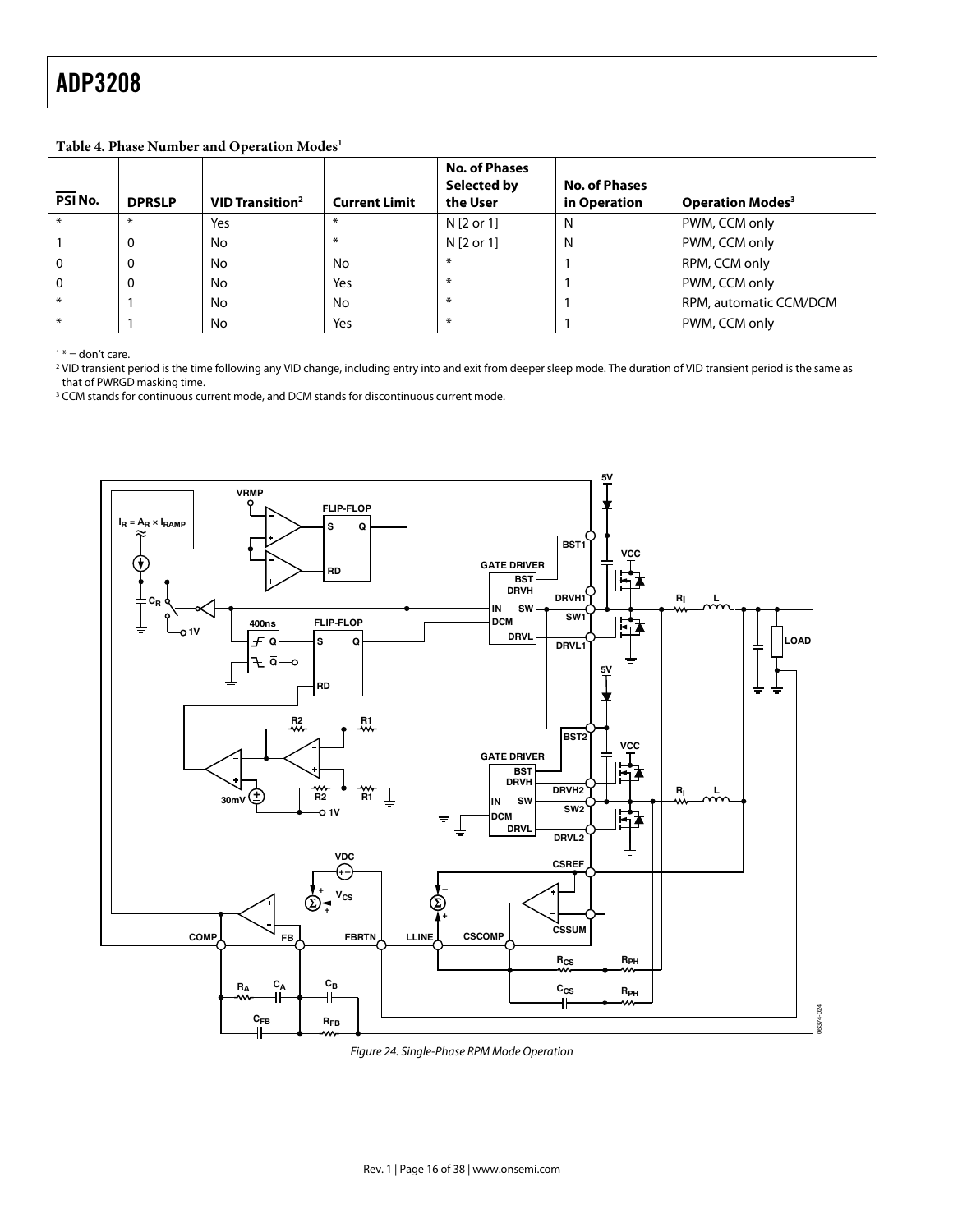**Table 4. Phase Number and Operation Modes1**

| PSI No.     | <b>DPRSLP</b> | <b>VID Transition<sup>2</sup></b> | <b>Current Limit</b> | <b>No. of Phases</b><br>Selected by<br>the User | <b>No. of Phases</b><br>in Operation | <b>Operation Modes<sup>3</sup></b> |
|-------------|---------------|-----------------------------------|----------------------|-------------------------------------------------|--------------------------------------|------------------------------------|
| $*$         | $*$           | Yes                               | $*$                  | N [2 or 1]                                      | N                                    | PWM, CCM only                      |
|             | 0             | No                                | $*$                  | N [2 or 1]                                      | N                                    | PWM, CCM only                      |
| $\mathbf 0$ | 0             | No                                | No                   | $\ast$                                          |                                      | RPM, CCM only                      |
| $\Omega$    | 0             | No                                | Yes                  | $\ast$                                          |                                      | PWM, CCM only                      |
| $*$         |               | No                                | No                   | $\ast$                                          |                                      | RPM, automatic CCM/DCM             |
| $*$         |               | No                                | Yes                  | $\ast$                                          |                                      | PWM, CCM only                      |

 $1* =$  don't care.

2 VID transient period is the time following any VID change, including entry into and exit from deeper sleep mode. The duration of VID transient period is the same as that of PWRGD masking time.

<sup>3</sup> CCM stands for continuous current mode, and DCM stands for discontinuous current mode.



Figure 24. Single-Phase RPM Mode Operation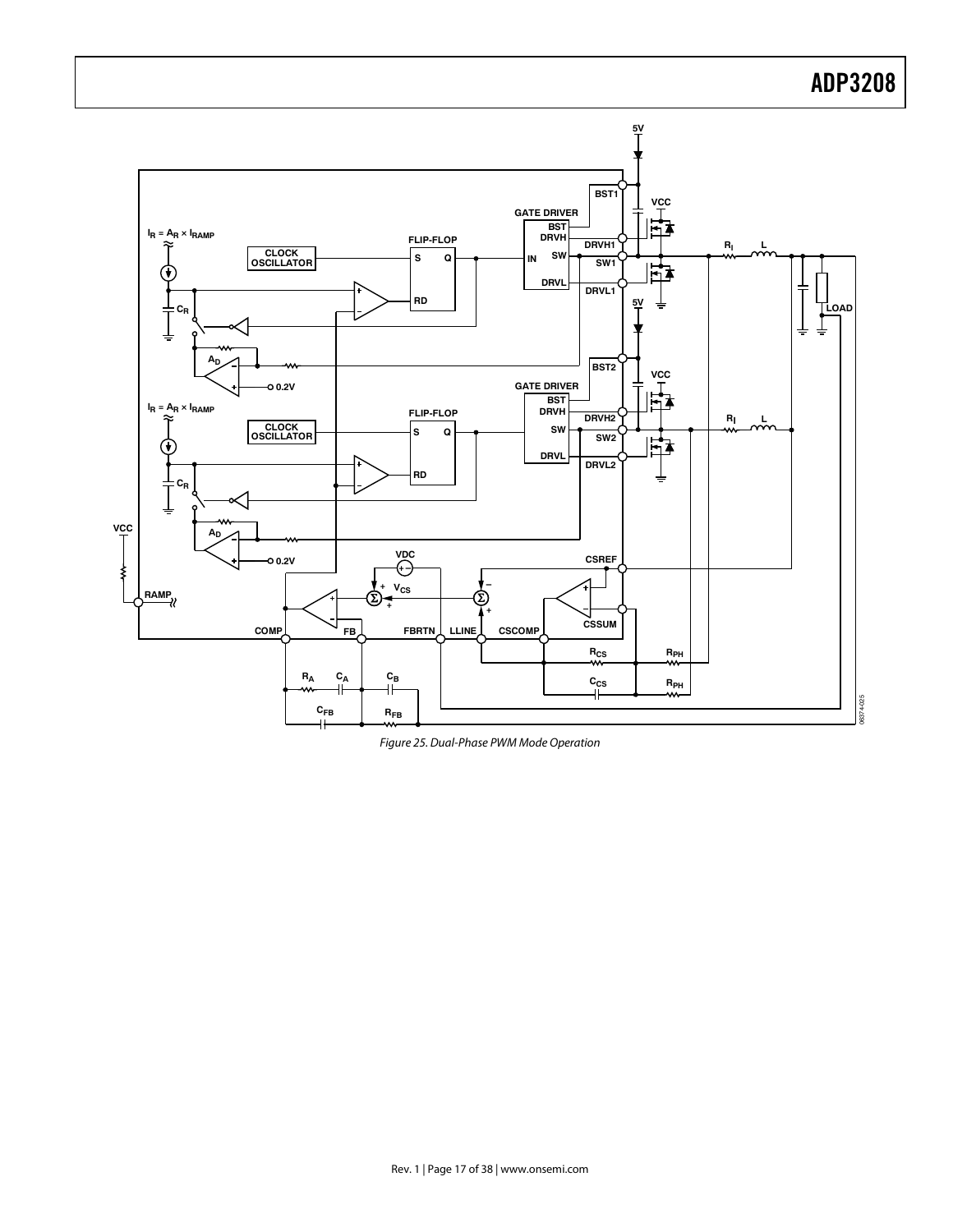

Figure 25. Dual-Phase PWM Mode Operation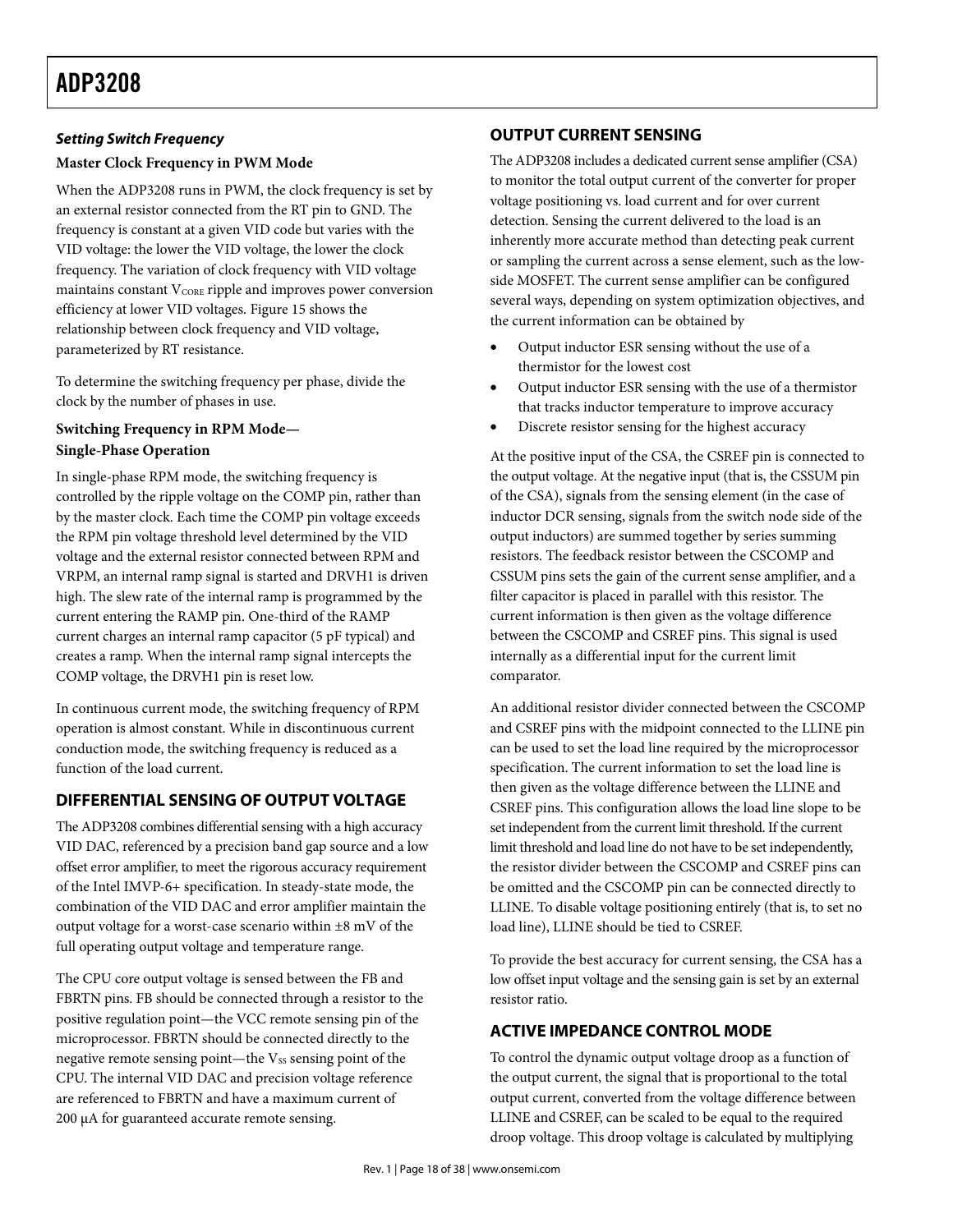## *Setting Switch Frequency*

## **Master Clock Frequency in PWM Mode**

When the ADP3208 runs in PWM, the clock frequency is set by an external resistor connected from the RT pin to GND. The frequency is constant at a given VID code but varies with the VID voltage: the lower the VID voltage, the lower the clock frequency. The variation of clock frequency with VID voltage maintains constant  $V_{CORE}$  ripple and improves power conversion efficiency at lower VID voltages. Figure 15 shows the relationship between clock frequency and VID voltage, parameterized by RT resistance.

To determine the switching frequency per phase, divide the clock by the number of phases in use.

## **Switching Frequency in RPM Mode— Single-Phase Operation**

In single-phase RPM mode, the switching frequency is controlled by the ripple voltage on the COMP pin, rather than by the master clock. Each time the COMP pin voltage exceeds the RPM pin voltage threshold level determined by the VID voltage and the external resistor connected between RPM and VRPM, an internal ramp signal is started and DRVH1 is driven high. The slew rate of the internal ramp is programmed by the current entering the RAMP pin. One-third of the RAMP current charges an internal ramp capacitor (5 pF typical) and creates a ramp. When the internal ramp signal intercepts the COMP voltage, the DRVH1 pin is reset low.

In continuous current mode, the switching frequency of RPM operation is almost constant. While in discontinuous current conduction mode, the switching frequency is reduced as a function of the load current.

## **DIFFERENTIAL SENSING OF OUTPUT VOLTAGE**

The ADP3208 combines differential sensing with a high accuracy VID DAC, referenced by a precision band gap source and a low offset error amplifier, to meet the rigorous accuracy requirement of the Intel IMVP-6+ specification. In steady-state mode, the combination of the VID DAC and error amplifier maintain the output voltage for a worst-case scenario within  $\pm 8$  mV of the full operating output voltage and temperature range.

The CPU core output voltage is sensed between the FB and FBRTN pins. FB should be connected through a resistor to the positive regulation point—the VCC remote sensing pin of the microprocessor. FBRTN should be connected directly to the negative remote sensing point—the  $V_{SS}$  sensing point of the CPU. The internal VID DAC and precision voltage reference are referenced to FBRTN and have a maximum current of 200 μA for guaranteed accurate remote sensing.

## **OUTPUT CURRENT SENSING**

The ADP3208 includes a dedicated current sense amplifier (CSA) to monitor the total output current of the converter for proper voltage positioning vs. load current and for over current detection. Sensing the current delivered to the load is an inherently more accurate method than detecting peak current or sampling the current across a sense element, such as the lowside MOSFET. The current sense amplifier can be configured several ways, depending on system optimization objectives, and the current information can be obtained by

- Output inductor ESR sensing without the use of a thermistor for the lowest cost
- Output inductor ESR sensing with the use of a thermistor that tracks inductor temperature to improve accuracy
- Discrete resistor sensing for the highest accuracy

At the positive input of the CSA, the CSREF pin is connected to the output voltage. At the negative input (that is, the CSSUM pin of the CSA), signals from the sensing element (in the case of inductor DCR sensing, signals from the switch node side of the output inductors) are summed together by series summing resistors. The feedback resistor between the CSCOMP and CSSUM pins sets the gain of the current sense amplifier, and a filter capacitor is placed in parallel with this resistor. The current information is then given as the voltage difference between the CSCOMP and CSREF pins. This signal is used internally as a differential input for the current limit comparator.

An additional resistor divider connected between the CSCOMP and CSREF pins with the midpoint connected to the LLINE pin can be used to set the load line required by the microprocessor specification. The current information to set the load line is then given as the voltage difference between the LLINE and CSREF pins. This configuration allows the load line slope to be set independent from the current limit threshold. If the current limit threshold and load line do not have to be set independently, the resistor divider between the CSCOMP and CSREF pins can be omitted and the CSCOMP pin can be connected directly to LLINE. To disable voltage positioning entirely (that is, to set no load line), LLINE should be tied to CSREF.

To provide the best accuracy for current sensing, the CSA has a low offset input voltage and the sensing gain is set by an external resistor ratio.

## **ACTIVE IMPEDANCE CONTROL MODE**

To control the dynamic output voltage droop as a function of the output current, the signal that is proportional to the total output current, converted from the voltage difference between LLINE and CSREF, can be scaled to be equal to the required droop voltage. This droop voltage is calculated by multiplying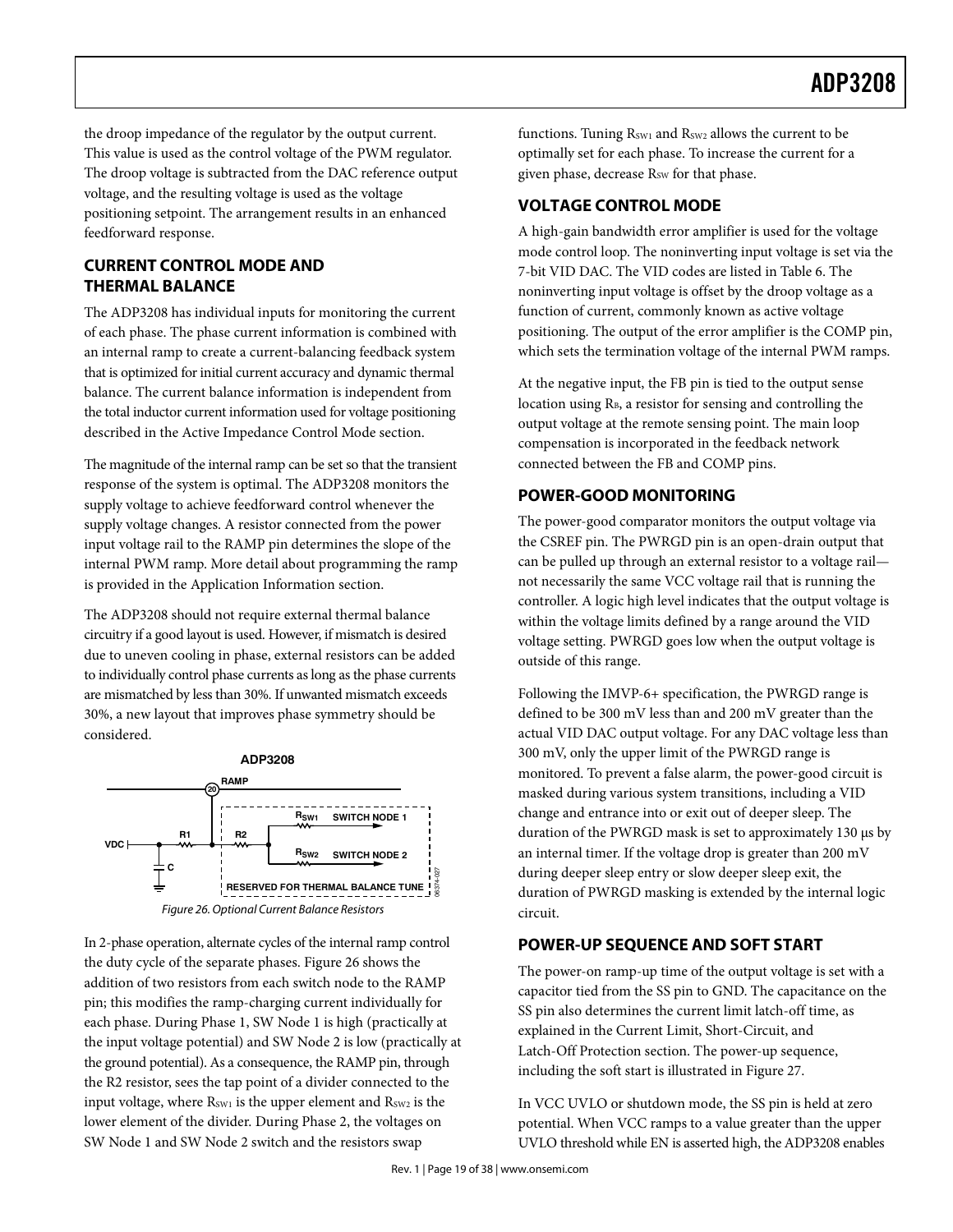the droop impedance of the regulator by the output current. This value is used as the control voltage of the PWM regulator. The droop voltage is subtracted from the DAC reference output voltage, and the resulting voltage is used as the voltage positioning setpoint. The arrangement results in an enhanced feedforward response.

## **CURRENT CONTROL MODE AND THERMAL BALANCE**

The ADP3208 has individual inputs for monitoring the current of each phase. The phase current information is combined with an internal ramp to create a current-balancing feedback system that is optimized for initial current accuracy and dynamic thermal balance. The current balance information is independent from the total inductor current information used for voltage positioning described in the Active Impedance Control Mode section.

The magnitude of the internal ramp can be set so that the transient response of the system is optimal. The ADP3208 monitors the supply voltage to achieve feedforward control whenever the supply voltage changes. A resistor connected from the power input voltage rail to the RAMP pin determines the slope of the internal PWM ramp. More detail about programming the ramp is provided in the Application Information section.

The ADP3208 should not require external thermal balance circuitry if a good layout is used. However, if mismatch is desired due to uneven cooling in phase, external resistors can be added to individually control phase currents as long as the phase currents are mismatched by less than 30%. If unwanted mismatch exceeds 30%, a new layout that improves phase symmetry should be considered.



In 2-phase operation, alternate cycles of the internal ramp control the duty cycle of the separate phases. Figure 26 shows the addition of two resistors from each switch node to the RAMP pin; this modifies the ramp-charging current individually for each phase. During Phase 1, SW Node 1 is high (practically at the input voltage potential) and SW Node 2 is low (practically at the ground potential). As a consequence, the RAMP pin, through the R2 resistor, sees the tap point of a divider connected to the input voltage, where  $R_{SW1}$  is the upper element and  $R_{SW2}$  is the lower element of the divider. During Phase 2, the voltages on SW Node 1 and SW Node 2 switch and the resistors swap

functions. Tuning  $R_{SW1}$  and  $R_{SW2}$  allows the current to be optimally set for each phase. To increase the current for a given phase, decrease R<sub>SW</sub> for that phase.

## **VOLTAGE CONTROL MODE**

A high-gain bandwidth error amplifier is used for the voltage mode control loop. The noninverting input voltage is set via the 7-bit VID DAC. The VID codes are listed in Table 6. The noninverting input voltage is offset by the droop voltage as a function of current, commonly known as active voltage positioning. The output of the error amplifier is the COMP pin, which sets the termination voltage of the internal PWM ramps.

At the negative input, the FB pin is tied to the output sense location using R<sub>B</sub>, a resistor for sensing and controlling the output voltage at the remote sensing point. The main loop compensation is incorporated in the feedback network connected between the FB and COMP pins.

## **POWER-GOOD MONITORING**

The power-good comparator monitors the output voltage via the CSREF pin. The PWRGD pin is an open-drain output that can be pulled up through an external resistor to a voltage rail not necessarily the same VCC voltage rail that is running the controller. A logic high level indicates that the output voltage is within the voltage limits defined by a range around the VID voltage setting. PWRGD goes low when the output voltage is outside of this range.

Following the IMVP-6+ specification, the PWRGD range is defined to be 300 mV less than and 200 mV greater than the actual VID DAC output voltage. For any DAC voltage less than 300 mV, only the upper limit of the PWRGD range is monitored. To prevent a false alarm, the power-good circuit is masked during various system transitions, including a VID change and entrance into or exit out of deeper sleep. The duration of the PWRGD mask is set to approximately 130 μs by an internal timer. If the voltage drop is greater than 200 mV during deeper sleep entry or slow deeper sleep exit, the duration of PWRGD masking is extended by the internal logic circuit.

## **POWER-UP SEQUENCE AND SOFT START**

The power-on ramp-up time of the output voltage is set with a capacitor tied from the SS pin to GND. The capacitance on the SS pin also determines the current limit latch-off time, as explained in the Current Limit, Short-Circuit, and Latch-Off Protection section. The power-up sequence, including the soft start is illustrated in Figure 27.

In VCC UVLO or shutdown mode, the SS pin is held at zero potential. When VCC ramps to a value greater than the upper UVLO threshold while EN is asserted high, the ADP3208 enables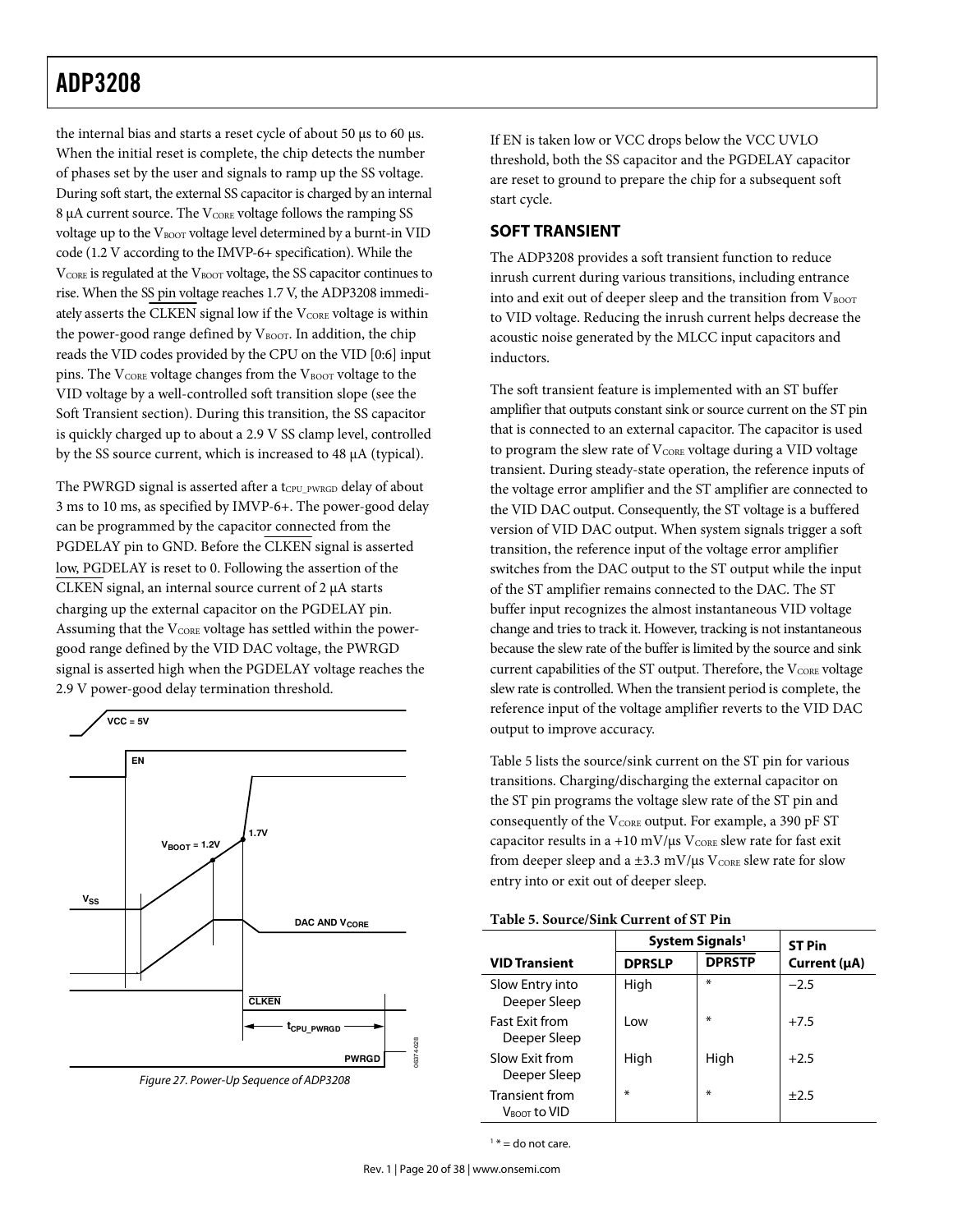## **ADP3208** ADP3208

the internal bias and starts a reset cycle of about 50 μs to 60 μs. When the initial reset is complete, the chip detects the number of phases set by the user and signals to ramp up the SS voltage. During soft start, the external SS capacitor is charged by an internal 8 μA current source. The V<sub>CORE</sub> voltage follows the ramping SS voltage up to the VBOOT voltage level determined by a burnt-in VID code (1.2 V according to the IMVP-6+ specification). While the V<sub>CORE</sub> is regulated at the V<sub>BOOT</sub> voltage, the SS capacitor continues to rise. When the SS pin voltage reaches 1.7 V, the ADP3208 immediately asserts the CLKEN signal low if the VCORE voltage is within the power-good range defined by  $V_{\text{BoOT}}$ . In addition, the chip reads the VID codes provided by the CPU on the VID [0:6] input pins. The  $V_{\text{CORE}}$  voltage changes from the  $V_{\text{BOOT}}$  voltage to the VID voltage by a well-controlled soft transition slope (see the Soft Transient section). During this transition, the SS capacitor is quickly charged up to about a 2.9 V SS clamp level, controlled by the SS source current, which is increased to 48 μA (typical).

The PWRGD signal is asserted after a t<sub>CPU\_PWRGD</sub> delay of about 3 ms to 10 ms, as specified by IMVP-6+. The power-good delay can be programmed by the capacitor connected from the PGDELAY pin to GND. Before the CLKEN signal is asserted low, PGDELAY is reset to 0. Following the assertion of the CLKEN signal, an internal source current of 2 μA starts charging up the external capacitor on the PGDELAY pin. Assuming that the  $V_{CORE}$  voltage has settled within the powergood range defined by the VID DAC voltage, the PWRGD signal is asserted high when the PGDELAY voltage reaches the 2.9 V power-good delay termination threshold.



Figure 27. Power-Up Sequence of ADP3208

If EN is taken low or VCC drops below the VCC UVLO threshold, both the SS capacitor and the PGDELAY capacitor are reset to ground to prepare the chip for a subsequent soft start cycle.

## **SOFT TRANSIENT**

The ADP3208 provides a soft transient function to reduce inrush current during various transitions, including entrance into and exit out of deeper sleep and the transition from  $V_{\rm BOOT}$ to VID voltage. Reducing the inrush current helps decrease the acoustic noise generated by the MLCC input capacitors and inductors.

The soft transient feature is implemented with an ST buffer amplifier that outputs constant sink or source current on the ST pin that is connected to an external capacitor. The capacitor is used to program the slew rate of  $V_{\text{CORE}}$  voltage during a VID voltage transient. During steady-state operation, the reference inputs of the voltage error amplifier and the ST amplifier are connected to the VID DAC output. Consequently, the ST voltage is a buffered version of VID DAC output. When system signals trigger a soft transition, the reference input of the voltage error amplifier switches from the DAC output to the ST output while the input of the ST amplifier remains connected to the DAC. The ST buffer input recognizes the almost instantaneous VID voltage change and tries to track it. However, tracking is not instantaneous because the slew rate of the buffer is limited by the source and sink current capabilities of the ST output. Therefore, the  $V_{CORE}$  voltage slew rate is controlled. When the transient period is complete, the reference input of the voltage amplifier reverts to the VID DAC output to improve accuracy.

Table 5 lists the source/sink current on the ST pin for various transitions. Charging/discharging the external capacitor on the ST pin programs the voltage slew rate of the ST pin and consequently of the V<sub>CORE</sub> output. For example, a 390 pF ST capacitor results in a +10 mV/ $\mu$ s V<sub>CORE</sub> slew rate for fast exit from deeper sleep and a  $\pm 3.3$  mV/ $\mu$ s V<sub>CORE</sub> slew rate for slow entry into or exit out of deeper sleep.

| Table 5. Source/Sink Current of ST Pin |  |
|----------------------------------------|--|
|                                        |  |

|                                                   |               | System Signals <sup>1</sup> | <b>ST Pin</b> |  |  |
|---------------------------------------------------|---------------|-----------------------------|---------------|--|--|
| <b>VID Transient</b>                              | <b>DPRSLP</b> | <b>DPRSTP</b>               | Current (µA)  |  |  |
| Slow Entry into<br>Deeper Sleep                   | High          | ∗                           | $-2.5$        |  |  |
| <b>Fast Exit from</b><br>Deeper Sleep             | l ow          | ∗                           | $+7.5$        |  |  |
| Slow Exit from<br>Deeper Sleep                    | High          | High                        | $+2.5$        |  |  |
| <b>Transient from</b><br>$V_{\text{BOOT}}$ to VID | ∗             | ∗                           | $+2.5$        |  |  |

 $1*$  = do not care.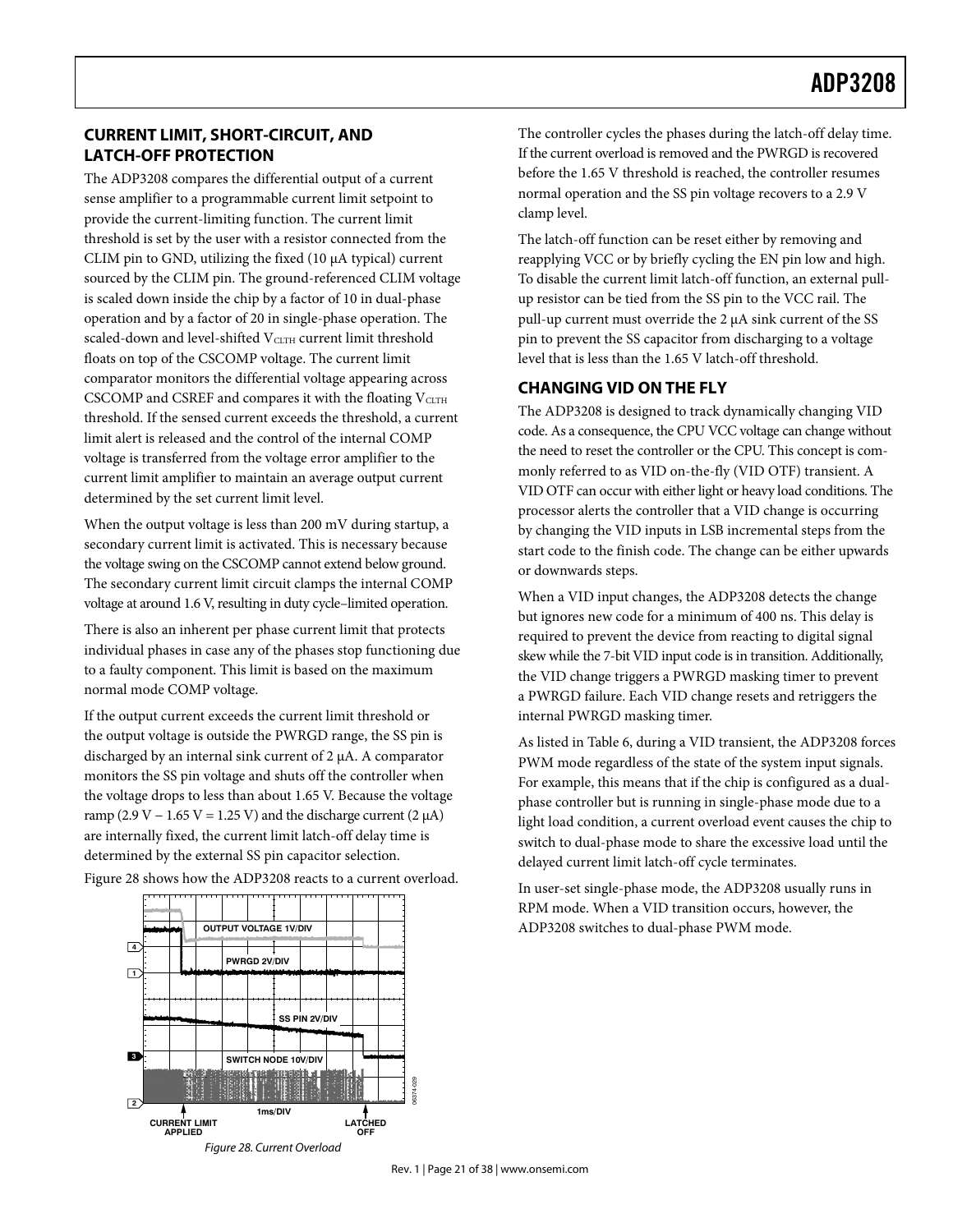## **CURRENT LIMIT, SHORT-CIRCUIT, AND LATCH-OFF PROTECTION**

The ADP3208 compares the differential output of a current sense amplifier to a programmable current limit setpoint to provide the current-limiting function. The current limit threshold is set by the user with a resistor connected from the CLIM pin to GND, utilizing the fixed (10 μA typical) current sourced by the CLIM pin. The ground-referenced CLIM voltage is scaled down inside the chip by a factor of 10 in dual-phase operation and by a factor of 20 in single-phase operation. The scaled-down and level-shifted VCLTH current limit threshold floats on top of the CSCOMP voltage. The current limit comparator monitors the differential voltage appearing across  $CSCOMP$  and  $CSREF$  and compares it with the floating  $V_{CLTH}$ threshold. If the sensed current exceeds the threshold, a current limit alert is released and the control of the internal COMP voltage is transferred from the voltage error amplifier to the current limit amplifier to maintain an average output current determined by the set current limit level.

When the output voltage is less than 200 mV during startup, a secondary current limit is activated. This is necessary because the voltage swing on the CSCOMP cannot extend below ground. The secondary current limit circuit clamps the internal COMP voltage at around 1.6 V, resulting in duty cycle–limited operation.

There is also an inherent per phase current limit that protects individual phases in case any of the phases stop functioning due to a faulty component. This limit is based on the maximum normal mode COMP voltage.

If the output current exceeds the current limit threshold or the output voltage is outside the PWRGD range, the SS pin is discharged by an internal sink current of 2 μA. A comparator monitors the SS pin voltage and shuts off the controller when the voltage drops to less than about 1.65 V. Because the voltage ramp (2.9 V – 1.65 V = 1.25 V) and the discharge current (2  $\mu$ A) are internally fixed, the current limit latch-off delay time is determined by the external SS pin capacitor selection.

06374-029 **3 1 2 4 1ms/DIV CURRENT LIMIT APPLIED LATCHED OFF SWITCH NODE 10V/DIV SS PIN 2V/DIV PWRGD 2V/DIV OUTPUT VOLTAGE 1V/DIV** Figure 28. Current Overload

Figure 28 shows how the ADP3208 reacts to a current overload.

The controller cycles the phases during the latch-off delay time. If the current overload is removed and the PWRGD is recovered before the 1.65 V threshold is reached, the controller resumes normal operation and the SS pin voltage recovers to a 2.9 V clamp level.

The latch-off function can be reset either by removing and reapplying VCC or by briefly cycling the EN pin low and high. To disable the current limit latch-off function, an external pullup resistor can be tied from the SS pin to the VCC rail. The pull-up current must override the 2 μA sink current of the SS pin to prevent the SS capacitor from discharging to a voltage level that is less than the 1.65 V latch-off threshold.

## **CHANGING VID ON THE FLY**

The ADP3208 is designed to track dynamically changing VID code. As a consequence, the CPU VCC voltage can change without the need to reset the controller or the CPU. This concept is commonly referred to as VID on-the-fly (VID OTF) transient. A VID OTF can occur with either light or heavy load conditions. The processor alerts the controller that a VID change is occurring by changing the VID inputs in LSB incremental steps from the start code to the finish code. The change can be either upwards or downwards steps.

When a VID input changes, the ADP3208 detects the change but ignores new code for a minimum of 400 ns. This delay is required to prevent the device from reacting to digital signal skew while the 7-bit VID input code is in transition. Additionally, the VID change triggers a PWRGD masking timer to prevent a PWRGD failure. Each VID change resets and retriggers the internal PWRGD masking timer.

As listed in Table 6, during a VID transient, the ADP3208 forces PWM mode regardless of the state of the system input signals. For example, this means that if the chip is configured as a dualphase controller but is running in single-phase mode due to a light load condition, a current overload event causes the chip to switch to dual-phase mode to share the excessive load until the delayed current limit latch-off cycle terminates.

In user-set single-phase mode, the ADP3208 usually runs in RPM mode. When a VID transition occurs, however, the ADP3208 switches to dual-phase PWM mode.

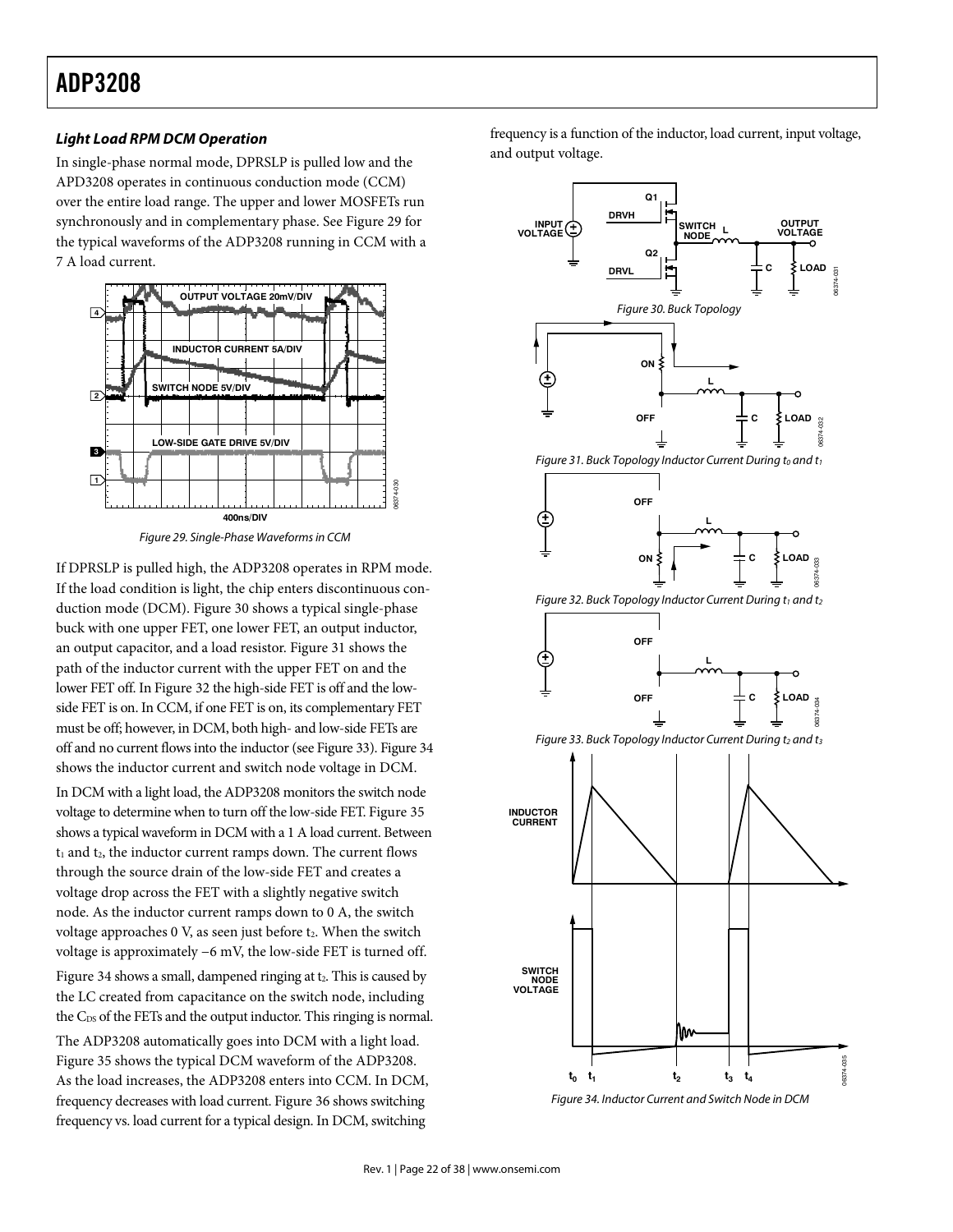## **ADP3208** ADP3208

## *Light Load RPM DCM Operation*

In single-phase normal mode, DPRSLP is pulled low and the APD3208 operates in continuous conduction mode (CCM) over the entire load range. The upper and lower MOSFETs run synchronously and in complementary phase. See Figure 29 for the typical waveforms of the ADP3208 running in CCM with a 7 A load current.



Figure 29. Single-Phase Waveforms in CCM

If DPRSLP is pulled high, the ADP3208 operates in RPM mode. If the load condition is light, the chip enters discontinuous conduction mode (DCM). Figure 30 shows a typical single-phase buck with one upper FET, one lower FET, an output inductor, an output capacitor, and a load resistor. Figure 31 shows the path of the inductor current with the upper FET on and the lower FET off. In Figure 32 the high-side FET is off and the lowside FET is on. In CCM, if one FET is on, its complementary FET must be off; however, in DCM, both high- and low-side FETs are off and no current flows into the inductor (see Figure 33). Figure 34 shows the inductor current and switch node voltage in DCM.

In DCM with a light load, the ADP3208 monitors the switch node voltage to determine when to turn off the low-side FET. Figure 35 shows a typical waveform in DCM with a 1 A load current. Between  $t_1$  and  $t_2$ , the inductor current ramps down. The current flows through the source drain of the low-side FET and creates a voltage drop across the FET with a slightly negative switch node. As the inductor current ramps down to 0 A, the switch voltage approaches 0 V, as seen just before t2. When the switch voltage is approximately −6 mV, the low-side FET is turned off. Figure 34 shows a small, dampened ringing at t<sub>2</sub>. This is caused by the LC created from capacitance on the switch node, including the C<sub>DS</sub> of the FETs and the output inductor. This ringing is normal. The ADP3208 automatically goes into DCM with a light load. Figure 35 shows the typical DCM waveform of the ADP3208. As the load increases, the ADP3208 enters into CCM. In DCM, frequency decreases with load current. Figure 36 shows switching frequency vs. load current for a typical design. In DCM, switching

frequency is a function of the inductor, load current, input voltage, and output voltage.



Figure 34. Inductor Current and Switch Node in DCM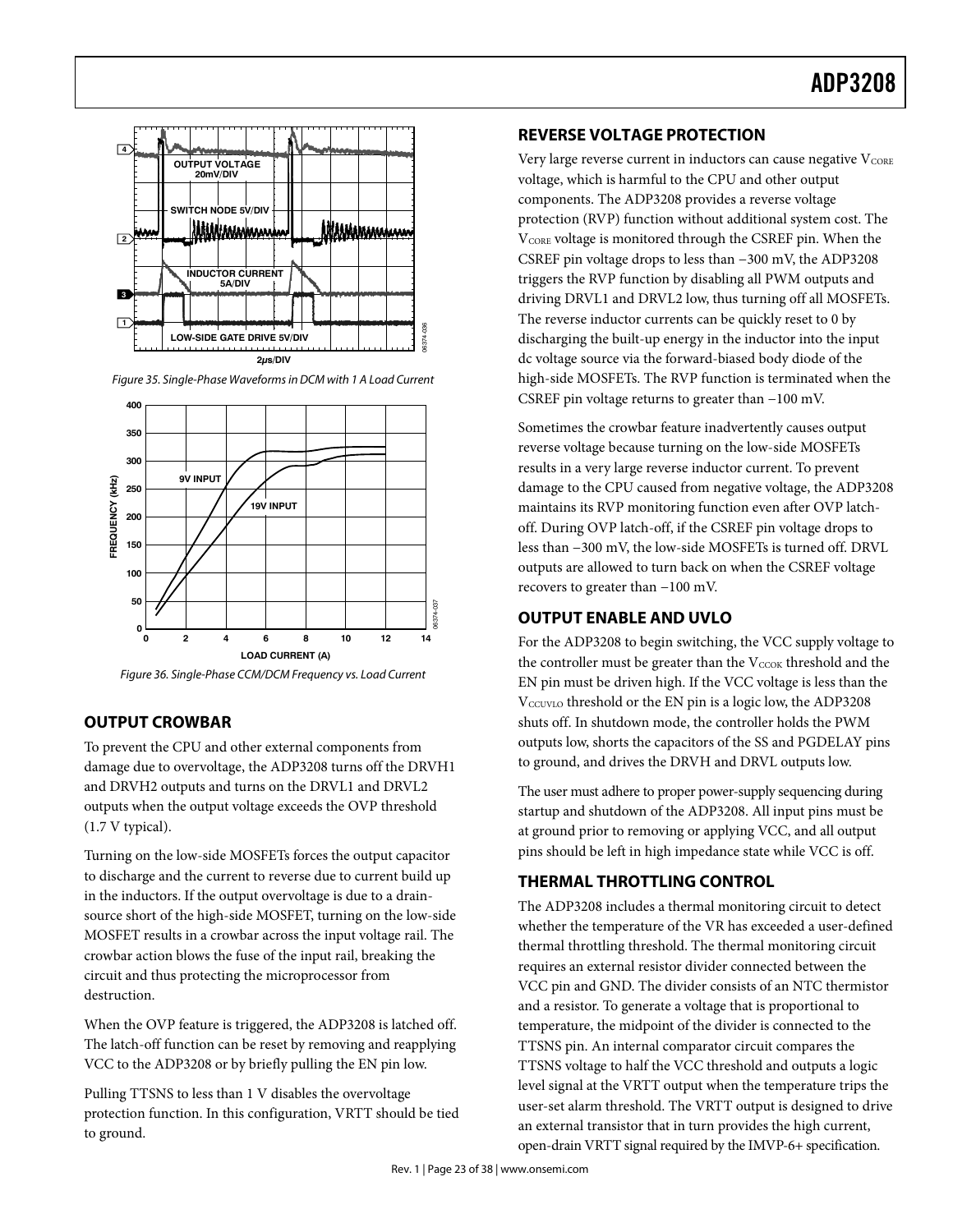

Figure 35. Single-Phase Waveforms in DCM with 1 A Load Current

![](_page_22_Figure_3.jpeg)

Figure 36. Single-Phase CCM/DCM Frequency vs. Load Current

## **OUTPUT CROWBAR**

To prevent the CPU and other external components from damage due to overvoltage, the ADP3208 turns off the DRVH1 and DRVH2 outputs and turns on the DRVL1 and DRVL2 outputs when the output voltage exceeds the OVP threshold (1.7 V typical).

Turning on the low-side MOSFETs forces the output capacitor to discharge and the current to reverse due to current build up in the inductors. If the output overvoltage is due to a drainsource short of the high-side MOSFET, turning on the low-side MOSFET results in a crowbar across the input voltage rail. The crowbar action blows the fuse of the input rail, breaking the circuit and thus protecting the microprocessor from destruction.

When the OVP feature is triggered, the ADP3208 is latched off. The latch-off function can be reset by removing and reapplying VCC to the ADP3208 or by briefly pulling the EN pin low.

Pulling TTSNS to less than 1 V disables the overvoltage protection function. In this configuration, VRTT should be tied to ground.

## **REVERSE VOLTAGE PROTECTION**

Very large reverse current in inductors can cause negative  $V_{\text{CORE}}$ voltage, which is harmful to the CPU and other output components. The ADP3208 provides a reverse voltage protection (RVP) function without additional system cost. The V<sub>CORE</sub> voltage is monitored through the CSREF pin. When the CSREF pin voltage drops to less than −300 mV, the ADP3208 triggers the RVP function by disabling all PWM outputs and driving DRVL1 and DRVL2 low, thus turning off all MOSFETs. The reverse inductor currents can be quickly reset to 0 by discharging the built-up energy in the inductor into the input dc voltage source via the forward-biased body diode of the high-side MOSFETs. The RVP function is terminated when the CSREF pin voltage returns to greater than −100 mV.

Sometimes the crowbar feature inadvertently causes output reverse voltage because turning on the low-side MOSFETs results in a very large reverse inductor current. To prevent damage to the CPU caused from negative voltage, the ADP3208 maintains its RVP monitoring function even after OVP latchoff. During OVP latch-off, if the CSREF pin voltage drops to less than −300 mV, the low-side MOSFETs is turned off. DRVL outputs are allowed to turn back on when the CSREF voltage recovers to greater than −100 mV.

## **OUTPUT ENABLE AND UVLO**

For the ADP3208 to begin switching, the VCC supply voltage to the controller must be greater than the  $V<sub>CCOK</sub>$  threshold and the EN pin must be driven high. If the VCC voltage is less than the V<sub>CCUVLO</sub> threshold or the EN pin is a logic low, the ADP3208 shuts off. In shutdown mode, the controller holds the PWM outputs low, shorts the capacitors of the SS and PGDELAY pins to ground, and drives the DRVH and DRVL outputs low.

The user must adhere to proper power-supply sequencing during startup and shutdown of the ADP3208. All input pins must be at ground prior to removing or applying VCC, and all output pins should be left in high impedance state while VCC is off.

## **THERMAL THROTTLING CONTROL**

Example 1<br>
discharging<br>
discharging<br>
discharging<br>
discharging<br>
discharging<br>
discharging<br>
discharging<br>
discharging<br>
discharging<br>
consetimes the CSREF pin v<br>
Sometimes are bused results in a v<br>
damage to the maintains its<br>
o The ADP3208 includes a thermal monitoring circuit to detect whether the temperature of the VR has exceeded a user-defined thermal throttling threshold. The thermal monitoring circuit requires an external resistor divider connected between the VCC pin and GND. The divider consists of an NTC thermistor and a resistor. To generate a voltage that is proportional to temperature, the midpoint of the divider is connected to the TTSNS pin. An internal comparator circuit compares the TTSNS voltage to half the VCC threshold and outputs a logic level signal at the VRTT output when the temperature trips the user-set alarm threshold. The VRTT output is designed to drive an external transistor that in turn provides the high current, open-drain VRTT signal required by the IMVP-6+ specification.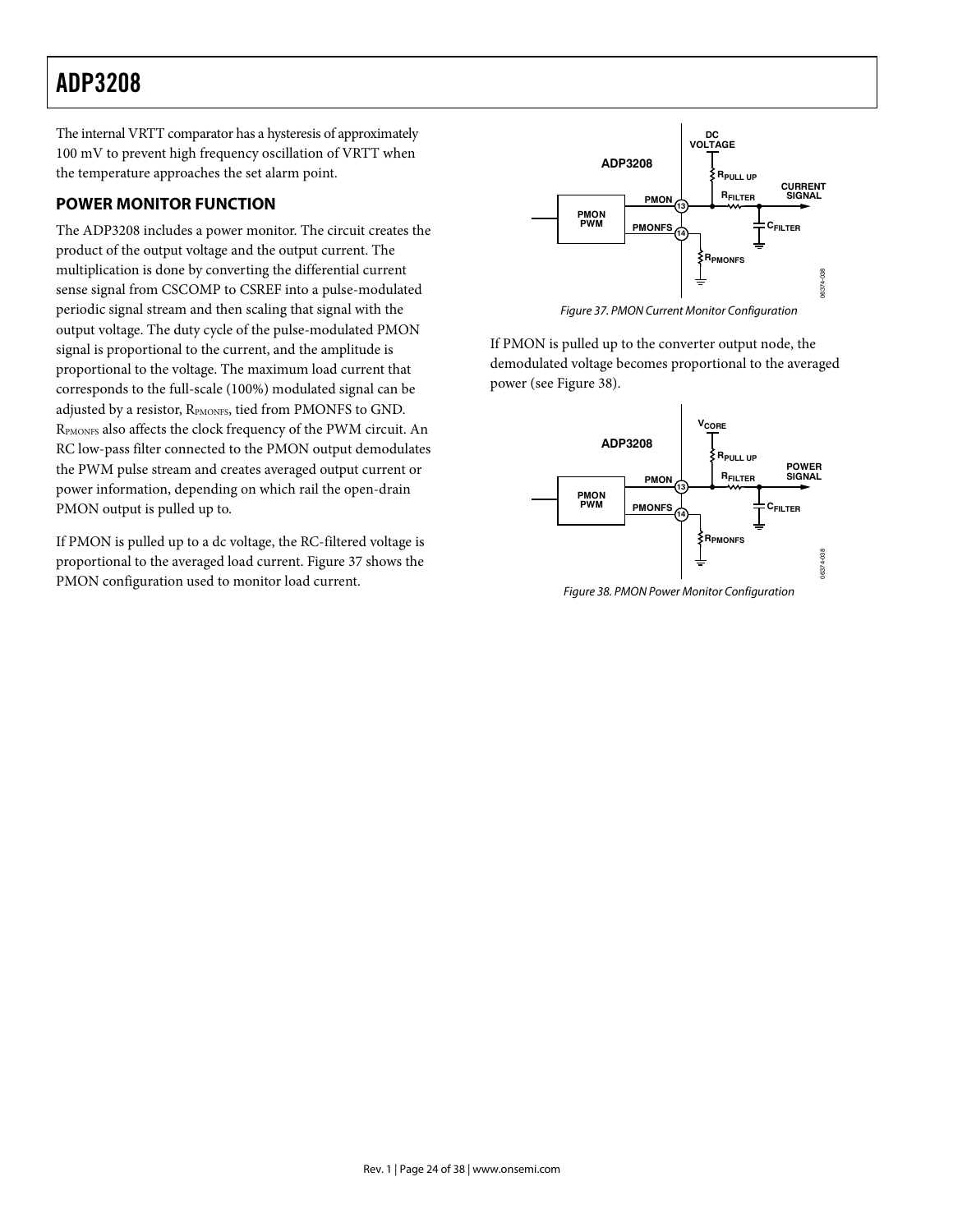## **ADP3208** ADP3208

The internal VRTT comparator has a hysteresis of approximately 100 mV to prevent high frequency oscillation of VRTT when the temperature approaches the set alarm point.

## **POWER MONITOR FUNCTION**

The ADP3208 includes a power monitor. The circuit creates the product of the output voltage and the output current. The multiplication is done by converting the differential current sense signal from CSCOMP to CSREF into a pulse-modulated periodic signal stream and then scaling that signal with the output voltage. The duty cycle of the pulse-modulated PMON signal is proportional to the current, and the amplitude is proportional to the voltage. The maximum load current that corresponds to the full-scale (100%) modulated signal can be adjusted by a resistor, RPMONFS, tied from PMONFS to GND. RPMONFS also affects the clock frequency of the PWM circuit. An RC low-pass filter connected to the PMON output demodulates the PWM pulse stream and creates averaged output current or power information, depending on which rail the open-drain PMON output is pulled up to.

If PMON is pulled up to a dc voltage, the RC-filtered voltage is proportional to the averaged load current. Figure 37 shows the PMON configuration used to monitor load current.

![](_page_23_Figure_5.jpeg)

Figure 37. PMON Current Monitor Configuration

If PMON is pulled up to the converter output node, the demodulated voltage becomes proportional to the averaged power (see Figure 38).

![](_page_23_Figure_8.jpeg)

Figure 38. PMON Power Monitor Configuration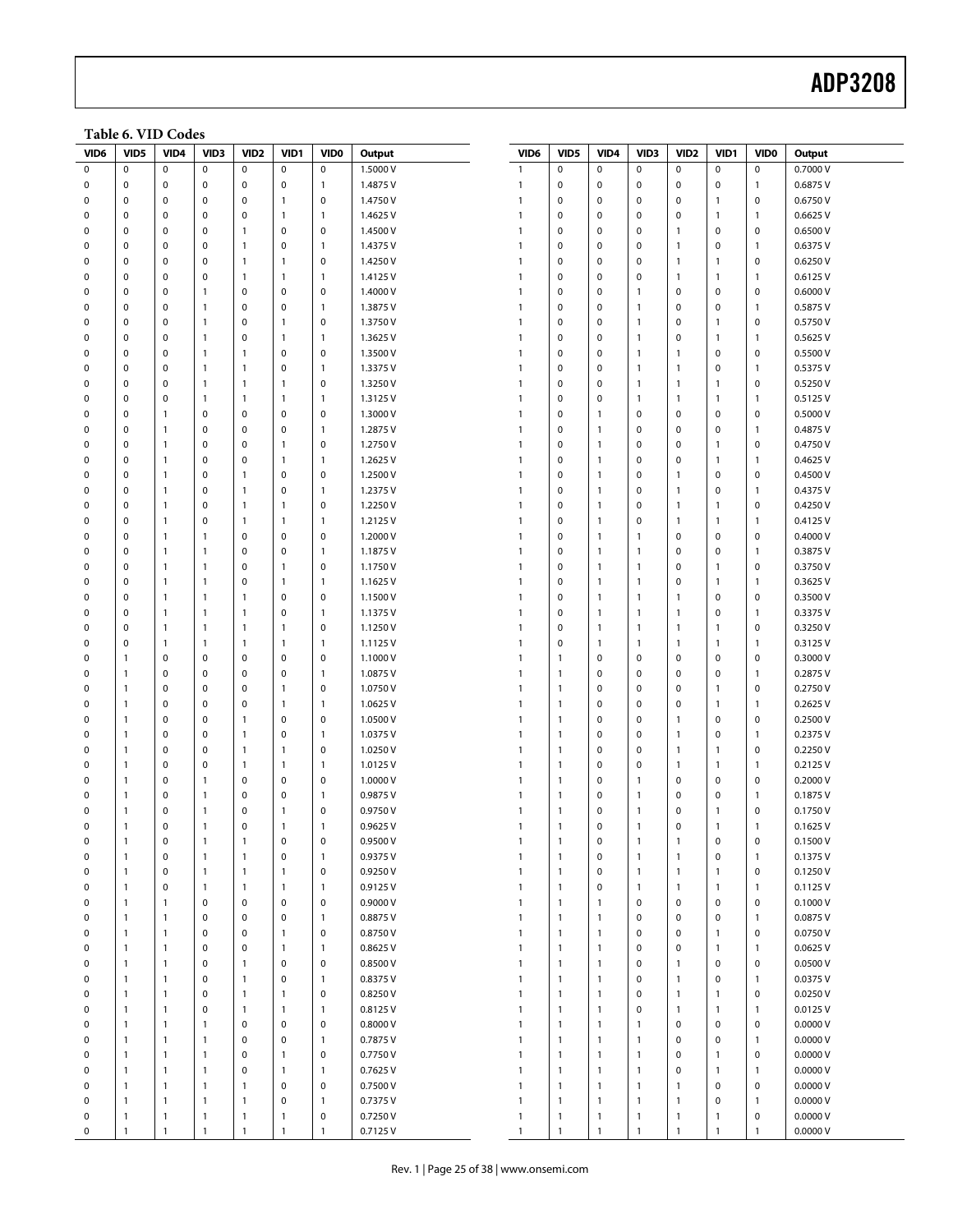## Example 2014 and 2015 and 2016 and 2016 and 2016 and 2017 and 2018 and 2018 and 2018 and 2018 and 2018 and 201

### **Table 6. VID Codes**

| VID6        | VID5         | VID4           | VID <sub>3</sub> | VID <sub>2</sub> | VID1           | VID <sub>0</sub> | Output   | VID6         | VID5         | VID4         | VID3           | VID <sub>2</sub> | VID1           | VID <sub>0</sub> | Output   |
|-------------|--------------|----------------|------------------|------------------|----------------|------------------|----------|--------------|--------------|--------------|----------------|------------------|----------------|------------------|----------|
| 0           | $\mathbf 0$  | $\pmb{0}$      | $\mathbf 0$      | $\mathbf 0$      | $\mathsf 0$    | $\mathbf 0$      | 1.5000V  | $\mathbf{1}$ | $\mathbf 0$  | $\mathbf 0$  | $\mathbf 0$    | $\mathbf 0$      | $\mathsf 0$    | $\pmb{0}$        | 0.7000 V |
| $\mathbf 0$ | $\pmb{0}$    | $\pmb{0}$      | $\mathsf 0$      | $\mathbf 0$      | $\mathsf 0$    | $\mathbf{1}$     | 1.4875V  | $\mathbf{1}$ | $\pmb{0}$    | $\pmb{0}$    | 0              | $\mathbf 0$      | $\pmb{0}$      | $\mathbf{1}$     | 0.6875V  |
| 0           | $\pmb{0}$    | 0              | $\mathbf 0$      | $\mathbf 0$      | $\mathbf{1}$   | $\mathbf 0$      | 1.4750V  | 1            | $\mathbf 0$  | $\pmb{0}$    | 0              | $\mathbf 0$      | $\mathbf{1}$   | $\pmb{0}$        | 0.6750V  |
| 0           | $\mathbf 0$  | 0              | $\mathbf 0$      | $\mathbf 0$      | $\mathbf{1}$   | $\overline{1}$   | 1.4625V  | $\mathbf{1}$ | $\mathbf 0$  | $\mathbf 0$  | 0              | $\mathbf 0$      | $\mathbf{1}$   | $\overline{1}$   | 0.6625 V |
| 0           | $\pmb{0}$    | 0              | 0                | $\mathbf{1}$     | $\mathbf 0$    | $\mathbf 0$      | 1.4500 V | $\mathbf{1}$ | $\mathbf 0$  | $\mathbf 0$  | 0              | $\mathbf{1}$     | $\mathbf 0$    | $\pmb{0}$        | 0.6500V  |
| $\mathbf 0$ | $\mathbf 0$  | 0              | $\mathbf 0$      | $\mathbf{1}$     | $\mathbf 0$    | $\mathbf{1}$     | 1.4375V  | 1            | $\mathbf 0$  | $\mathbf 0$  | $\mathbf 0$    | $\mathbf{1}$     | $\mathbf 0$    | $\overline{1}$   | 0.6375V  |
| 0           | $\pmb{0}$    | 0              | $\mathsf 0$      | $\mathbf{1}$     | $\mathbf{1}$   | $\mathbf 0$      | 1.4250V  | $\mathbf{1}$ | $\mathbf 0$  | $\mathbf 0$  | 0              | $\mathbf{1}$     | $\mathbf{1}$   | $\mathbf 0$      | 0.6250V  |
| 0           | $\mathbf 0$  | 0              | $\mathbf 0$      | $\mathbf{1}$     | $\mathbf{1}$   | $\overline{1}$   | 1.4125V  | $\mathbf{1}$ | $\mathbf 0$  | $\mathbf 0$  | $\mathbf 0$    | $\mathbf{1}$     | $\mathbf{1}$   | $\mathbf{1}$     | 0.6125V  |
| $\mathbf 0$ | $\mathbf 0$  | 0              | $\mathbf{1}$     | $\mathbf 0$      | $\mathbf 0$    | $\pmb{0}$        | 1.4000 V | $\mathbf{1}$ | $\pmb{0}$    | $\pmb{0}$    | $\mathbf{1}$   | $\mathbf 0$      | $\mathbf 0$    | $\pmb{0}$        | 0.6000V  |
| $\mathbf 0$ | $\mathbf 0$  | 0              | $\mathbf{1}$     | $\mathbf 0$      | $\mathbf 0$    | $\mathbf{1}$     | 1.3875V  | $\mathbf{1}$ | $\mathbf 0$  | $\mathbf 0$  | $\mathbf{1}$   | $\mathbf 0$      | $\mathbf 0$    | $\mathbf{1}$     | 0.5875V  |
| 0           | $\mathbf 0$  | 0              | $\mathbf{1}$     | $\mathbf 0$      | $\mathbf{1}$   | $\mathbf 0$      | 1.3750V  | $\mathbf{1}$ | $\mathbf 0$  | $\pmb{0}$    | $\mathbf{1}$   | $\mathbf 0$      | $\mathbf{1}$   | $\pmb{0}$        | 0.5750V  |
| 0           | $\mathbf 0$  | 0              | $\mathbf{1}$     | $\mathbf 0$      | $\mathbf{1}$   | $\overline{1}$   | 1.3625V  | $\mathbf{1}$ | $\pmb{0}$    | $\mathbf 0$  | $\mathbf{1}$   | $\mathbf 0$      | $\overline{1}$ | $\overline{1}$   | 0.5625V  |
| $\mathbf 0$ | $\mathbf 0$  | $\pmb{0}$      | $\mathbf{1}$     | $\mathbf{1}$     | $\mathbf 0$    | $\mathbf 0$      | 1.3500 V | $\mathbf{1}$ | $\mathbf 0$  | $\mathbf 0$  | $\mathbf{1}$   | $\mathbf{1}$     | $\mathbf 0$    | $\pmb{0}$        | 0.5500 V |
| 0           | $\mathbf 0$  | 0              | $\mathbf{1}$     | $\mathbf{1}$     | 0              | $\mathbf{1}$     | 1.3375V  | $\mathbf{1}$ | $\mathbf 0$  | $\mathbf 0$  | $\mathbf{1}$   | $\mathbf{1}$     | $\mathbf 0$    | $\mathbf{1}$     | 0.5375V  |
| 0           | $\pmb{0}$    | $\pmb{0}$      | $\mathbf{1}$     | $\mathbf{1}$     | $\mathbf{1}$   | $\mathbf 0$      | 1.3250V  | $\mathbf{1}$ | $\pmb{0}$    | $\pmb{0}$    | $\mathbf{1}$   | $\mathbf{1}$     | $\mathbf{1}$   | $\pmb{0}$        | 0.5250V  |
| 0           | $\mathbf 0$  | 0              | $\mathbf{1}$     | $\mathbf{1}$     | $\mathbf{1}$   | $\overline{1}$   | 1.3125V  | $\mathbf{1}$ | $\mathbf 0$  | $\mathbf 0$  | $\mathbf{1}$   | $\mathbf{1}$     | $\mathbf{1}$   | $\overline{1}$   | 0.5125V  |
| $\mathbf 0$ | $\mathbf 0$  | $\mathbf{1}$   | $\mathbf 0$      | $\mathbf 0$      | $\mathbf 0$    | $\mathbf 0$      | 1.3000 V | 1            | $\mathbf 0$  | $\mathbf{1}$ | $\mathbf 0$    | $\mathbf 0$      | $\mathbf 0$    | $\pmb{0}$        | 0.5000V  |
| 0           | $\mathbf 0$  | $\mathbf{1}$   | 0                | $\mathbf 0$      | $\mathbf 0$    | $\overline{1}$   | 1.2875V  | $\mathbf{1}$ | $\mathbf 0$  | $\mathbf{1}$ | 0              | $\mathbf 0$      | $\mathbf 0$    | $\overline{1}$   | 0.4875V  |
| 0           | $\mathbf 0$  | $\overline{1}$ | $\mathbf 0$      | $\mathbf 0$      | $\mathbf{1}$   | $\mathbf 0$      | 1.2750V  | $\mathbf{1}$ | $\mathbf 0$  | $\mathbf{1}$ | $\mathbf 0$    | 0                | $\overline{1}$ | $\mathbf 0$      | 0.4750V  |
| $\mathbf 0$ | $\mathbf 0$  | $\mathbf{1}$   | 0                | $\mathbf 0$      | $\mathbf{1}$   | $\mathbf{1}$     | 1.2625V  | $\mathbf{1}$ | $\pmb{0}$    | 1            | 0              | $\mathbf 0$      | $\mathbf{1}$   | $\overline{1}$   | 0.4625V  |
| $\mathbf 0$ | $\mathbf 0$  | $\mathbf{1}$   | $\mathsf 0$      | $\mathbf{1}$     | $\mathbf 0$    | $\mathbf 0$      | 1.2500 V | $\mathbf{1}$ | $\mathbf 0$  | $\mathbf{1}$ | $\mathbf 0$    | $\mathbf{1}$     | $\mathbf 0$    | $\mathbf 0$      | 0.4500V  |
| 0           | $\mathbf 0$  | 1              | $\mathbf 0$      | $\mathbf{1}$     | $\mathbf 0$    | $\overline{1}$   | 1.2375V  | $\mathbf{1}$ | $\mathbf 0$  | $\mathbf{1}$ | 0              | $\mathbf{1}$     | $\mathbf 0$    | $\overline{1}$   | 0.4375V  |
| 0           | $\mathbf 0$  | $\mathbf{1}$   | $\mathbf 0$      | $\mathbf{1}$     | $\mathbf{1}$   | $\mathbf 0$      | 1.2250V  | $\mathbf{1}$ | $\pmb{0}$    | $\mathbf{1}$ | $\mathbf 0$    | $\mathbf{1}$     | $\overline{1}$ | $\pmb{0}$        | 0.4250V  |
| $\mathbf 0$ | $\mathbf 0$  | $\mathbf{1}$   | $\mathsf 0$      | $\mathbf{1}$     | $\mathbf{1}$   | $\overline{1}$   | 1.2125V  | $\mathbf{1}$ | $\mathbf 0$  | $\mathbf{1}$ | 0              | $\mathbf{1}$     | $\mathbf{1}$   | $\overline{1}$   | 0.4125V  |
| 0           | 0            | $\mathbf{1}$   | $\mathbf{1}$     | $\mathbf 0$      | 0              | $\mathbf 0$      | 1.2000 V | $\mathbf{1}$ | $\mathbf 0$  | $\mathbf{1}$ | $\mathbf{1}$   | $\mathbf 0$      | $\mathbf 0$    | $\pmb{0}$        | 0.4000V  |
| 0           | $\mathbf 0$  | $\overline{1}$ | $\mathbf{1}$     | $\mathbf 0$      | $\mathbf 0$    | $\overline{1}$   | 1.1875V  | $\mathbf{1}$ | $\pmb{0}$    | $\mathbf{1}$ | $\mathbf{1}$   | $\mathbf 0$      | $\mathbf 0$    | $\overline{1}$   | 0.3875V  |
| 0           | $\mathbf 0$  | $\mathbf{1}$   | $\mathbf{1}$     | $\mathbf 0$      | $\mathbf{1}$   | $\mathbf 0$      | 1.1750V  | $\mathbf{1}$ | $\mathbf 0$  | $\mathbf{1}$ | $\mathbf{1}$   | $\mathbf 0$      | $\mathbf{1}$   | $\mathbf 0$      | 0.3750V  |
| $\mathbf 0$ | $\mathbf 0$  | $\mathbf{1}$   | $\mathbf{1}$     | $\mathbf 0$      | $\mathbf{1}$   | $\mathbf{1}$     | 1.1625V  | 1            | $\mathbf 0$  | $\mathbf{1}$ | $\mathbf{1}$   | $\mathbf 0$      | $\mathbf{1}$   | $\mathbf{1}$     | 0.3625V  |
| 0           | $\mathbf 0$  | $\overline{1}$ | $\mathbf{1}$     | $\mathbf{1}$     | $\mathbf 0$    | $\mathbf 0$      | 1.1500 V | $\mathbf{1}$ | $\mathbf 0$  | $\mathbf{1}$ | $\mathbf{1}$   | $\mathbf{1}$     | $\mathbf 0$    | $\pmb{0}$        | 0.3500V  |
| 0           | $\mathbf 0$  | $\overline{1}$ | $\mathbf{1}$     | $\mathbf{1}$     | $\mathbf 0$    | $\overline{1}$   | 1.1375V  | $\mathbf{1}$ | $\mathbf 0$  | $\mathbf{1}$ | $\mathbf{1}$   | $\mathbf{1}$     | $\mathbf 0$    | $\mathbf{1}$     | 0.3375V  |
| $\mathbf 0$ | $\mathbf 0$  | $\mathbf{1}$   | $\mathbf{1}$     | $\mathbf{1}$     | $\mathbf{1}$   | $\mathbf 0$      | 1.1250V  | $\mathbf{1}$ | $\pmb{0}$    | 1            | $\mathbf{1}$   | $\mathbf{1}$     | $\mathbf{1}$   | $\pmb{0}$        | 0.3250V  |
| $\mathbf 0$ | $\mathbf 0$  | 1              | $\mathbf{1}$     | $\mathbf{1}$     | $\mathbf{1}$   | $\mathbf{1}$     | 1.1125V  | $\mathbf{1}$ | $\mathbf 0$  | $\mathbf{1}$ | $\mathbf{1}$   | $\mathbf{1}$     | $\mathbf{1}$   | $\mathbf{1}$     | 0.3125V  |
| 0           | $\mathbf{1}$ | 0              | 0                | $\mathbf 0$      | $\mathbf 0$    | $\mathbf 0$      | 1.1000V  | $\mathbf{1}$ | $\mathbf{1}$ | $\pmb{0}$    | $\mathbf 0$    | $\mathbf 0$      | $\mathbf 0$    | $\pmb{0}$        | 0.3000V  |
| 0           | $\mathbf{1}$ | 0              | $\mathbf 0$      | $\mathbf 0$      | $\mathbf 0$    | $\mathbf{1}$     | 1.0875V  | $\mathbf{1}$ | $\mathbf{1}$ | $\mathbf 0$  | 0              | $\mathbf 0$      | $\mathbf 0$    | $\overline{1}$   | 0.2875V  |
| $\mathbf 0$ | $\mathbf{1}$ | 0              | $\mathsf 0$      | $\mathbf 0$      | $\mathbf{1}$   | $\mathbf 0$      | 1.0750V  | $\mathbf{1}$ | $\mathbf{1}$ | $\mathbf 0$  | 0              | $\mathbf 0$      | $\mathbf{1}$   | $\pmb{0}$        | 0.2750V  |
| 0           | $\mathbf{1}$ | 0              | $\mathbf 0$      | $\mathbf 0$      | 1              | $\mathbf{1}$     | 1.0625V  | $\mathbf{1}$ | $\mathbf{1}$ | $\mathbf 0$  | $\mathbf 0$    | $\mathbf 0$      | $\mathbf{1}$   | $\mathbf{1}$     | 0.2625V  |
| 0           | $\mathbf{1}$ | $\pmb{0}$      | $\mathsf 0$      | $\mathbf{1}$     | $\mathbf 0$    | $\pmb{0}$        | 1.0500V  | $\mathbf{1}$ | $\mathbf{1}$ | $\pmb{0}$    | 0              | $\mathbf{1}$     | $\mathbf 0$    | $\pmb{0}$        | 0.2500V  |
| $\mathbf 0$ | $\mathbf{1}$ | 0              | $\mathbf 0$      | $\overline{1}$   | $\mathbf 0$    | $\overline{1}$   | 1.0375V  | $\mathbf{1}$ | $\mathbf{1}$ | $\mathbf 0$  | $\mathbf 0$    | $\mathbf{1}$     | $\mathbf 0$    | $\overline{1}$   | 0.2375V  |
| 0           | $\mathbf{1}$ | 0              | $\mathbf 0$      | $\mathbf{1}$     | $\mathbf{1}$   | $\mathbf 0$      | 1.0250V  | $\mathbf{1}$ | $\mathbf{1}$ | 0            | 0              | $\mathbf{1}$     | $\mathbf{1}$   | $\pmb{0}$        | 0.2250V  |
| 0           | $\mathbf{1}$ | 0              | $\mathsf 0$      | $\mathbf{1}$     | $\mathbf{1}$   | $\overline{1}$   | 1.0125V  | $\mathbf{1}$ | $\mathbf{1}$ | $\pmb{0}$    | $\mathbf 0$    | $\mathbf{1}$     | $\mathbf{1}$   | $\mathbf{1}$     | 0.2125V  |
| 0           | $\mathbf{1}$ | $\mathbf 0$    | $\mathbf{1}$     | $\mathbf 0$      | $\mathbf 0$    | $\mathbf 0$      | 1.0000V  | $\mathbf{1}$ | $\mathbf{1}$ | $\mathbf 0$  | $\mathbf{1}$   | 0                | $\mathbf 0$    | $\mathbf 0$      | 0.2000 V |
| 0           | $\mathbf{1}$ | $\mathbf 0$    | $\mathbf{1}$     | $\mathbf 0$      | $\mathbf 0$    | $\mathbf{1}$     | 0.9875V  | $\mathbf{1}$ | $\mathbf{1}$ | $\pmb{0}$    | $\mathbf{1}$   | $\mathbf 0$      | $\mathbf 0$    | $\overline{1}$   | 0.1875V  |
| $\mathbf 0$ | $\mathbf{1}$ | $\mathbf 0$    | $\mathbf{1}$     | $\mathbf 0$      | $\mathbf{1}$   | $\mathbf 0$      | 0.9750V  | 1            | $\mathbf{1}$ | $\mathbf 0$  | $\mathbf{1}$   | $\mathbf 0$      | $\mathbf{1}$   | $\pmb{0}$        | 0.1750V  |
| 0           | $\mathbf{1}$ | 0              | $\mathbf{1}$     | $\mathbf 0$      | $\mathbf{1}$   | $\overline{1}$   | 0.9625V  | $\mathbf{1}$ | $\mathbf{1}$ | $\pmb{0}$    | $\mathbf{1}$   | $\mathbf 0$      | $\mathbf{1}$   | $\mathbf{1}$     | 0.1625V  |
| $\Omega$    | $\mathbf{1}$ | $\mathbf 0$    | $\mathbf{1}$     | $\mathbf{1}$     | 0              | 0                | 0.9500V  | $\mathbf{1}$ | $\mathbf{1}$ | 0            | $\mathbf{1}$   | 1                | $\Omega$       | 0                | 0.1500V  |
| 0           | $\mathbf{1}$ | $\mathbf 0$    | $\mathbf{1}$     | $\mathbf{1}$     | $\pmb{0}$      | $\mathbf{1}$     | 0.9375V  | $\mathbf{1}$ | $\mathbf{1}$ | $\pmb{0}$    | $\mathbf{1}$   | $\mathbf{1}$     | $\mathsf 0$    | $\overline{1}$   | 0.1375V  |
| 0           | 1            | 0              | $\mathbf{1}$     | $\mathbf{1}$     | $\mathbf{1}$   | $\mathbf 0$      | 0.9250V  | 1            | $\mathbf{1}$ | $\pmb{0}$    | $\overline{1}$ | $\mathbf{1}$     | $\mathbf{1}$   | $\mathbf 0$      | 0.1250V  |
| 0           | 1            | $\pmb{0}$      | $\mathbf{1}$     | $\mathbf{1}$     | $\mathbf{1}$   | $\overline{1}$   | 0.9125V  | $\mathbf{1}$ | $\mathbf{1}$ | $\pmb{0}$    | $\mathbf{1}$   | $\mathbf{1}$     | $\mathbf{1}$   | $\mathbf{1}$     | 0.1125V  |
| 0           | $\mathbf{1}$ | $\overline{1}$ | $\pmb{0}$        | $\mathbf 0$      | 0              | $\pmb{0}$        | 0.9000V  | $\mathbf{1}$ | $\mathbf{1}$ | $\mathbf{1}$ | 0              | $\mathbf 0$      | $\mathbf 0$    | $\mathbf 0$      | 0.1000V  |
| 0           | 1            | $\mathbf{1}$   | 0                | $\mathbf 0$      | 0              | $\mathbf{1}$     | 0.8875V  | $\mathbf{1}$ | $\mathbf{1}$ | $\mathbf{1}$ | 0              | $\mathbf 0$      | $\mathbf 0$    | $\overline{1}$   | 0.0875V  |
| $\mathbf 0$ | $\mathbf{1}$ | $\mathbf{1}$   | 0                | $\mathbf 0$      | $\mathbf{1}$   | $\mathbf 0$      | 0.8750V  | $\mathbf{1}$ | $\mathbf{1}$ | $\mathbf{1}$ | 0              | $\mathbf 0$      | $\mathbf{1}$   | $\mathbf 0$      | 0.0750V  |
| 0           | $\mathbf{1}$ | $\mathbf{1}$   | $\pmb{0}$        | 0                | $\mathbf{1}$   | $\mathbf{1}$     | 0.8625V  | $\mathbf{1}$ | $\mathbf{1}$ | $\mathbf{1}$ | 0              | $\mathbf 0$      | $\mathbf{1}$   | $\mathbf{1}$     | 0.0625V  |
| 0           | $\mathbf{1}$ | $\mathbf{1}$   | 0                | $\mathbf{1}$     | $\mathbf 0$    | $\pmb{0}$        | 0.8500V  | $\mathbf{1}$ | $\mathbf{1}$ | $\mathbf{1}$ | 0              | $\mathbf{1}$     | $\pmb{0}$      | $\pmb{0}$        | 0.0500V  |
| 0           | $\mathbf{1}$ | $\mathbf{1}$   | 0                | $\mathbf{1}$     | $\mathbf 0$    | $\mathbf{1}$     | 0.8375V  | 1            | $\mathbf{1}$ | $\mathbf{1}$ | 0              | $\mathbf{1}$     | $\mathbf 0$    | $\mathbf{1}$     | 0.0375V  |
| 0           | 1            | $\mathbf{1}$   | 0                | $\mathbf{1}$     | $\mathbf{1}$   | $\mathbf 0$      | 0.8250V  | $\mathbf{1}$ | $\mathbf{1}$ | $\mathbf{1}$ | 0              | $\mathbf{1}$     | $\mathbf{1}$   | $\pmb{0}$        | 0.0250V  |
| 0           | $\mathbf{1}$ | $\mathbf{1}$   | $\pmb{0}$        | $\mathbf{1}$     | $\mathbf{1}$   | $\mathbf{1}$     | 0.8125V  | $\mathbf{1}$ | $\mathbf{1}$ | $\mathbf{1}$ | 0              | $\mathbf{1}$     | $\mathbf{1}$   | $\mathbf{1}$     | 0.0125V  |
| 0           | $\mathbf{1}$ | $\mathbf{1}$   | $\mathbf{1}$     | $\mathbf 0$      | $\mathbf 0$    | $\mathbf 0$      | 0.8000V  | $\mathbf{1}$ | $\mathbf{1}$ | $\mathbf{1}$ | $\mathbf{1}$   | $\mathbf 0$      | $\pmb{0}$      | $\pmb{0}$        | 0.0000V  |
| 0           | $\mathbf{1}$ | $\mathbf{1}$   | $\mathbf{1}$     | 0                | 0              | $\mathbf{1}$     | 0.7875V  | 1            | $\mathbf{1}$ | $\mathbf{1}$ | $\mathbf{1}$   | $\mathbf 0$      | $\pmb{0}$      | $\overline{1}$   | 0.0000V  |
| 0           | $\mathbf{1}$ | $\mathbf{1}$   | $\mathbf{1}$     | 0                | $\mathbf{1}$   | $\pmb{0}$        | 0.7750V  | $\mathbf{1}$ | $\mathbf{1}$ | $\mathbf{1}$ | $\mathbf{1}$   | $\mathbf 0$      | $\mathbf{1}$   | $\pmb{0}$        | 0.0000V  |
| 0           | $\mathbf{1}$ | $\mathbf{1}$   | $\mathbf{1}$     | 0                | $\overline{1}$ | $\mathbf{1}$     | 0.7625V  | 1            | $\mathbf{1}$ | $\mathbf{1}$ | $\mathbf{1}$   | $\mathbf 0$      | $\mathbf{1}$   | $\overline{1}$   | 0.0000V  |
| 0           | 1            | $\mathbf{1}$   | $\mathbf{1}$     | 1                | 0              | $\mathbf 0$      | 0.7500V  | $\mathbf{1}$ | $\mathbf{1}$ | 1            | $\mathbf{1}$   | $\mathbf{1}$     | $\mathbf 0$    | $\pmb{0}$        | 0.0000V  |
| $\mathbf 0$ | 1            | $\mathbf{1}$   | $\mathbf{1}$     | $\mathbf{1}$     | 0              | $\mathbf{1}$     | 0.7375V  | $\mathbf{1}$ | $\mathbf{1}$ | $\mathbf{1}$ | $\overline{1}$ | $\mathbf{1}$     | $\mathbf 0$    | $\overline{1}$   | 0.0000V  |
| 0           | 1            | $\mathbf{1}$   | $\mathbf{1}$     | $\mathbf{1}$     | $\mathbf{1}$   | $\pmb{0}$        | 0.7250V  | $\mathbf{1}$ | $\mathbf{1}$ | $\mathbf{1}$ | $\mathbf{1}$   | $\mathbf{1}$     | $\mathbf{1}$   | 0                | 0.0000V  |
| 0           | $\mathbf{1}$ | $\mathbf{1}$   | $\mathbf{1}$     | $\mathbf{1}$     | $\mathbf{1}$   | $\mathbf{1}$     | 0.7125V  | $\mathbf{1}$ | $\mathbf{1}$ | $\mathbf{1}$ | $\mathbf{1}$   | $\mathbf{1}$     | $\mathbf{1}$   | $\mathbf{1}$     | 0.0000V  |
|             |              |                |                  |                  |                |                  |          |              |              |              |                |                  |                |                  |          |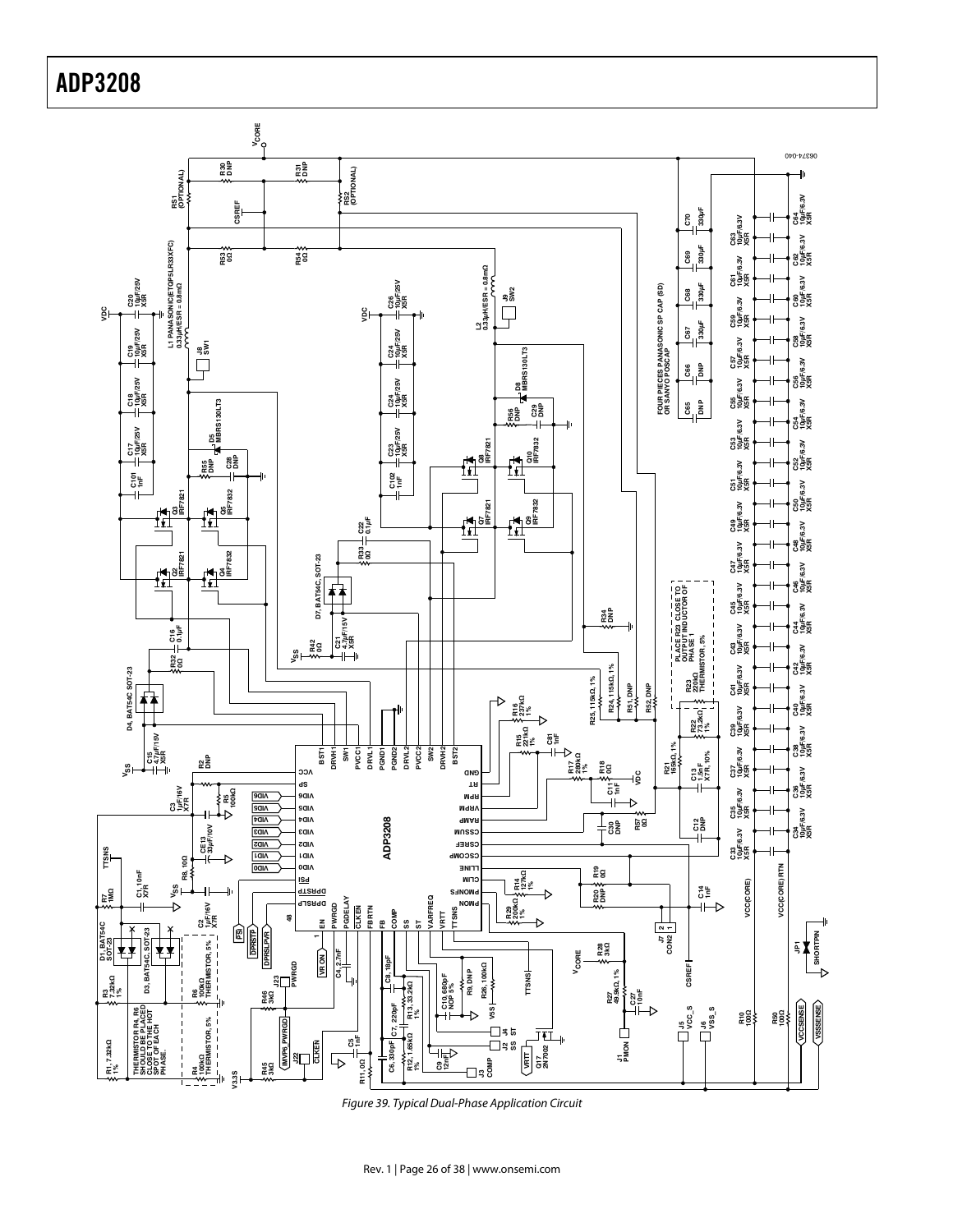![](_page_25_Figure_1.jpeg)

Figure 39. Typical Dual-Phase Application Circuit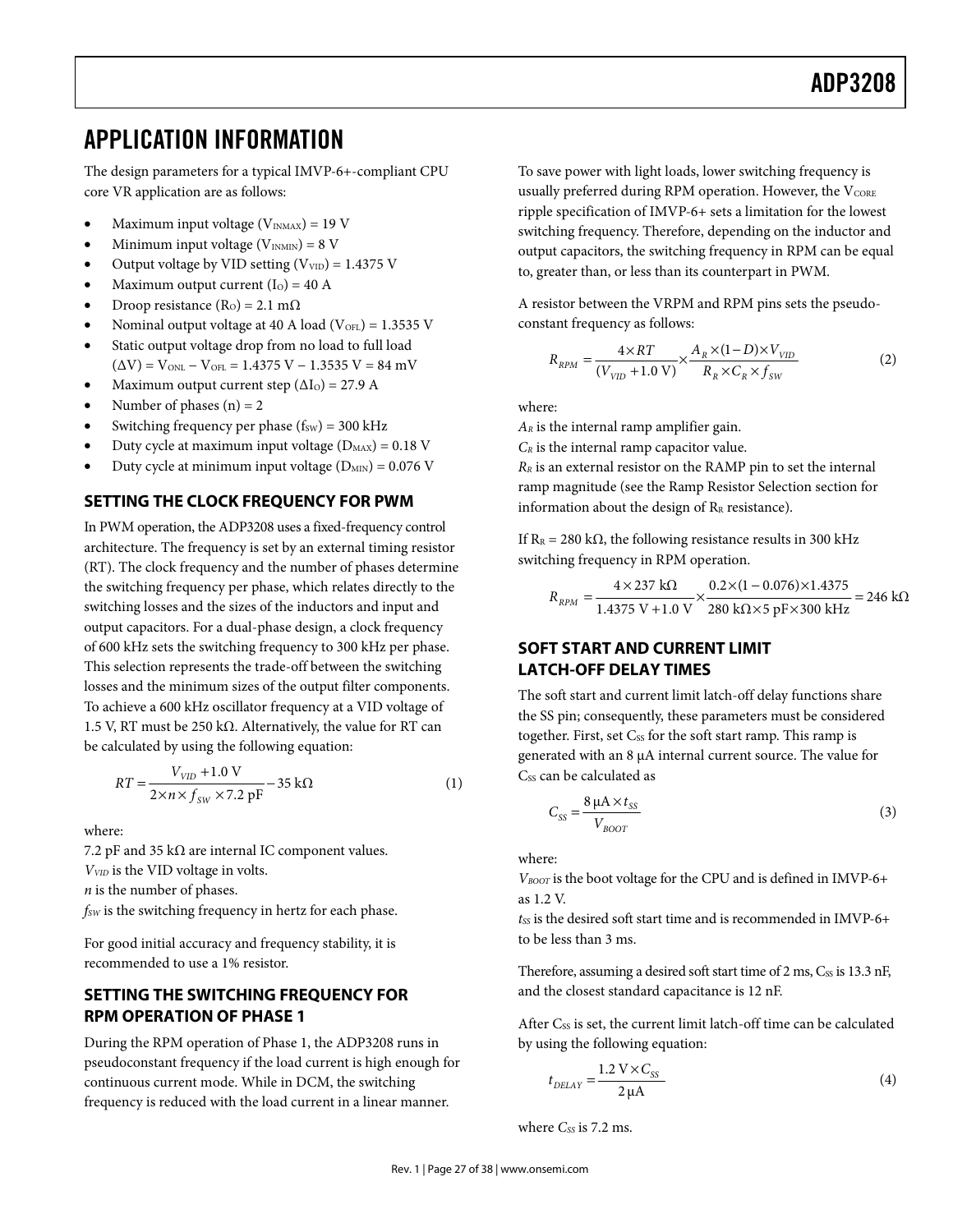## **APPLICATION INFORMATION**

The design parameters for a typical IMVP-6+-compliant CPU core VR application are as follows:

- Maximum input voltage  $(V_{INMAX}) = 19$  V
- Minimum input voltage  $(V_{INMIN}) = 8 V$
- Output voltage by VID setting  $(V_{VID}) = 1.4375$  V
- Maximum output current  $(I<sub>O</sub>) = 40$  A
- Droop resistance (R<sub>O</sub>) = 2.1 m $\Omega$
- Nominal output voltage at 40 A load ( $V_{OFL}$ ) = 1.3535 V
- Static output voltage drop from no load to full load  $(\Delta V)$  = V<sub>ONL</sub> – V<sub>OFL</sub> = 1.4375 V – 1.3535 V = 84 mV
- Maximum output current step  $(\Delta I_0) = 27.9$  A
- Number of phases  $(n) = 2$
- Switching frequency per phase  $(f_{SW}) = 300$  kHz
- Duty cycle at maximum input voltage  $(D_{MAX}) = 0.18$  V
- Duty cycle at minimum input voltage  $(D_{MIN}) = 0.076$  V

## **SETTING THE CLOCK FREQUENCY FOR PWM**

In PWM operation, the ADP3208 uses a fixed-frequency control architecture. The frequency is set by an external timing resistor (RT). The clock frequency and the number of phases determine the switching frequency per phase, which relates directly to the switching losses and the sizes of the inductors and input and output capacitors. For a dual-phase design, a clock frequency of 600 kHz sets the switching frequency to 300 kHz per phase. This selection represents the trade-off between the switching losses and the minimum sizes of the output filter components. To achieve a 600 kHz oscillator frequency at a VID voltage of 1.5 V, RT must be 250 kΩ. Alternatively, the value for RT can be calculated by using the following equation:

$$
RT = \frac{V_{VID} + 1.0 \text{ V}}{2 \times n \times f_{SW} \times 7.2 \text{ pF}} - 35 \text{ k}\Omega
$$
 (1)

where:

7.2 pF and 35 k $\Omega$  are internal IC component values.  $V<sub>VID</sub>$  is the VID voltage in volts.  $n$  is the number of phases.  $f_{SW}$  is the switching frequency in hertz for each phase.

For good initial accuracy and frequency stability, it is recommended to use a 1% resistor.

## **SETTING THE SWITCHING FREQUENCY FOR RPM OPERATION OF PHASE 1**

During the RPM operation of Phase 1, the ADP3208 runs in pseudoconstant frequency if the load current is high enough for continuous current mode. While in DCM, the switching frequency is reduced with the load current in a linear manner.

To save power with light loads, lower switching frequency is usually preferred during RPM operation. However, the  $V_{\text{CORE}}$ ripple specification of IMVP-6+ sets a limitation for the lowest switching frequency. Therefore, depending on the inductor and output capacitors, the switching frequency in RPM can be equal to, greater than, or less than its counterpart in PWM.

A resistor between the VRPM and RPM pins sets the pseudoconstant frequency as follows:

$$
R_{RPM} = \frac{4 \times RT}{(V_{VD} + 1.0 \text{ V})} \times \frac{A_R \times (1 - D) \times V_{VID}}{R_R \times C_R \times f_{SW}}
$$
(2)

where:

 $A_R$  is the internal ramp amplifier gain.

 $C_R$  is the internal ramp capacitor value.

 $R_R$  is an external resistor on the RAMP pin to set the internal ramp magnitude (see the Ramp Resistor Selection section for information about the design of  $R_R$  resistance).

If  $R_R = 280 \text{ k}\Omega$ , the following resistance results in 300 kHz switching frequency in RPM operation.

$$
R_{RPM} = \frac{4 \times 237 \text{ k}\Omega}{1.4375 \text{ V} + 1.0 \text{ V}} \times \frac{0.2 \times (1 - 0.076) \times 1.4375}{280 \text{ k}\Omega \times 5 \text{ pF} \times 300 \text{ kHz}} = 246 \text{ k}\Omega
$$

## **SOFT START AND CURRENT LIMIT LATCH-OFF DELAY TIMES**

The soft start and current limit latch-off delay functions share the SS pin; consequently, these parameters must be considered together. First, set Css for the soft start ramp. This ramp is generated with an 8 μA internal current source. The value for C<sub>ss</sub> can be calculated as

$$
C_{SS} = \frac{8 \mu A \times t_{SS}}{V_{BoOT}} \tag{3}
$$

where:

 $V_{\text{BOOT}}$  is the boot voltage for the CPU and is defined in IMVP-6+ as 1.2 V.

 $t$ ss is the desired soft start time and is recommended in IMVP-6+ to be less than 3 ms.

Therefore, assuming a desired soft start time of  $2 \text{ ms}$ ,  $C_{SS}$  is 13.3 nF, and the closest standard capacitance is 12 nF.

After C<sub>ss</sub> is set, the current limit latch-off time can be calculated by using the following equation:

$$
t_{DELAY} = \frac{1.2 \text{ V} \times C_{SS}}{2 \mu \text{A}} \tag{4}
$$

where  $C_{SS}$  is 7.2 ms.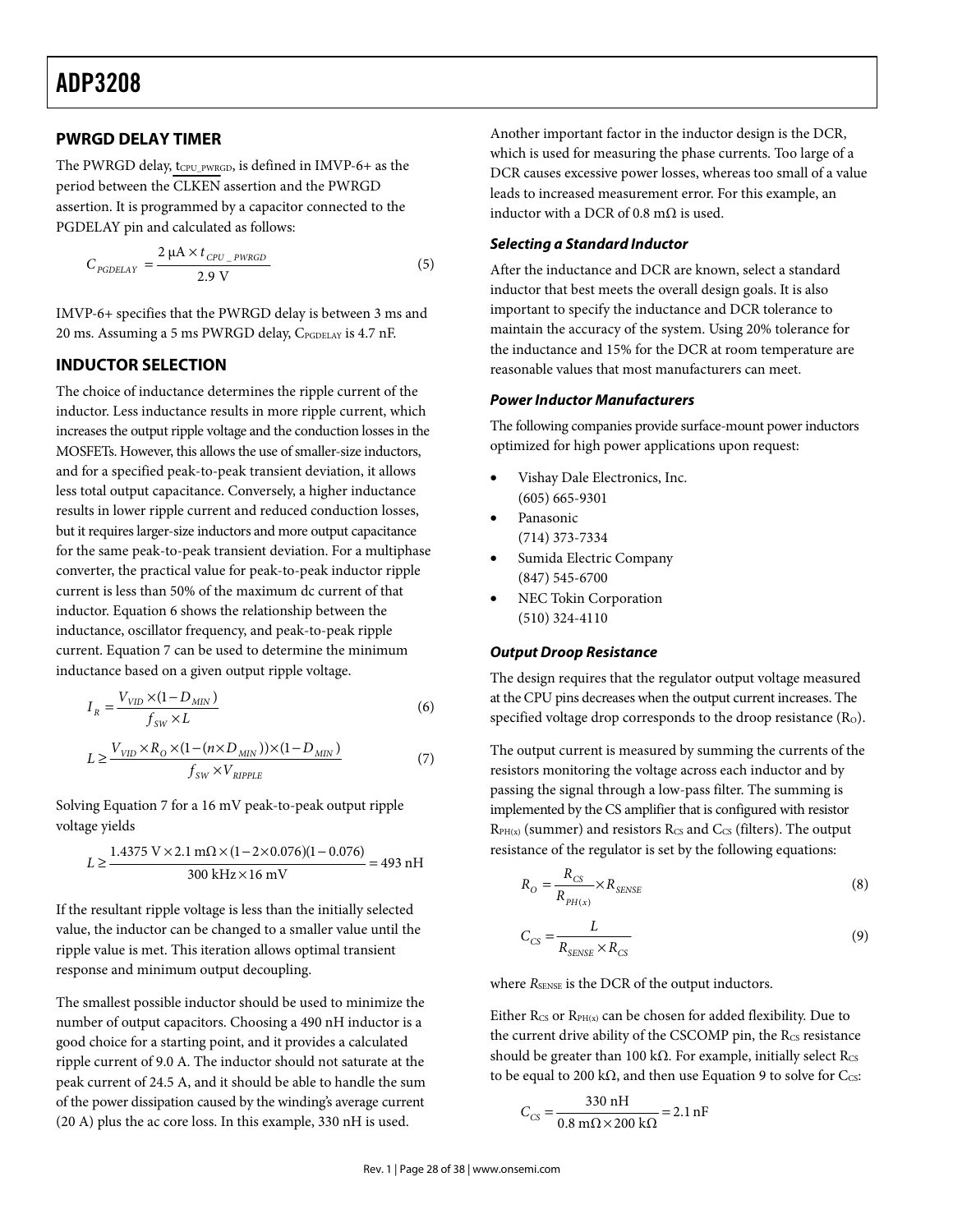### **PWRGD DELAY TIMER**

The PWRGD delay, tCPU\_PWRGD, is defined in IMVP-6+ as the period between the CLKEN assertion and the PWRGD assertion. It is programmed by a capacitor connected to the PGDELAY pin and calculated as follows:

$$
C_{POBEARY} = \frac{2 \mu A \times t_{CPU\_PWRGB}}{2.9 \text{ V}}
$$
 (5)

IMVP-6+ specifies that the PWRGD delay is between 3 ms and 20 ms. Assuming a 5 ms PWRGD delay, CPGDELAY is 4.7 nF.

### **INDUCTOR SELECTION**

The choice of inductance determines the ripple current of the inductor. Less inductance results in more ripple current, which increases the output ripple voltage and the conduction losses in the MOSFETs. However, this allows the use of smaller-size inductors, and for a specified peak-to-peak transient deviation, it allows less total output capacitance. Conversely, a higher inductance results in lower ripple current and reduced conduction losses, but it requires larger-size inductors and more output capacitance for the same peak-to-peak transient deviation. For a multiphase converter, the practical value for peak-to-peak inductor ripple current is less than 50% of the maximum dc current of that inductor. Equation 6 shows the relationship between the inductance, oscillator frequency, and peak-to-peak ripple current. Equation 7 can be used to determine the minimum inductance based on a given output ripple voltage.

$$
I_R = \frac{V_{VID} \times (1 - D_{MIN})}{f_{SW} \times L}
$$
\n<sup>(6)</sup>

$$
L \ge \frac{V_{VID} \times R_O \times (1 - (n \times D_{MIN})) \times (1 - D_{MIN})}{f_{SW} \times V_{RIPPLE}}
$$
\n<sup>(7)</sup>

Solving Equation 7 for a 16 mV peak-to-peak output ripple voltage yields

$$
L \ge \frac{1.4375 \text{ V} \times 2.1 \text{ m}\Omega \times (1 - 2 \times 0.076)(1 - 0.076)}{300 \text{ kHz} \times 16 \text{ mV}} = 493 \text{ nH}
$$

If the resultant ripple voltage is less than the initially selected value, the inductor can be changed to a smaller value until the ripple value is met. This iteration allows optimal transient response and minimum output decoupling.

The smallest possible inductor should be used to minimize the number of output capacitors. Choosing a 490 nH inductor is a good choice for a starting point, and it provides a calculated ripple current of 9.0 A. The inductor should not saturate at the peak current of 24.5 A, and it should be able to handle the sum of the power dissipation caused by the winding's average current (20 A) plus the ac core loss. In this example, 330 nH is used.

Another important factor in the inductor design is the DCR, which is used for measuring the phase currents. Too large of a DCR causes excessive power losses, whereas too small of a value leads to increased measurement error. For this example, an inductor with a DCR of 0.8 m $\Omega$  is used.

#### *Selecting a Standard Inductor*

After the inductance and DCR are known, select a standard inductor that best meets the overall design goals. It is also important to specify the inductance and DCR tolerance to maintain the accuracy of the system. Using 20% tolerance for the inductance and 15% for the DCR at room temperature are reasonable values that most manufacturers can meet.

#### *Power Inductor Manufacturers*

The following companies provide surface-mount power inductors optimized for high power applications upon request:

- Vishay Dale Electronics, Inc. (605) 665-9301
- Panasonic (714) 373-7334
- Sumida Electric Company (847) 545-6700
- NEC Tokin Corporation (510) 324-4110

#### *Output Droop Resistance*

The design requires that the regulator output voltage measured at the CPU pins decreases when the output current increases. The specified voltage drop corresponds to the droop resistance  $(R<sub>o</sub>)$ .

The output current is measured by summing the currents of the resistors monitoring the voltage across each inductor and by passing the signal through a low-pass filter. The summing is implemented by the CS amplifier that is configured with resistor  $R_{PH(x)}$  (summer) and resistors  $R_{CS}$  and  $C_{CS}$  (filters). The output resistance of the regulator is set by the following equations:

$$
R_O = \frac{R_{CS}}{R_{PH(x)}} \times R_{SENSE}
$$
\n(8)

$$
C_{CS} = \frac{L}{R_{SENSE} \times R_{CS}}
$$
\n(9)

where  $R_{\text{SENSE}}$  is the DCR of the output inductors.

Either R<sub>CS</sub> or R<sub>PH(x)</sub> can be chosen for added flexibility. Due to the current drive ability of the CSCOMP pin, the Rcs resistance should be greater than 100 k $\Omega$ . For example, initially select Rcs to be equal to 200 kΩ, and then use Equation 9 to solve for Ccs:

$$
C_{CS} = \frac{330 \text{ nH}}{0.8 \text{ m}\Omega \times 200 \text{ k}\Omega} = 2.1 \text{ nF}
$$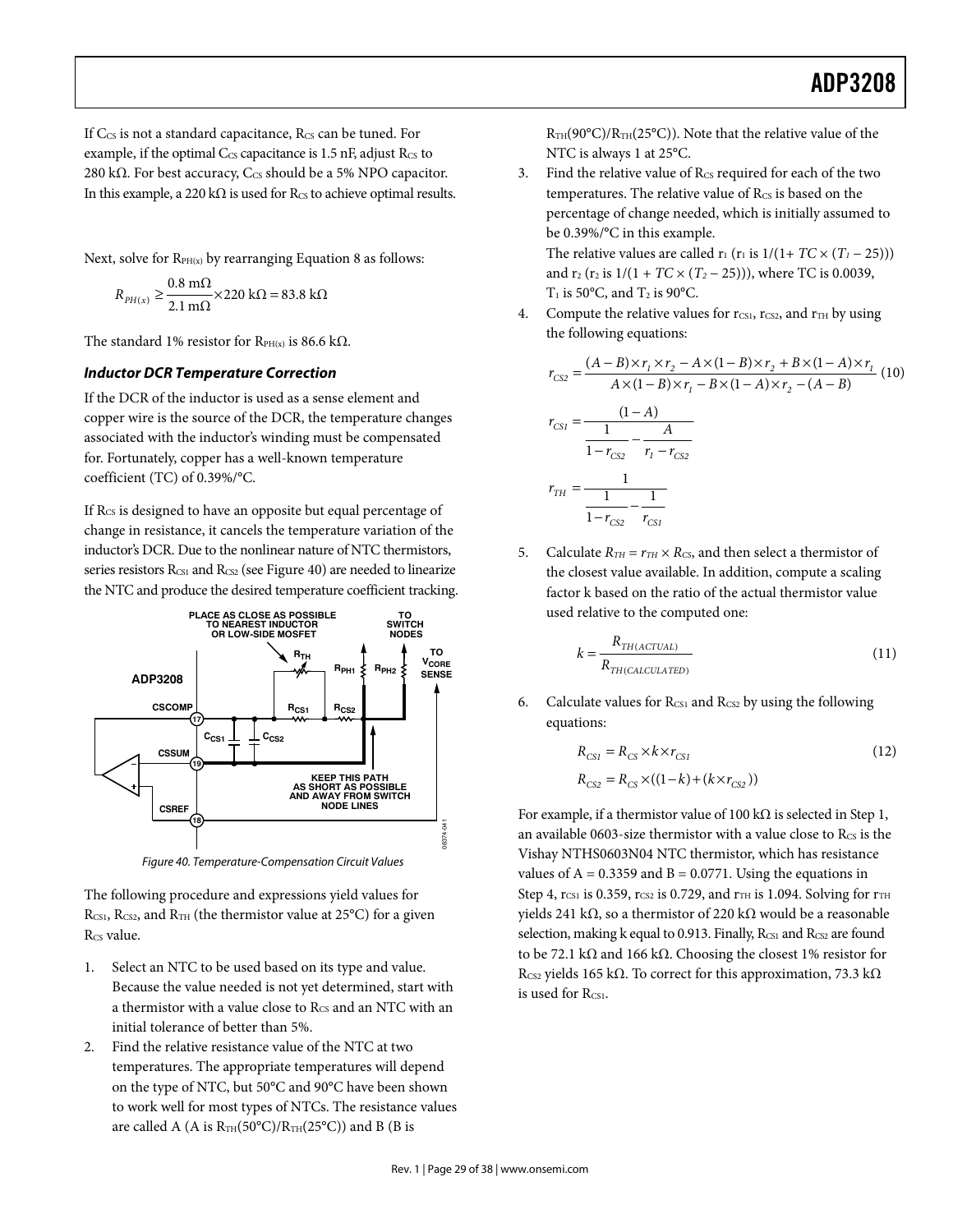If  $C_{\text{CS}}$  is not a standard capacitance,  $R_{\text{CS}}$  can be tuned. For example, if the optimal  $C_{CS}$  capacitance is 1.5 nF, adjust  $R_{CS}$  to 280 k $\Omega$ . For best accuracy, C<sub>CS</sub> should be a 5% NPO capacitor. In this example, a 220 k $\Omega$  is used for Rcs to achieve optimal results.

Next, solve for  $R_{PH(x)}$  by rearranging Equation 8 as follows:

$$
R_{PH(x)} \ge \frac{0.8 \text{ m}\Omega}{2.1 \text{ m}\Omega} \times 220 \text{ k}\Omega = 83.8 \text{ k}\Omega
$$

The standard 1% resistor for  $R_{PH(x)}$  is 86.6 kΩ.

## *Inductor DCR Temperature Correction*

If the DCR of the inductor is used as a sense element and copper wire is the source of the DCR, the temperature changes associated with the inductor's winding must be compensated for. Fortunately, copper has a well-known temperature coefficient (TC) of 0.39%/°C.

If R<sub>CS</sub> is designed to have an opposite but equal percentage of change in resistance, it cancels the temperature variation of the inductor's DCR. Due to the nonlinear nature of NTC thermistors, series resistors R<sub>CS1</sub> and R<sub>CS2</sub> (see Figure 40) are needed to linearize the NTC and produce the desired temperature coefficient tracking.

![](_page_28_Figure_8.jpeg)

Figure 40. Temperature-Compensation Circuit Values

The following procedure and expressions yield values for  $R_{CS1}$ ,  $R_{CS2}$ , and  $R_{TH}$  (the thermistor value at 25°C) for a given R<sub>CS</sub> value.

- 1. Select an NTC to be used based on its type and value. Because the value needed is not yet determined, start with a thermistor with a value close to  $R_{\text{CS}}$  and an NTC with an initial tolerance of better than 5%.
- 2. Find the relative resistance value of the NTC at two temperatures. The appropriate temperatures will depend on the type of NTC, but 50°C and 90°C have been shown to work well for most types of NTCs. The resistance values are called A (A is  $R_{TH}(50^{\circ}C)/R_{TH}(25^{\circ}C)$ ) and B (B is

 $R_{TH}(90^{\circ}C)/R_{TH}(25^{\circ}C)$ . Note that the relative value of the NTC is always 1 at 25°C.

3. Find the relative value of  $R_{CS}$  required for each of the two temperatures. The relative value of  $R_{CS}$  is based on the percentage of change needed, which is initially assumed to be 0.39%/°C in this example. The relative values are called  $r_1$  ( $r_1$  is  $1/(1+TC \times (T_1 - 25)))$ 

and  $r_2$  ( $r_2$  is  $1/(1 + TC \times (T_2 - 25))$ ), where TC is 0.0039,  $T_1$  is 50°C, and  $T_2$  is 90°C.

4. Compute the relative values for  $r_{CS1}$ ,  $r_{CS2}$ , and  $r_{TH}$  by using the following equations:

$$
r_{CS2} = \frac{(A-B)\times r_1 \times r_2 - A \times (1-B)\times r_2 + B \times (1-A) \times r_1}{A \times (1-B) \times r_1 - B \times (1-A) \times r_2 - (A-B)}
$$
  
\n
$$
r_{CS1} = \frac{(1-A)}{\frac{1}{1-r_{CS2}} - \frac{A}{r_1 - r_{CS2}}}
$$
  
\n
$$
r_{TH} = \frac{1}{\frac{1}{1-r_{CS2}} - \frac{1}{r_{CS1}}}
$$

5. Calculate  $R_{TH} = r_{TH} \times R_{CS}$ , and then select a thermistor of the closest value available. In addition, compute a scaling factor k based on the ratio of the actual thermistor value used relative to the computed one:

$$
k = \frac{R_{TH(ACTUAL)}}{R_{TH(CALCULATED)}}
$$
\n(11)

6. Calculate values for  $R_{CS1}$  and  $R_{CS2}$  by using the following equations:

$$
R_{CS1} = R_{CS} \times k \times r_{CS1}
$$
  
\n
$$
R_{CS2} = R_{CS} \times ((1-k) + (k \times r_{CS2}))
$$
\n(12)

For example, if a thermistor value of 100 kΩ is selected in Step 1, an available 0603-size thermistor with a value close to Rcs is the Vishay NTHS0603N04 NTC thermistor, which has resistance values of  $A = 0.3359$  and  $B = 0.0771$ . Using the equations in Step 4,  $r_{CS1}$  is 0.359,  $r_{CS2}$  is 0.729, and  $r_{TH}$  is 1.094. Solving for  $r_{TH}$ yields 241 kΩ, so a thermistor of 220 kΩ would be a reasonable selection, making k equal to 0.913. Finally, Rcs1 and Rcs2 are found to be 72.1 kΩ and 166 kΩ. Choosing the closest 1% resistor for R<sub>CS2</sub> yields 165 kΩ. To correct for this approximation, 73.3 kΩ is used for Rcs1.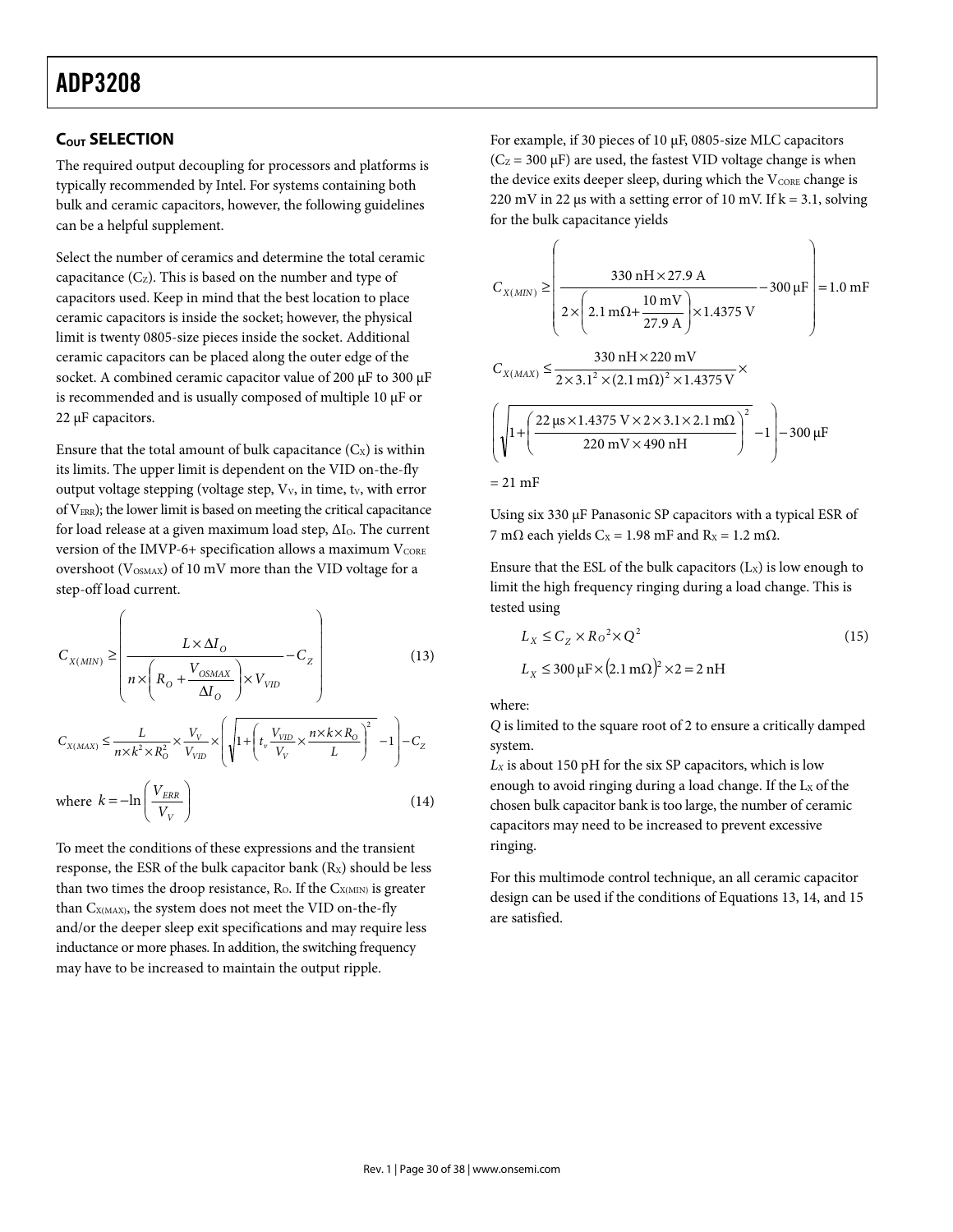## **ADP3208** ADP3208

## **COUT SELECTION**

The required output decoupling for processors and platforms is typically recommended by Intel. For systems containing both bulk and ceramic capacitors, however, the following guidelines can be a helpful supplement.

Select the number of ceramics and determine the total ceramic capacitance  $(C_{Z})$ . This is based on the number and type of capacitors used. Keep in mind that the best location to place ceramic capacitors is inside the socket; however, the physical limit is twenty 0805-size pieces inside the socket. Additional ceramic capacitors can be placed along the outer edge of the socket. A combined ceramic capacitor value of 200 μF to 300 μF is recommended and is usually composed of multiple 10 μF or 22 μF capacitors.

Ensure that the total amount of bulk capacitance  $(C_x)$  is within its limits. The upper limit is dependent on the VID on-the-fly output voltage stepping (voltage step,  $V_v$ , in time,  $t_v$ , with error of  $V_{ERR}$ ); the lower limit is based on meeting the critical capacitance for load release at a given maximum load step,  $\Delta I_0$ . The current version of the IMVP-6+ specification allows a maximum  $V_{\text{CORE}}$ overshoot ( $V_{\text{OSMAX}}$ ) of 10 mV more than the VID voltage for a step-off load current.

$$
C_{X(MIN)} \ge \left(\frac{L \times \Delta I_o}{n \times \left(R_o + \frac{V_{OSMAX}}{\Delta I_o}\right) \times V_{VID}} - C_Z\right)
$$
(13)

$$
C_{X(MAX)} \leq \frac{L}{n \times k^2 \times R_{\scriptscriptstyle O}^2} \times \frac{V_V}{V_{\scriptscriptstyle VID}} \times \left( \sqrt{1 + \left(t_v\frac{V_{\scriptscriptstyle VID}}{V_V} \times \frac{n \times k \times R_{\scriptscriptstyle O}}{L}\right)^2} \right. \\ \left.-1\right) - C_Z
$$

where 
$$
k = -\ln\left(\frac{V_{ERR}}{V_V}\right)
$$
 (14)

To meet the conditions of these expressions and the transient response, the ESR of the bulk capacitor bank  $(R_X)$  should be less than two times the droop resistance,  $R_{O}$ . If the  $C_{X(MIN)}$  is greater than C<sub>X(MAX)</sub>, the system does not meet the VID on-the-fly and/or the deeper sleep exit specifications and may require less inductance or more phases. In addition, the switching frequency may have to be increased to maintain the output ripple.

For example, if 30 pieces of 10 μF, 0805-size MLC capacitors  $(C_Z = 300 \,\mu\text{F})$  are used, the fastest VID voltage change is when the device exits deeper sleep, during which the  $V_{\text{CORE}}$  change is 220 mV in 22 μs with a setting error of 10 mV. If  $k = 3.1$ , solving for the bulk capacitance yields

$$
C_{X(MIN)} \ge \left(\frac{330 \text{ nH} \times 27.9 \text{ A}}{2 \times \left(2.1 \text{ m}\Omega + \frac{10 \text{ mV}}{27.9 \text{ A}}\right) \times 1.4375 \text{ V}} - 300 \mu\text{F}\right) = 1.0 \text{ mF}
$$
  

$$
C_{X(MAX)} \le \frac{330 \text{ nH} \times 220 \text{ mV}}{2 \times 3.1^2 \times (2.1 \text{ m}\Omega)^2 \times 1.4375 \text{ V}} \times \left(\sqrt{1 + \left(\frac{22 \text{ }\mu\text{s} \times 1.4375 \text{ V} \times 2 \times 3.1 \times 2.1 \text{ m}\Omega}{220 \text{ mV} \times 490 \text{ nH}}\right)^2} - 1\right) - 300 \mu\text{F}
$$
  
= 21 mF

Using six 330 μF Panasonic SP capacitors with a typical ESR of 7 mΩ each yields C<sub>x</sub> = 1.98 mF and R<sub>x</sub> = 1.2 mΩ.

Ensure that the ESL of the bulk capacitors  $(L_X)$  is low enough to limit the high frequency ringing during a load change. This is tested using

$$
L_X \le C_Z \times R_0^2 \times Q^2
$$
  
\n
$$
L_X \le 300 \,\mu\text{F} \times (2.1 \,\text{m}\Omega)^2 \times 2 = 2 \,\text{nH}
$$
\n(15)

where:

Q is limited to the square root of 2 to ensure a critically damped system.

 $L_X$  is about 150 pH for the six SP capacitors, which is low enough to avoid ringing during a load change. If the  $L<sub>x</sub>$  of the chosen bulk capacitor bank is too large, the number of ceramic capacitors may need to be increased to prevent excessive ringing.

For this multimode control technique, an all ceramic capacitor design can be used if the conditions of Equations 13, 14, and 15 are satisfied.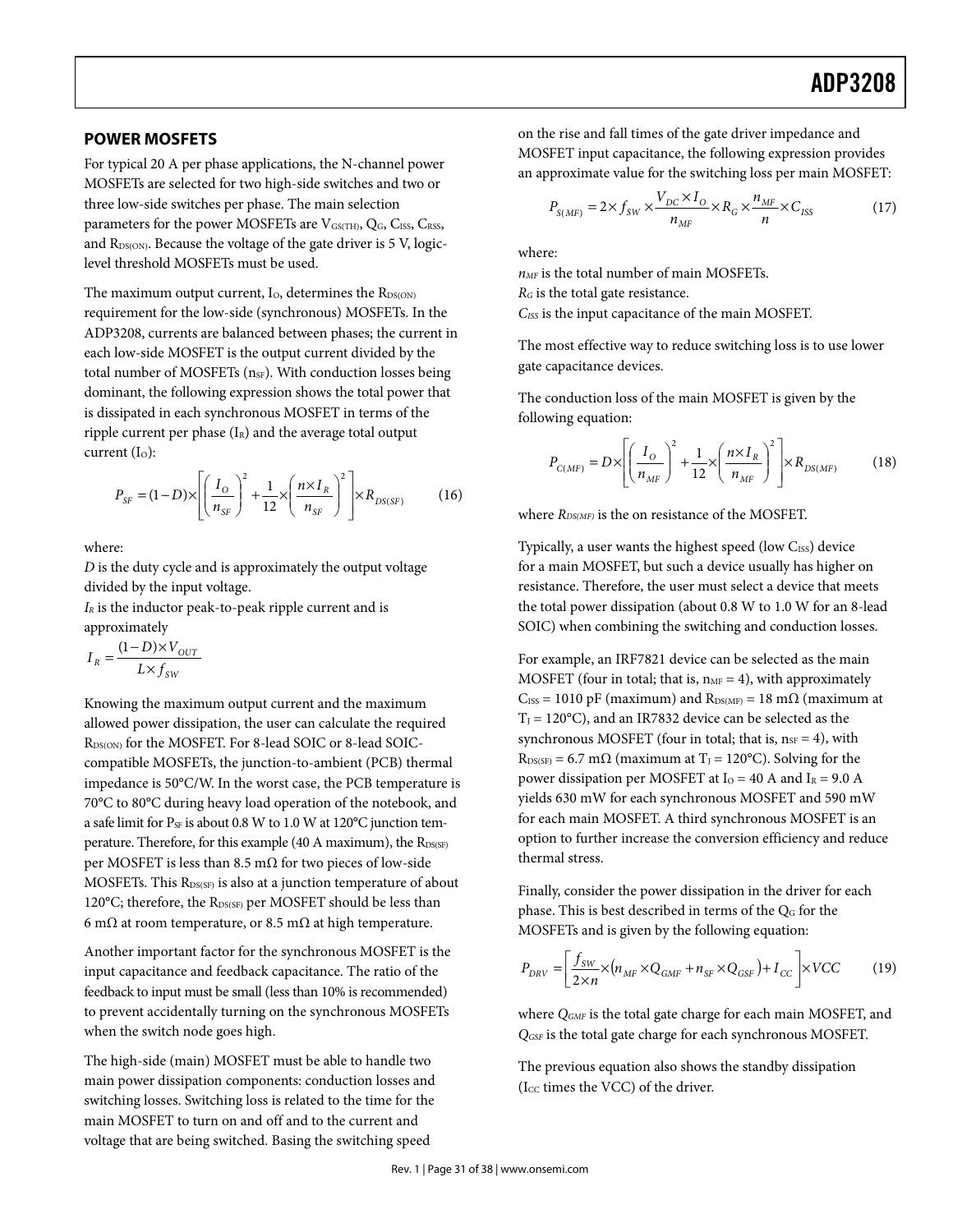### **POWER MOSFETS**

For typical 20 A per phase applications, the N-channel power MOSFETs are selected for two high-side switches and two or three low-side switches per phase. The main selection parameters for the power MOSFETs are VGS(TH), QG, CISS, CRSS, and R<sub>DS(ON)</sub>. Because the voltage of the gate driver is 5 V, logiclevel threshold MOSFETs must be used.

The maximum output current,  $I<sub>O</sub>$ , determines the  $R<sub>DS(ON)</sub>$ requirement for the low-side (synchronous) MOSFETs. In the ADP3208, currents are balanced between phases; the current in each low-side MOSFET is the output current divided by the total number of MOSFETs (n<sub>SF</sub>). With conduction losses being dominant, the following expression shows the total power that is dissipated in each synchronous MOSFET in terms of the ripple current per phase  $(I_R)$  and the average total output current  $(I<sub>o</sub>)$ :

$$
P_{SF} = (1 - D) \times \left[ \left( \frac{I_O}{n_{SF}} \right)^2 + \frac{1}{12} \times \left( \frac{n \times I_R}{n_{SF}} \right)^2 \right] \times R_{DS(SF)} \tag{16}
$$

where:

D is the duty cycle and is approximately the output voltage divided by the input voltage.

 $I_R$  is the inductor peak-to-peak ripple current and is approximately

SW  $R = \frac{(1 - D) \times V_{OUT}}{L \times f_{cov}}$  $I_p = \frac{(1-D)\times V}{V}$  $=\frac{(1-D)\times}{L\times f}$ 

Knowing the maximum output current and the maximum allowed power dissipation, the user can calculate the required RDS(ON) for the MOSFET. For 8-lead SOIC or 8-lead SOICcompatible MOSFETs, the junction-to-ambient (PCB) thermal impedance is 50°C/W. In the worst case, the PCB temperature is 70°C to 80°C during heavy load operation of the notebook, and a safe limit for  $P_{SF}$  is about 0.8 W to 1.0 W at 120°C junction temperature. Therefore, for this example (40 A maximum), the  $R_{DS(SF)}$ per MOSFET is less than 8.5 mΩ for two pieces of low-side MOSFETs. This  $R_{DS(SF)}$  is also at a junction temperature of about 120 $^{\circ}$ C; therefore, the R<sub>DS(SF)</sub> per MOSFET should be less than 6 m $\Omega$  at room temperature, or 8.5 m $\Omega$  at high temperature.

Another important factor for the synchronous MOSFET is the input capacitance and feedback capacitance. The ratio of the feedback to input must be small (less than 10% is recommended) to prevent accidentally turning on the synchronous MOSFETs when the switch node goes high.

The high-side (main) MOSFET must be able to handle two main power dissipation components: conduction losses and switching losses. Switching loss is related to the time for the main MOSFET to turn on and off and to the current and voltage that are being switched. Basing the switching speed

on the rise and fall times of the gate driver impedance and MOSFET input capacitance, the following expression provides an approximate value for the switching loss per main MOSFET:

$$
P_{S(MF)} = 2 \times f_{SW} \times \frac{V_{DC} \times I_O}{n_{MF}} \times R_G \times \frac{n_{MF}}{n} \times C_{ISS}
$$
 (17)

where:

 $n_{MF}$  is the total number of main MOSFETs.

 $R_G$  is the total gate resistance.

C<sub>ISS</sub> is the input capacitance of the main MOSFET.

The most effective way to reduce switching loss is to use lower gate capacitance devices.

The conduction loss of the main MOSFET is given by the following equation:

$$
P_{C(MF)} = D \times \left[ \left( \frac{I_O}{n_{MF}} \right)^2 + \frac{1}{12} \times \left( \frac{n \times I_R}{n_{MF}} \right)^2 \right] \times R_{DS(MF)} \tag{18}
$$

where  $R_{DS(MF)}$  is the on resistance of the MOSFET.

Typically, a user wants the highest speed (low CISS) device for a main MOSFET, but such a device usually has higher on resistance. Therefore, the user must select a device that meets the total power dissipation (about 0.8 W to 1.0 W for an 8-lead SOIC) when combining the switching and conduction losses.

For example, an IRF7821 device can be selected as the main MOSFET (four in total; that is,  $n_{MF} = 4$ ), with approximately  $C_{ISS} = 1010$  pF (maximum) and  $R_{DS(MF)} = 18$  m $\Omega$  (maximum at  $T_J = 120$ °C), and an IR7832 device can be selected as the synchronous MOSFET (four in total; that is,  $n_{SF} = 4$ ), with  $R_{DS(SF)} = 6.7$  m $\Omega$  (maximum at T<sub>J</sub> = 120°C). Solving for the power dissipation per MOSFET at  $I_0 = 40$  A and  $I_R = 9.0$  A yields 630 mW for each synchronous MOSFET and 590 mW for each main MOSFET. A third synchronous MOSFET is an option to further increase the conversion efficiency and reduce thermal stress.

Finally, consider the power dissipation in the driver for each phase. This is best described in terms of the  $Q<sub>G</sub>$  for the MOSFETs and is given by the following equation:

$$
P_{DRV} = \left[\frac{f_{SW}}{2 \times n} \times (n_{MF} \times Q_{GMF} + n_{SF} \times Q_{GSF}) + I_{CC}\right] \times VCC
$$
 (19)

where  $Q_{GMF}$  is the total gate charge for each main MOSFET, and Q<sub>GSF</sub> is the total gate charge for each synchronous MOSFET.

The previous equation also shows the standby dissipation ( $I_{CC}$  times the VCC) of the driver.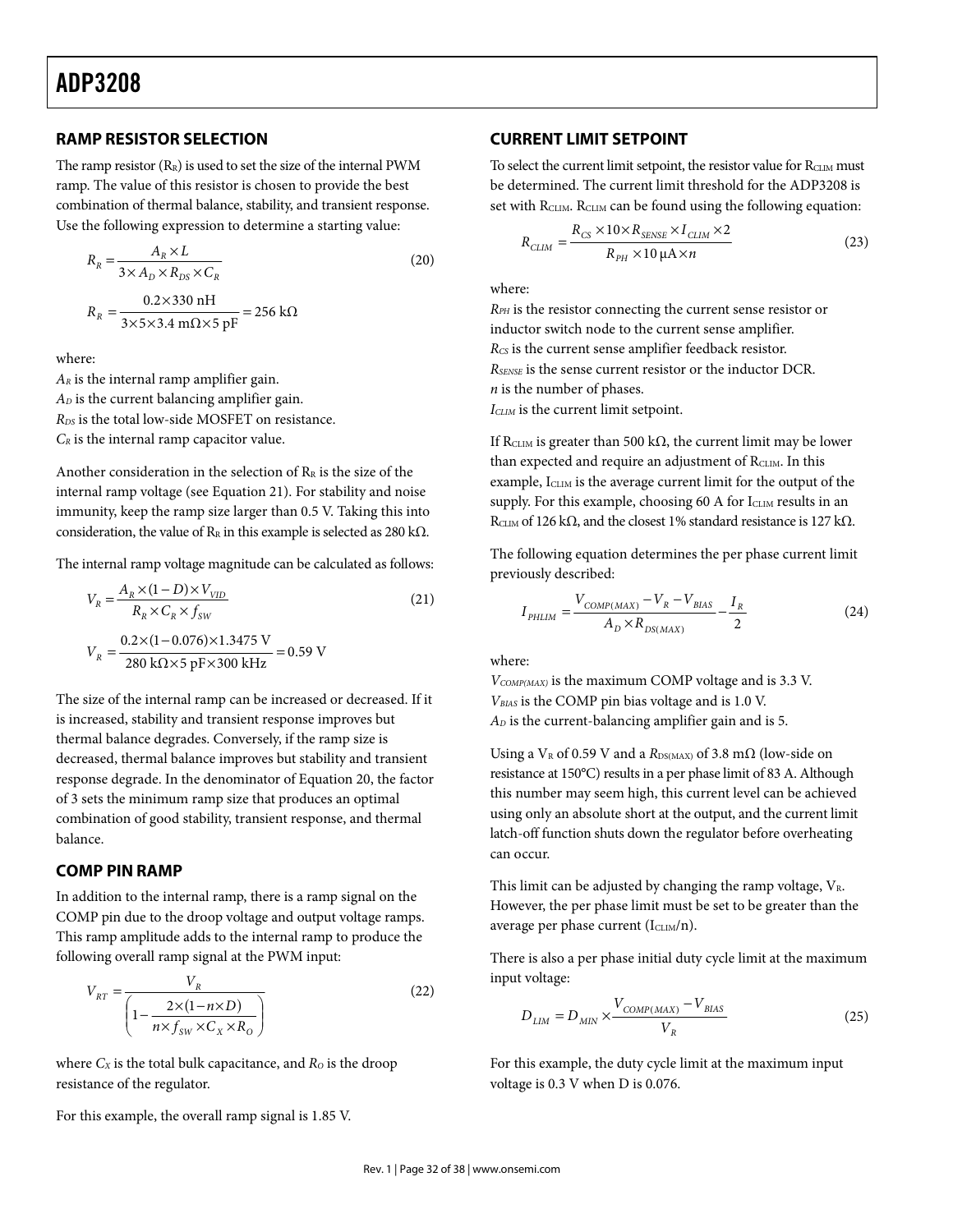### **RAMP RESISTOR SELECTION**

The ramp resistor  $(R_R)$  is used to set the size of the internal PWM ramp. The value of this resistor is chosen to provide the best combination of thermal balance, stability, and transient response. Use the following expression to determine a starting value:

$$
R_R = \frac{A_R \times L}{3 \times A_D \times R_{DS} \times C_R}
$$
\n
$$
R_R = \frac{0.2 \times 330 \text{ nH}}{3 \times 5 \times 3.4 \text{ m}\Omega \times 5 \text{ pF}} = 256 \text{ k}\Omega
$$
\n(20)

where:

 $A_R$  is the internal ramp amplifier gain.  $A_D$  is the current balancing amplifier gain. R<sub>DS</sub> is the total low-side MOSFET on resistance.  $C_R$  is the internal ramp capacitor value.

Another consideration in the selection of  $R_R$  is the size of the internal ramp voltage (see Equation 21). For stability and noise immunity, keep the ramp size larger than 0.5 V. Taking this into consideration, the value of  $R_R$  in this example is selected as 280 kΩ.

The internal ramp voltage magnitude can be calculated as follows:

$$
V_R = \frac{A_R \times (1 - D) \times V_{VID}}{R_R \times C_R \times f_{SW}}
$$
(21)  

$$
V_R = \frac{0.2 \times (1 - 0.076) \times 1.3475 \text{ V}}{280 \text{ k}\Omega \times 5 \text{ pF} \times 300 \text{ kHz}} = 0.59 \text{ V}
$$

The size of the internal ramp can be increased or decreased. If it is increased, stability and transient response improves but thermal balance degrades. Conversely, if the ramp size is decreased, thermal balance improves but stability and transient response degrade. In the denominator of Equation 20, the factor of 3 sets the minimum ramp size that produces an optimal combination of good stability, transient response, and thermal balance.

### **COMP PIN RAMP**

In addition to the internal ramp, there is a ramp signal on the COMP pin due to the droop voltage and output voltage ramps. This ramp amplitude adds to the internal ramp to produce the following overall ramp signal at the PWM input:

$$
V_{RT} = \frac{V_R}{\left(1 - \frac{2 \times (1 - n \times D)}{n \times f_{SW} \times C_X \times R_O}\right)}
$$
(22)

where  $C_X$  is the total bulk capacitance, and  $R_O$  is the droop resistance of the regulator.

For this example, the overall ramp signal is 1.85 V.

#### **CURRENT LIMIT SETPOINT**

To select the current limit setpoint, the resistor value for RCLIM must be determined. The current limit threshold for the ADP3208 is set with RCLIM. RCLIM can be found using the following equation:

$$
R_{CLIM} = \frac{R_{CS} \times 10 \times R_{SENSE} \times I_{CLIM} \times 2}{R_{PH} \times 10 \,\mu\text{A} \times n}
$$
 (23)

where:

RPH is the resistor connecting the current sense resistor or inductor switch node to the current sense amplifier.  $R_{CS}$  is the current sense amplifier feedback resistor. RSENSE is the sense current resistor or the inductor DCR. n is the number of phases.  $I_{CLIM}$  is the current limit setpoint.

If RCLIM is greater than 500 k $\Omega$ , the current limit may be lower than expected and require an adjustment of RCLIM. In this example, ICLIM is the average current limit for the output of the supply. For this example, choosing 60 A for ICLIM results in an R<sub>CLIM</sub> of 126 kΩ, and the closest 1% standard resistance is 127 kΩ.

The following equation determines the per phase current limit previously described:

$$
I_{\text{PHLIM}} = \frac{V_{\text{COMP(MAX)}} - V_R - V_{\text{BIAS}}}{A_D \times R_{\text{DS(MAX)}}} - \frac{I_R}{2}
$$
(24)

where:

 $V_{COMP(MAX)}$  is the maximum COMP voltage and is 3.3 V. VBIAS is the COMP pin bias voltage and is 1.0 V.  $A_D$  is the current-balancing amplifier gain and is 5.

Using a V<sub>R</sub> of 0.59 V and a  $R_{DS(MAX)}$  of 3.8 m $\Omega$  (low-side on resistance at 150°C) results in a per phase limit of 83 A. Although this number may seem high, this current level can be achieved using only an absolute short at the output, and the current limit latch-off function shuts down the regulator before overheating can occur.

This limit can be adjusted by changing the ramp voltage,  $V_{R}$ . However, the per phase limit must be set to be greater than the average per phase current  $(I<sub>CLIM</sub>/n)$ .

There is also a per phase initial duty cycle limit at the maximum input voltage:

$$
D_{LIM} = D_{MIN} \times \frac{V_{COMP(MAX)} - V_{BIAS}}{V_R}
$$
 (25)

For this example, the duty cycle limit at the maximum input voltage is 0.3 V when D is 0.076.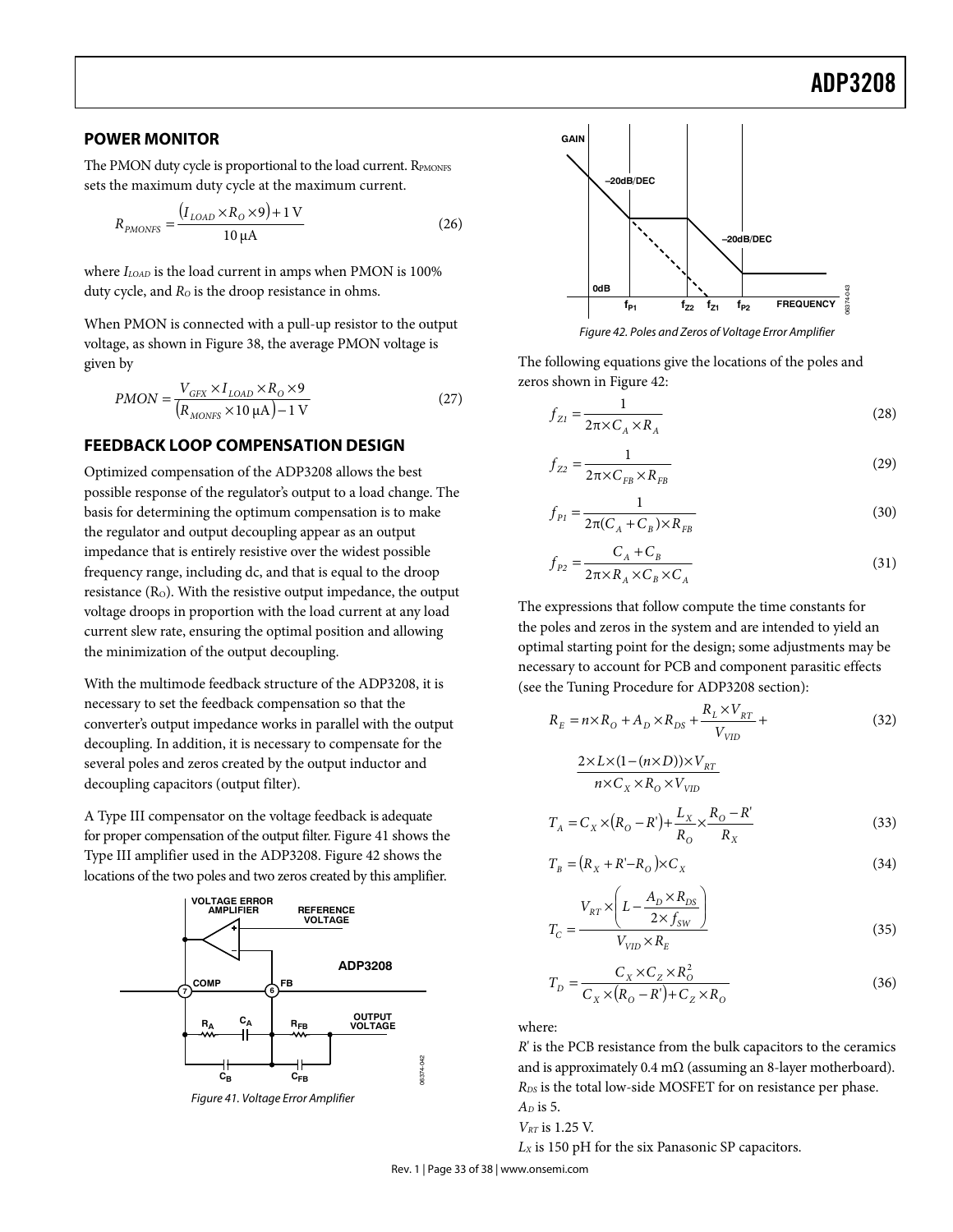## Example 2014 and 2015 and 2016 and 2016 and 2016 and 2017 and 2018 and 2018 and 2018 and 2018 and 2018 and 201

### **POWER MONITOR**

The PMON duty cycle is proportional to the load current. RPMONFS sets the maximum duty cycle at the maximum current.

$$
R_{p_{MONFS}} = \frac{(I_{LOAD} \times R_O \times 9) + 1 \text{ V}}{10 \text{ }\mu\text{A}}
$$
 (26)

where  $I_{LOAD}$  is the load current in amps when PMON is 100% duty cycle, and  $R_0$  is the droop resistance in ohms.

When PMON is connected with a pull-up resistor to the output voltage, as shown in Figure 38, the average PMON voltage is given by

$$
PMON = \frac{V_{GFX} \times I_{LOAD} \times R_0 \times 9}{(R_{MONFS} \times 10 \,\mu\text{A}) - 1 \,\text{V}}
$$
\n(27)

## **FEEDBACK LOOP COMPENSATION DESIGN**

Optimized compensation of the ADP3208 allows the best possible response of the regulator's output to a load change. The basis for determining the optimum compensation is to make the regulator and output decoupling appear as an output impedance that is entirely resistive over the widest possible frequency range, including dc, and that is equal to the droop resistance (R<sub>O</sub>). With the resistive output impedance, the output voltage droops in proportion with the load current at any load current slew rate, ensuring the optimal position and allowing the minimization of the output decoupling.

With the multimode feedback structure of the ADP3208, it is necessary to set the feedback compensation so that the converter's output impedance works in parallel with the output decoupling. In addition, it is necessary to compensate for the several poles and zeros created by the output inductor and decoupling capacitors (output filter).

A Type III compensator on the voltage feedback is adequate for proper compensation of the output filter. Figure 41 shows the Type III amplifier used in the ADP3208. Figure 42 shows the locations of the two poles and two zeros created by this amplifier.

![](_page_32_Figure_11.jpeg)

Figure 41. Voltage Error Amplifier

![](_page_32_Figure_13.jpeg)

Figure 42. Poles and Zeros of Voltage Error Amplifier

The following equations give the locations of the poles and zeros shown in Figure 42:

$$
f_{Z1} = \frac{1}{2\pi \times C_A \times R_A}
$$
 (28)

$$
f_{Z2} = \frac{1}{2\pi \times C_{FB} \times R_{FB}}
$$
\n(29)

$$
f_{p_1} = \frac{1}{2\pi (C_A + C_B) \times R_{FB}}
$$
\n(30)

$$
f_{p_2} = \frac{C_A + C_B}{2\pi \times R_A \times C_B \times C_A}
$$
\n(31)

The expressions that follow compute the time constants for the poles and zeros in the system and are intended to yield an optimal starting point for the design; some adjustments may be necessary to account for PCB and component parasitic effects (see the Tuning Procedure for ADP3208 section):

$$
R_E = n \times R_O + A_D \times R_{DS} + \frac{R_L \times V_{RT}}{V_{VID}} +
$$
\n(32)

$$
\frac{2 \times L \times (1 - (n \times D)) \times V_{RT}}{n \times C_X \times R_O \times V_{VD}}
$$
  

$$
T_A = C_X \times (R_O - R') + \frac{L_X}{R_O} \times \frac{R_O - R'}{R_X}
$$
(33)

$$
T_B = (R_X + R' - R_O) \times C_X \tag{34}
$$

$$
T_C = \frac{V_{RT} \times \left(L - \frac{A_D \times R_{DS}}{2 \times f_{SW}}\right)}{V_{VD} \times R_E}
$$
\n(35)

$$
T_D = \frac{C_X \times C_Z \times R_O^2}{C_X \times (R_O - R') + C_Z \times R_O}
$$
\n(36)

where:

R' is the PCB resistance from the bulk capacitors to the ceramics and is approximately 0.4 m $\Omega$  (assuming an 8-layer motherboard). R<sub>DS</sub> is the total low-side MOSFET for on resistance per phase.  $A_D$  is 5.

$$
V_{RT} \text{ is } 1.25 \text{ V.}
$$

 $L_X$  is 150 pH for the six Panasonic SP capacitors.

Rev. 1 | Page 33 of 38 | www.onsemi.com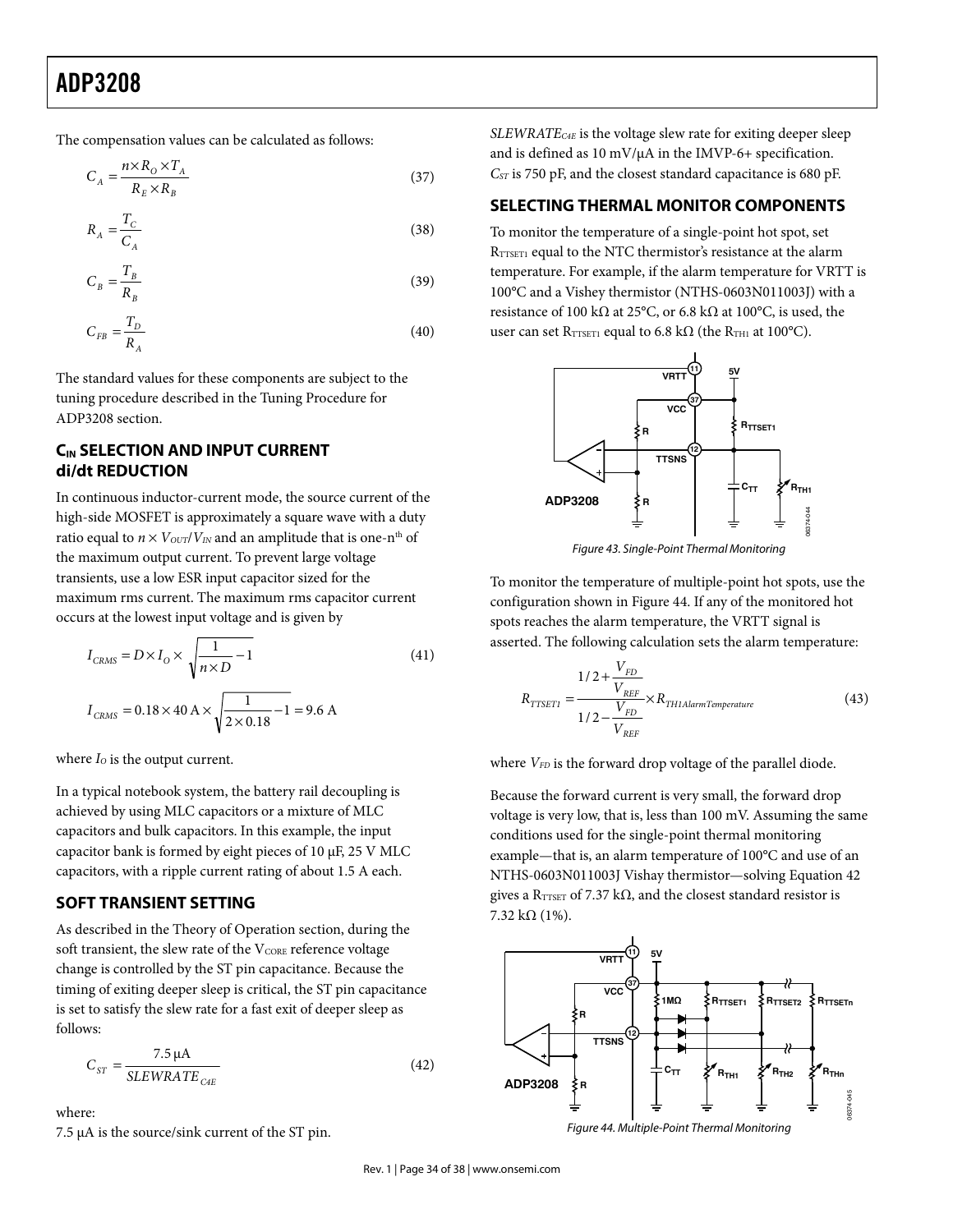## **ADP3208** ADP3208

The compensation values can be calculated as follows:

$$
C_A = \frac{n \times R_0 \times T_A}{R_E \times R_B} \tag{37}
$$

$$
R_A = \frac{T_C}{C_A} \tag{38}
$$

$$
C_B = \frac{T_B}{R_B} \tag{39}
$$

$$
C_{FB} = \frac{T_D}{R_A} \tag{40}
$$

The standard values for these components are subject to the tuning procedure described in the Tuning Procedure for ADP3208 section.

## **CIN SELECTION AND INPUT CURRENT di/dt REDUCTION**

In continuous inductor-current mode, the source current of the high-side MOSFET is approximately a square wave with a duty ratio equal to  $n \times V_{\text{OUT}}/V_{\text{IN}}$  and an amplitude that is one-n<sup>th</sup> of the maximum output current. To prevent large voltage transients, use a low ESR input capacitor sized for the maximum rms current. The maximum rms capacitor current occurs at the lowest input voltage and is given by

$$
I_{CRMS} = D \times I_0 \times \sqrt{\frac{1}{n \times D} - 1}
$$
(41)  

$$
I_{CRMS} = 0.18 \times 40 \text{ A} \times \sqrt{\frac{1}{2 \times 0.18} - 1} = 9.6 \text{ A}
$$

where  $I_0$  is the output current.

In a typical notebook system, the battery rail decoupling is achieved by using MLC capacitors or a mixture of MLC capacitors and bulk capacitors. In this example, the input capacitor bank is formed by eight pieces of 10 μF, 25 V MLC capacitors, with a ripple current rating of about 1.5 A each.

### **SOFT TRANSIENT SETTING**

As described in the Theory of Operation section, during the soft transient, the slew rate of the V<sub>CORE</sub> reference voltage change is controlled by the ST pin capacitance. Because the timing of exiting deeper sleep is critical, the ST pin capacitance is set to satisfy the slew rate for a fast exit of deeper sleep as follows:

$$
C_{ST} = \frac{7.5 \,\mu\text{A}}{\text{SLEWRATE}_{\text{CHE}}}
$$
\n
$$
\tag{42}
$$

where:

7.5 μA is the source/sink current of the ST pin.

 $SLEWRATE_{C4E}$  is the voltage slew rate for exiting deeper sleep and is defined as 10 mV/μA in the IMVP-6+ specification.  $C_{ST}$  is 750 pF, and the closest standard capacitance is 680 pF.

## **SELECTING THERMAL MONITOR COMPONENTS**

To monitor the temperature of a single-point hot spot, set RTTSET1 equal to the NTC thermistor's resistance at the alarm temperature. For example, if the alarm temperature for VRTT is 100°C and a Vishey thermistor (NTHS-0603N011003J) with a resistance of 100 kΩ at 25°C, or 6.8 kΩ at 100°C, is used, the user can set RTTSET1 equal to 6.8 k $\Omega$  (the RTH1 at 100°C).

![](_page_33_Figure_20.jpeg)

Figure 43. Single-Point Thermal Monitoring

To monitor the temperature of multiple-point hot spots, use the configuration shown in Figure 44. If any of the monitored hot spots reaches the alarm temperature, the VRTT signal is asserted. The following calculation sets the alarm temperature:

$$
R_{TTSET1} = \frac{1/2 + \frac{V_{FD}}{V_{REF}}}{1/2 - \frac{V_{FD}}{V_{REF}}} \times R_{TH1AlarmTemperature}
$$
(43)

where  $V_{FD}$  is the forward drop voltage of the parallel diode.

Because the forward current is very small, the forward drop voltage is very low, that is, less than 100 mV. Assuming the same conditions used for the single-point thermal monitoring example—that is, an alarm temperature of 100°C and use of an NTHS-0603N011003J Vishay thermistor—solving Equation 42 gives a R<sub>TTSET</sub> of 7.37 kΩ, and the closest standard resistor is 7.32 kΩ (1%).

![](_page_33_Figure_26.jpeg)

Figure 44. Multiple-Point Thermal Monitoring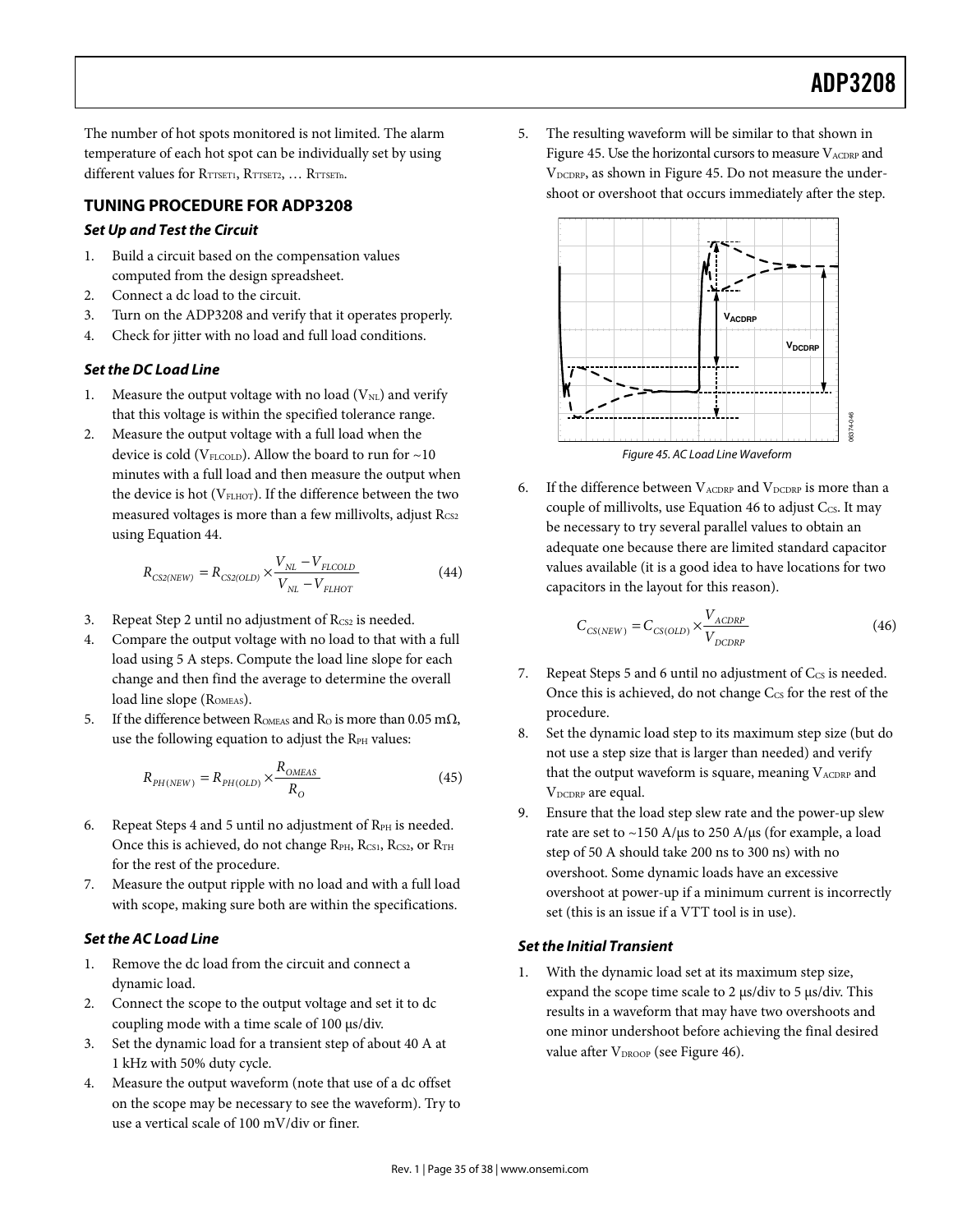06374-046

The number of hot spots monitored is not limited. The alarm temperature of each hot spot can be individually set by using different values for RTTSET1, RTTSET2, ... RTTSETn.

## **TUNING PROCEDURE FOR ADP3208**

## *Set Up and Test the Circuit*

- 1. Build a circuit based on the compensation values computed from the design spreadsheet.
- 2. Connect a dc load to the circuit.
- 3. Turn on the ADP3208 and verify that it operates properly.
- 4. Check for jitter with no load and full load conditions.

## *Set the DC Load Line*

- 1. Measure the output voltage with no load  $(V_{NL})$  and verify that this voltage is within the specified tolerance range.
- 2. Measure the output voltage with a full load when the device is cold (V $_{\text{FLCDLD}}$ ). Allow the board to run for ~10 minutes with a full load and then measure the output when the device is hot (V<sub>FLHOT</sub>). If the difference between the two measured voltages is more than a few millivolts, adjust  $R_{CS2}$ using Equation 44.

$$
R_{CS2(NEW)}=R_{CS2(OLD)}\times\frac{V_{NL}-V_{FLCOLD}}{V_{NL}-V_{FLHOT}} \eqno(44)
$$

- 3. Repeat Step 2 until no adjustment of  $R_{CS2}$  is needed.
- 4. Compare the output voltage with no load to that with a full load using 5 A steps. Compute the load line slope for each change and then find the average to determine the overall load line slope (ROMEAS).
- 5. If the difference between R<sub>OMEAS</sub> and R<sub>O</sub> is more than 0.05 m $\Omega$ , use the following equation to adjust the RPH values:

$$
R_{PH(NEW)} = R_{PH(OLD)} \times \frac{R_{OMEAS}}{R_O}
$$
\n(45)

- 6. Repeat Steps 4 and 5 until no adjustment of  $R_{PH}$  is needed. Once this is achieved, do not change  $R_{PH}$ ,  $R_{CS1}$ ,  $R_{CS2}$ , or  $R_{TH}$ for the rest of the procedure.
- 7. Measure the output ripple with no load and with a full load with scope, making sure both are within the specifications.

### *Set the AC Load Line*

- 1. Remove the dc load from the circuit and connect a dynamic load.
- 2. Connect the scope to the output voltage and set it to dc coupling mode with a time scale of 100 μs/div.
- 3. Set the dynamic load for a transient step of about 40 A at 1 kHz with 50% duty cycle.
- 4. Measure the output waveform (note that use of a dc offset on the scope may be necessary to see the waveform). Try to use a vertical scale of 100 mV/div or finer.

5. The resulting waveform will be similar to that shown in Figure 45. Use the horizontal cursors to measure VACDRP and  $V<sub>DCDRP</sub>$ , as shown in Figure 45. Do not measure the undershoot or overshoot that occurs immediately after the step.

![](_page_34_Figure_24.jpeg)

Figure 45. AC Load Line Waveform

6. If the difference between  $V_{\text{ACDRP}}$  and  $V_{\text{DCDRP}}$  is more than a couple of millivolts, use Equation 46 to adjust  $C_{\text{CS}}$ . It may be necessary to try several parallel values to obtain an adequate one because there are limited standard capacitor values available (it is a good idea to have locations for two capacitors in the layout for this reason).

$$
C_{CS(NEW)} = C_{CS(OLD)} \times \frac{V_{ACDRP}}{V_{DCDRP}}
$$
(46)

- 7. Repeat Steps 5 and 6 until no adjustment of  $C_{\text{CS}}$  is needed. Once this is achieved, do not change Ccs for the rest of the procedure.
- 8. Set the dynamic load step to its maximum step size (but do not use a step size that is larger than needed) and verify that the output waveform is square, meaning  $V_{ACDRP}$  and V<sub>DCDRP</sub> are equal.
- 9. Ensure that the load step slew rate and the power-up slew rate are set to  $\sim$ 150 A/μs to 250 A/μs (for example, a load step of 50 A should take 200 ns to 300 ns) with no overshoot. Some dynamic loads have an excessive overshoot at power-up if a minimum current is incorrectly set (this is an issue if a VTT tool is in use).

## *Set the Initial Transient*

1. With the dynamic load set at its maximum step size, expand the scope time scale to 2 μs/div to 5 μs/div. This results in a waveform that may have two overshoots and one minor undershoot before achieving the final desired value after V<sub>DROOP</sub> (see Figure 46).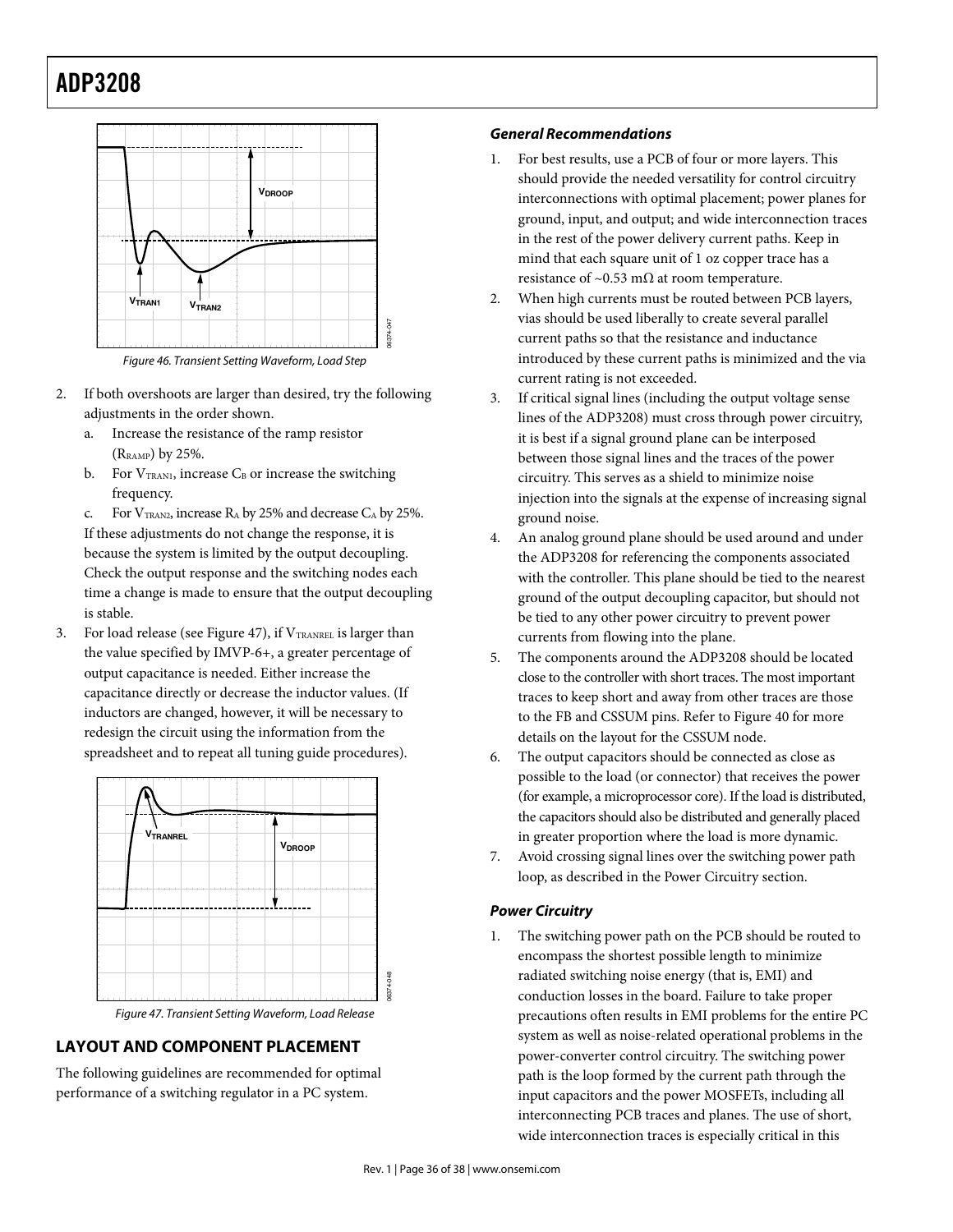## **ADP3208** ADP3208

![](_page_35_Figure_1.jpeg)

Figure 46. Transient Setting Waveform, Load Step

06374-047

- 2. If both overshoots are larger than desired, try the following adjustments in the order shown.
	- a. Increase the resistance of the ramp resistor (RRAMP) by 25%.
	- b. For  $V_{TRAN1}$ , increase  $C_B$  or increase the switching frequency.
	- c. For  $V_{TRAN2}$ , increase  $R_A$  by 25% and decrease  $C_A$  by 25%. If these adjustments do not change the response, it is because the system is limited by the output decoupling. Check the output response and the switching nodes each time a change is made to ensure that the output decoupling is stable.
- 3. For load release (see Figure 47), if  $V_{\texttt{TRANREL}}$  is larger than the value specified by IMVP-6+, a greater percentage of output capacitance is needed. Either increase the capacitance directly or decrease the inductor values. (If inductors are changed, however, it will be necessary to redesign the circuit using the information from the spreadsheet and to repeat all tuning guide procedures).

![](_page_35_Figure_8.jpeg)

Figure 47. Transient Setting Waveform, Load Release

## **LAYOUT AND COMPONENT PLACEMENT**

The following guidelines are recommended for optimal performance of a switching regulator in a PC system.

### *General Recommendations*

- 1. For best results, use a PCB of four or more layers. This should provide the needed versatility for control circuitry interconnections with optimal placement; power planes for ground, input, and output; and wide interconnection traces in the rest of the power delivery current paths. Keep in mind that each square unit of 1 oz copper trace has a resistance of ~0.53 m $\Omega$  at room temperature.
- 2. When high currents must be routed between PCB layers, vias should be used liberally to create several parallel current paths so that the resistance and inductance introduced by these current paths is minimized and the via current rating is not exceeded.
- 3. If critical signal lines (including the output voltage sense lines of the ADP3208) must cross through power circuitry, it is best if a signal ground plane can be interposed between those signal lines and the traces of the power circuitry. This serves as a shield to minimize noise injection into the signals at the expense of increasing signal ground noise.
- 4. An analog ground plane should be used around and under the ADP3208 for referencing the components associated with the controller. This plane should be tied to the nearest ground of the output decoupling capacitor, but should not be tied to any other power circuitry to prevent power currents from flowing into the plane.
- 5. The components around the ADP3208 should be located close to the controller with short traces. The most important traces to keep short and away from other traces are those to the FB and CSSUM pins. Refer to Figure 40 for more details on the layout for the CSSUM node.
- 6. The output capacitors should be connected as close as possible to the load (or connector) that receives the power (for example, a microprocessor core). If the load is distributed, the capacitors should also be distributed and generally placed in greater proportion where the load is more dynamic.
- 7. Avoid crossing signal lines over the switching power path loop, as described in the Power Circuitry section.

### *Power Circuitry*

1. The switching power path on the PCB should be routed to encompass the shortest possible length to minimize radiated switching noise energy (that is, EMI) and conduction losses in the board. Failure to take proper precautions often results in EMI problems for the entire PC system as well as noise-related operational problems in the power-converter control circuitry. The switching power path is the loop formed by the current path through the input capacitors and the power MOSFETs, including all interconnecting PCB traces and planes. The use of short, wide interconnection traces is especially critical in this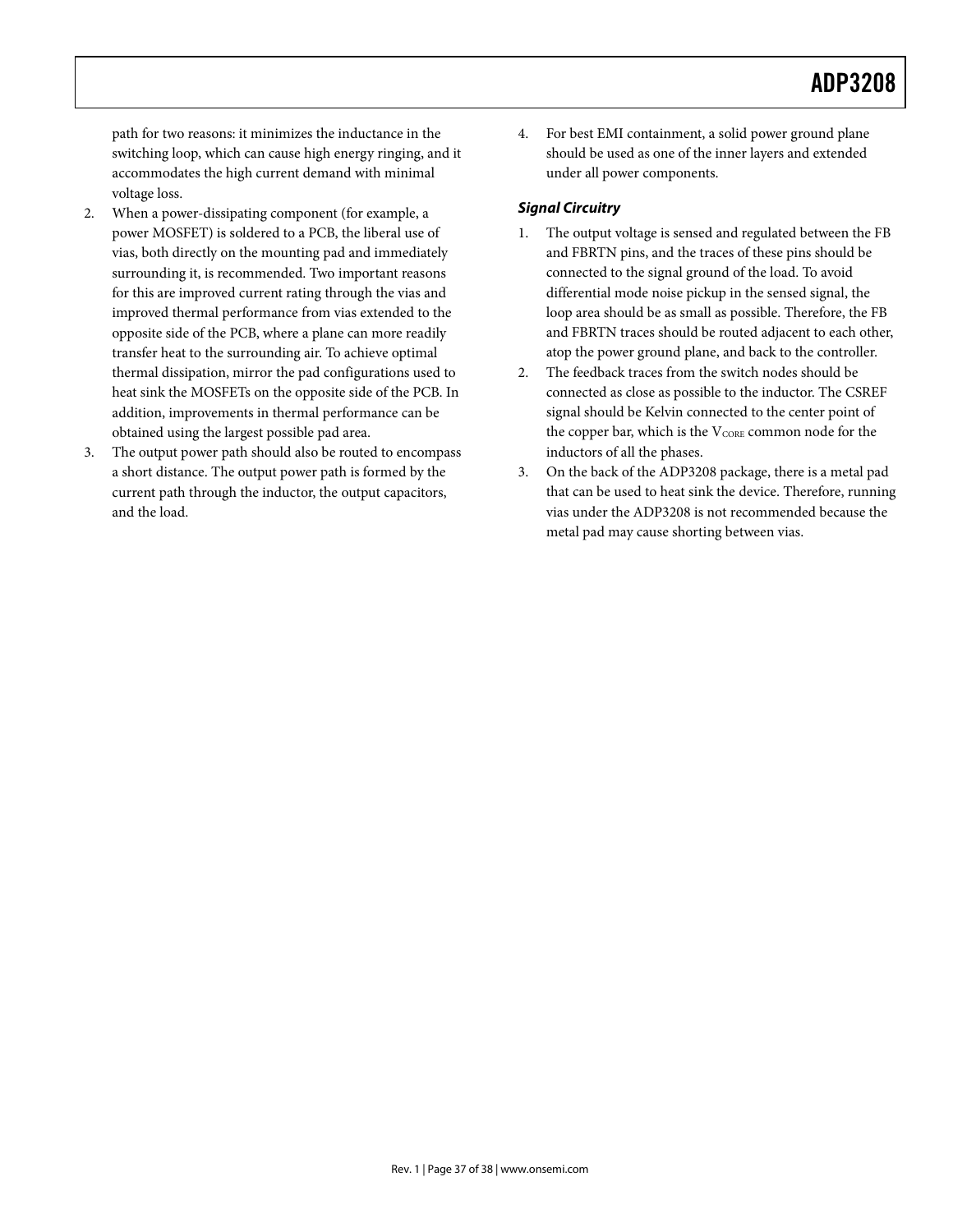path for two reasons: it minimizes the inductance in the switching loop, which can cause high energy ringing, and it accommodates the high current demand with minimal voltage loss.

- 2. When a power-dissipating component (for example, a power MOSFET) is soldered to a PCB, the liberal use of vias, both directly on the mounting pad and immediately surrounding it, is recommended. Two important reasons for this are improved current rating through the vias and improved thermal performance from vias extended to the opposite side of the PCB, where a plane can more readily transfer heat to the surrounding air. To achieve optimal thermal dissipation, mirror the pad configurations used to heat sink the MOSFETs on the opposite side of the PCB. In addition, improvements in thermal performance can be obtained using the largest possible pad area.
- 3. The output power path should also be routed to encompass a short distance. The output power path is formed by the current path through the inductor, the output capacitors, and the load.

4. For best EMI containment, a solid power ground plane should be used as one of the inner layers and extended under all power components.

## *Signal Circuitry*

- 1. The output voltage is sensed and regulated between the FB and FBRTN pins, and the traces of these pins should be connected to the signal ground of the load. To avoid differential mode noise pickup in the sensed signal, the loop area should be as small as possible. Therefore, the FB and FBRTN traces should be routed adjacent to each other, atop the power ground plane, and back to the controller.
- 2. The feedback traces from the switch nodes should be connected as close as possible to the inductor. The CSREF signal should be Kelvin connected to the center point of the copper bar, which is the V<sub>CORE</sub> common node for the inductors of all the phases.
- 3. On the back of the ADP3208 package, there is a metal pad that can be used to heat sink the device. Therefore, running vias under the ADP3208 is not recommended because the metal pad may cause shorting between vias.